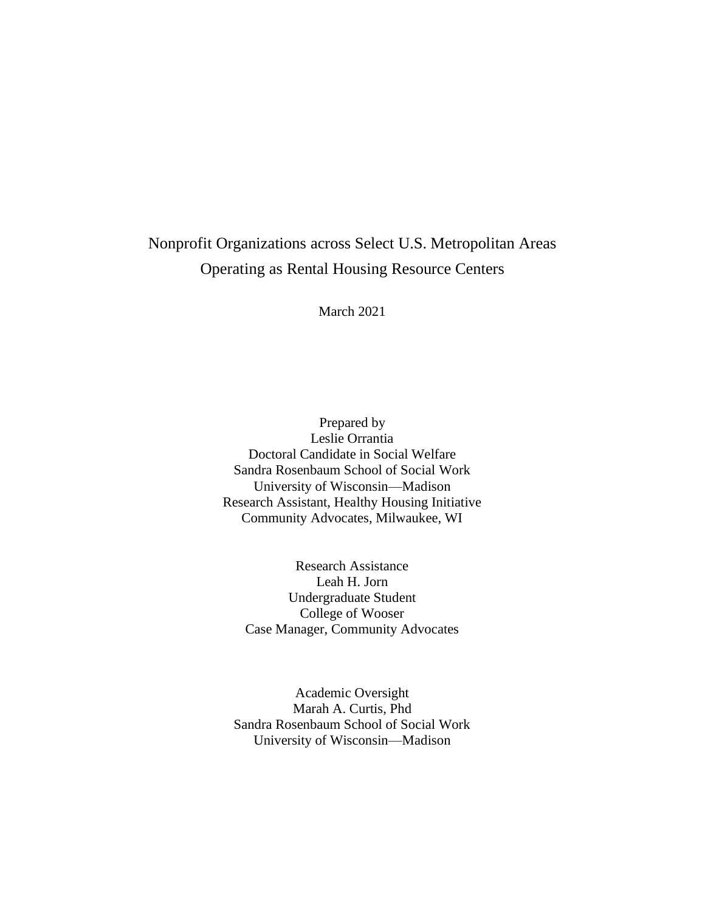# Nonprofit Organizations across Select U.S. Metropolitan Areas Operating as Rental Housing Resource Centers

March 2021

Prepared by Leslie Orrantia Doctoral Candidate in Social Welfare Sandra Rosenbaum School of Social Work University of Wisconsin—Madison Research Assistant, Healthy Housing Initiative Community Advocates, Milwaukee, WI

Research Assistance Leah H. Jorn Undergraduate Student College of Wooser Case Manager, Community Advocates

Academic Oversight Marah A. Curtis, Phd Sandra Rosenbaum School of Social Work University of Wisconsin—Madison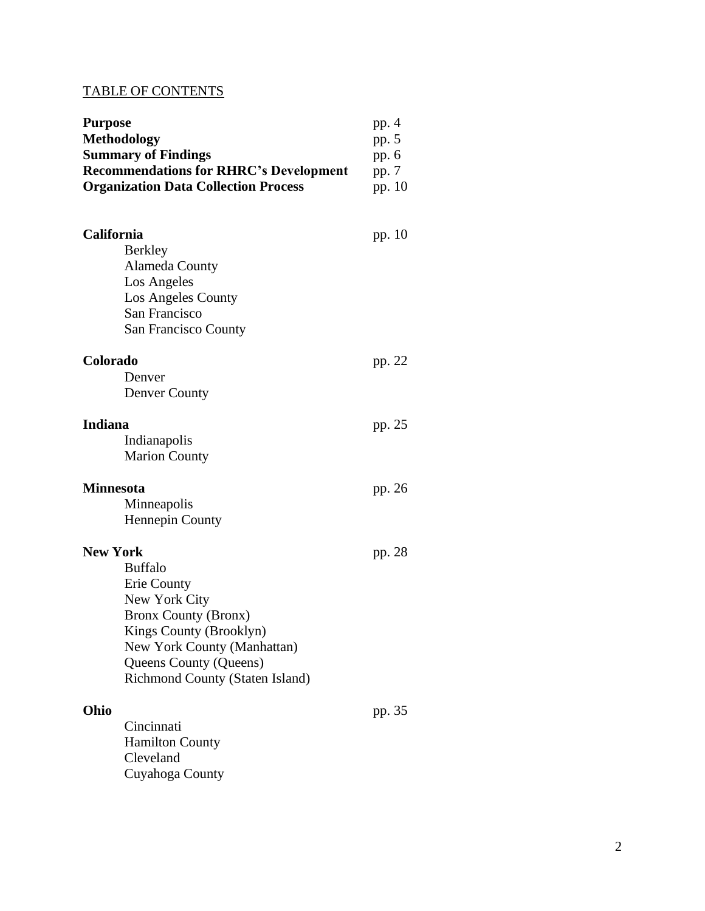# TABLE OF CONTENTS

| <b>Purpose</b><br><b>Methodology</b> |                                                                                                                                                                                                      | pp. 4<br>pp. 5           |  |
|--------------------------------------|------------------------------------------------------------------------------------------------------------------------------------------------------------------------------------------------------|--------------------------|--|
|                                      | <b>Summary of Findings</b><br><b>Recommendations for RHRC's Development</b><br><b>Organization Data Collection Process</b>                                                                           | pp. 6<br>pp. 7<br>pp. 10 |  |
| <b>California</b>                    | <b>Berkley</b><br><b>Alameda County</b>                                                                                                                                                              | pp. 10                   |  |
|                                      | Los Angeles<br>Los Angeles County<br>San Francisco<br>San Francisco County                                                                                                                           |                          |  |
| Colorado                             | Denver<br><b>Denver County</b>                                                                                                                                                                       | pp. 22                   |  |
| <b>Indiana</b>                       | Indianapolis<br><b>Marion County</b>                                                                                                                                                                 | pp. 25                   |  |
| <b>Minnesota</b>                     | Minneapolis<br><b>Hennepin County</b>                                                                                                                                                                | pp. 26                   |  |
| <b>New York</b>                      | <b>Buffalo</b><br>Erie County<br>New York City<br><b>Bronx County (Bronx)</b><br>Kings County (Brooklyn)<br>New York County (Manhattan)<br>Queens County (Queens)<br>Richmond County (Staten Island) | pp. 28                   |  |
| Ohio                                 | Cincinnati<br><b>Hamilton County</b><br>Cleveland<br>Cuyahoga County                                                                                                                                 | pp. 35                   |  |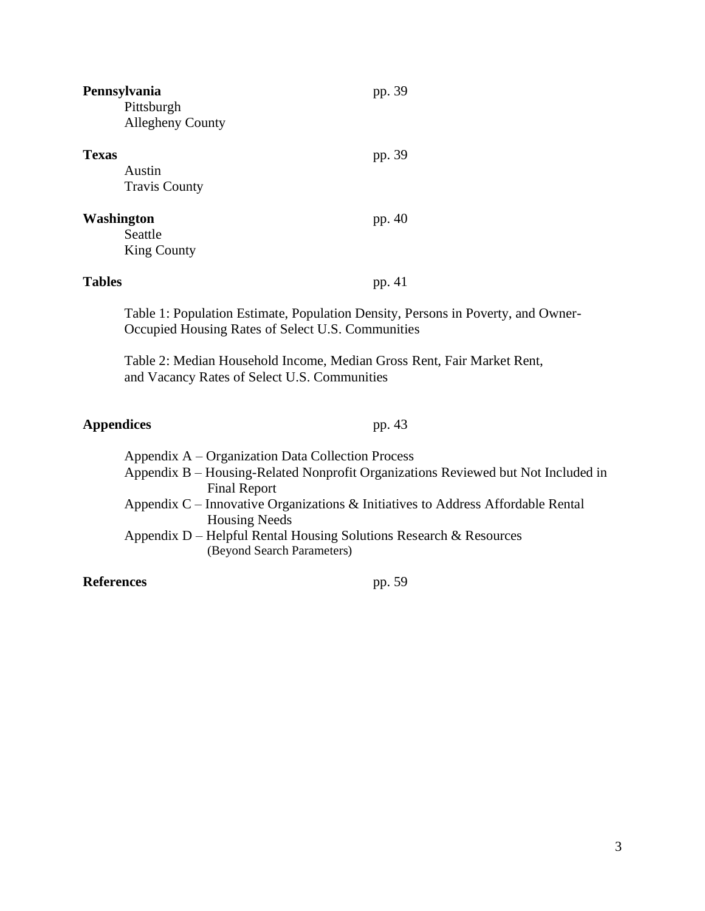| Pennsylvania<br>Pittsburgh<br><b>Allegheny County</b> | pp. 39 |
|-------------------------------------------------------|--------|
| <b>Texas</b><br>Austin<br><b>Travis County</b>        | pp. 39 |
| <b>Washington</b><br>Seattle<br><b>King County</b>    | pp. 40 |
| <b>Tables</b>                                         | pp. 41 |

Table 1: Population Estimate, Population Density, Persons in Poverty, and Owner-Occupied Housing Rates of Select U.S. Communities

Table 2: Median Household Income, Median Gross Rent, Fair Market Rent, and Vacancy Rates of Select U.S. Communities

# **Appendices** pp. 43

| Appendix B – Housing-Related Nonprofit Organizations Reviewed but Not Included in |
|-----------------------------------------------------------------------------------|
|                                                                                   |
|                                                                                   |
|                                                                                   |
|                                                                                   |
|                                                                                   |
|                                                                                   |
|                                                                                   |

#### **References** pp. 59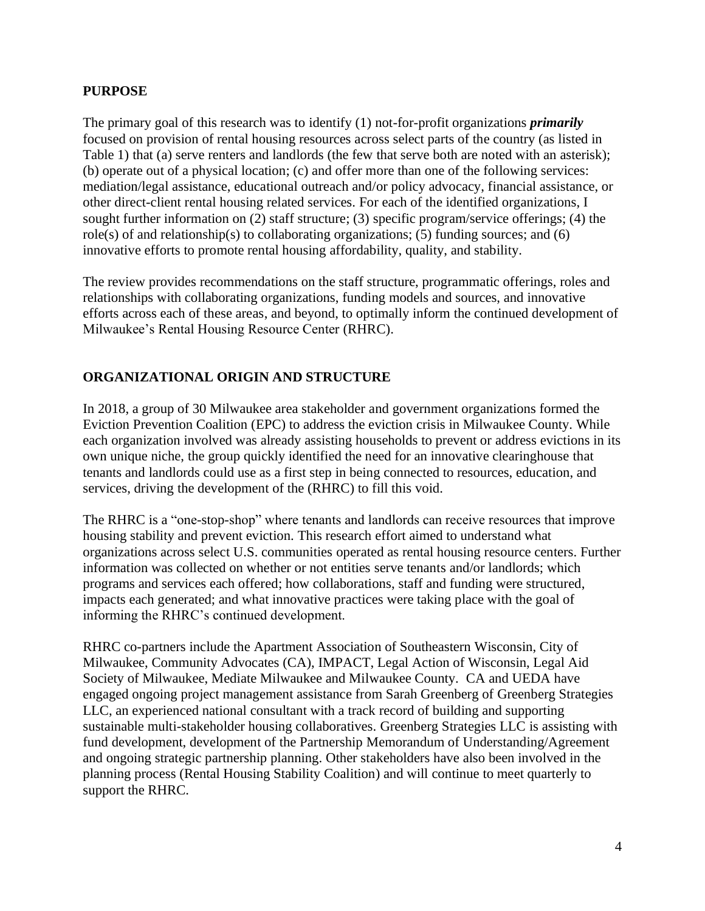### **PURPOSE**

The primary goal of this research was to identify (1) not-for-profit organizations *primarily* focused on provision of rental housing resources across select parts of the country (as listed in Table 1) that (a) serve renters and landlords (the few that serve both are noted with an asterisk); (b) operate out of a physical location; (c) and offer more than one of the following services: mediation/legal assistance, educational outreach and/or policy advocacy, financial assistance, or other direct-client rental housing related services. For each of the identified organizations, I sought further information on (2) staff structure; (3) specific program/service offerings; (4) the role(s) of and relationship(s) to collaborating organizations; (5) funding sources; and (6) innovative efforts to promote rental housing affordability, quality, and stability.

The review provides recommendations on the staff structure, programmatic offerings, roles and relationships with collaborating organizations, funding models and sources, and innovative efforts across each of these areas, and beyond, to optimally inform the continued development of Milwaukee's Rental Housing Resource Center (RHRC).

# **ORGANIZATIONAL ORIGIN AND STRUCTURE**

In 2018, a group of 30 Milwaukee area stakeholder and government organizations formed the Eviction Prevention Coalition (EPC) to address the eviction crisis in Milwaukee County. While each organization involved was already assisting households to prevent or address evictions in its own unique niche, the group quickly identified the need for an innovative clearinghouse that tenants and landlords could use as a first step in being connected to resources, education, and services, driving the development of the (RHRC) to fill this void.

The RHRC is a "one-stop-shop" where tenants and landlords can receive resources that improve housing stability and prevent eviction. This research effort aimed to understand what organizations across select U.S. communities operated as rental housing resource centers. Further information was collected on whether or not entities serve tenants and/or landlords; which programs and services each offered; how collaborations, staff and funding were structured, impacts each generated; and what innovative practices were taking place with the goal of informing the RHRC's continued development.

RHRC co-partners include the Apartment Association of Southeastern Wisconsin, City of Milwaukee, Community Advocates (CA), IMPACT, Legal Action of Wisconsin, Legal Aid Society of Milwaukee, Mediate Milwaukee and Milwaukee County. CA and UEDA have engaged ongoing project management assistance from Sarah Greenberg of Greenberg Strategies LLC, an experienced national consultant with a track record of building and supporting sustainable multi-stakeholder housing collaboratives. Greenberg Strategies LLC is assisting with fund development, development of the Partnership Memorandum of Understanding/Agreement and ongoing strategic partnership planning. Other stakeholders have also been involved in the planning process (Rental Housing Stability Coalition) and will continue to meet quarterly to support the RHRC.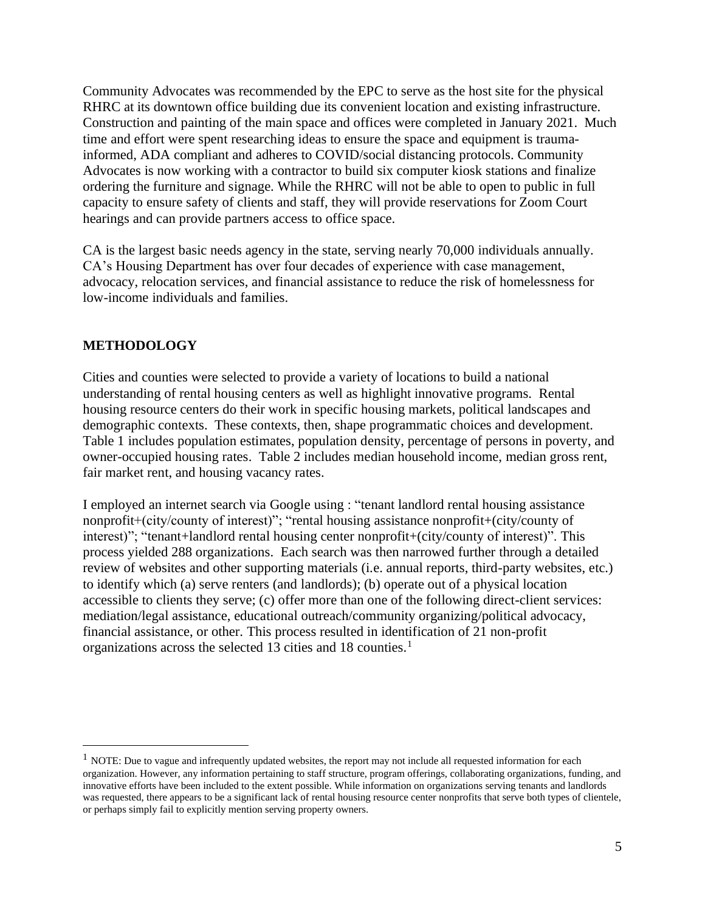Community Advocates was recommended by the EPC to serve as the host site for the physical RHRC at its downtown office building due its convenient location and existing infrastructure. Construction and painting of the main space and offices were completed in January 2021. Much time and effort were spent researching ideas to ensure the space and equipment is traumainformed, ADA compliant and adheres to COVID/social distancing protocols. Community Advocates is now working with a contractor to build six computer kiosk stations and finalize ordering the furniture and signage. While the RHRC will not be able to open to public in full capacity to ensure safety of clients and staff, they will provide reservations for Zoom Court hearings and can provide partners access to office space.

CA is the largest basic needs agency in the state, serving nearly 70,000 individuals annually. CA's Housing Department has over four decades of experience with case management, advocacy, relocation services, and financial assistance to reduce the risk of homelessness for low-income individuals and families.

## **METHODOLOGY**

Cities and counties were selected to provide a variety of locations to build a national understanding of rental housing centers as well as highlight innovative programs. Rental housing resource centers do their work in specific housing markets, political landscapes and demographic contexts. These contexts, then, shape programmatic choices and development. Table 1 includes population estimates, population density, percentage of persons in poverty, and owner-occupied housing rates. Table 2 includes median household income, median gross rent, fair market rent, and housing vacancy rates.

I employed an internet search via Google using : "tenant landlord rental housing assistance nonprofit+(city/county of interest)"; "rental housing assistance nonprofit+(city/county of interest)"; "tenant+landlord rental housing center nonprofit+(city/county of interest)". This process yielded 288 organizations. Each search was then narrowed further through a detailed review of websites and other supporting materials (i.e. annual reports, third-party websites, etc.) to identify which (a) serve renters (and landlords); (b) operate out of a physical location accessible to clients they serve; (c) offer more than one of the following direct-client services: mediation/legal assistance, educational outreach/community organizing/political advocacy, financial assistance, or other. This process resulted in identification of 21 non-profit organizations across the selected 13 cities and 18 counties.<sup>1</sup>

 $<sup>1</sup>$  NOTE: Due to vague and infrequently updated websites, the report may not include all requested information for each</sup> organization. However, any information pertaining to staff structure, program offerings, collaborating organizations, funding, and innovative efforts have been included to the extent possible. While information on organizations serving tenants and landlords was requested, there appears to be a significant lack of rental housing resource center nonprofits that serve both types of clientele, or perhaps simply fail to explicitly mention serving property owners.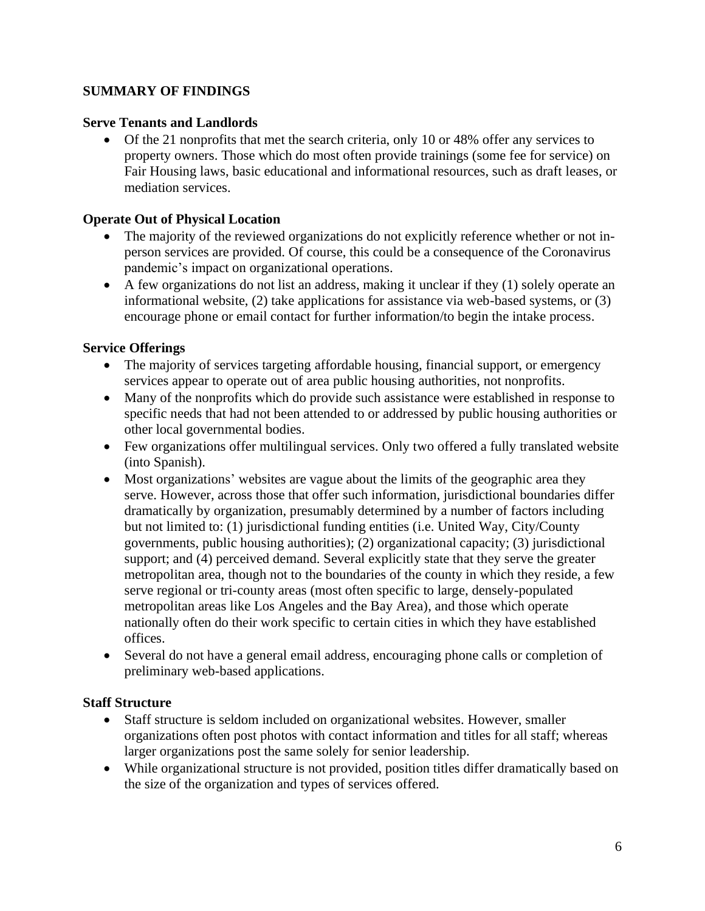## **SUMMARY OF FINDINGS**

### **Serve Tenants and Landlords**

• Of the 21 nonprofits that met the search criteria, only 10 or 48% offer any services to property owners. Those which do most often provide trainings (some fee for service) on Fair Housing laws, basic educational and informational resources, such as draft leases, or mediation services.

#### **Operate Out of Physical Location**

- The majority of the reviewed organizations do not explicitly reference whether or not inperson services are provided. Of course, this could be a consequence of the Coronavirus pandemic's impact on organizational operations.
- A few organizations do not list an address, making it unclear if they (1) solely operate an informational website, (2) take applications for assistance via web-based systems, or (3) encourage phone or email contact for further information/to begin the intake process.

#### **Service Offerings**

- The majority of services targeting affordable housing, financial support, or emergency services appear to operate out of area public housing authorities, not nonprofits.
- Many of the nonprofits which do provide such assistance were established in response to specific needs that had not been attended to or addressed by public housing authorities or other local governmental bodies.
- Few organizations offer multilingual services. Only two offered a fully translated website (into Spanish).
- Most organizations' websites are vague about the limits of the geographic area they serve. However, across those that offer such information, jurisdictional boundaries differ dramatically by organization, presumably determined by a number of factors including but not limited to: (1) jurisdictional funding entities (i.e. United Way, City/County governments, public housing authorities); (2) organizational capacity; (3) jurisdictional support; and (4) perceived demand. Several explicitly state that they serve the greater metropolitan area, though not to the boundaries of the county in which they reside, a few serve regional or tri-county areas (most often specific to large, densely-populated metropolitan areas like Los Angeles and the Bay Area), and those which operate nationally often do their work specific to certain cities in which they have established offices.
- Several do not have a general email address, encouraging phone calls or completion of preliminary web-based applications.

#### **Staff Structure**

- Staff structure is seldom included on organizational websites. However, smaller organizations often post photos with contact information and titles for all staff; whereas larger organizations post the same solely for senior leadership.
- While organizational structure is not provided, position titles differ dramatically based on the size of the organization and types of services offered.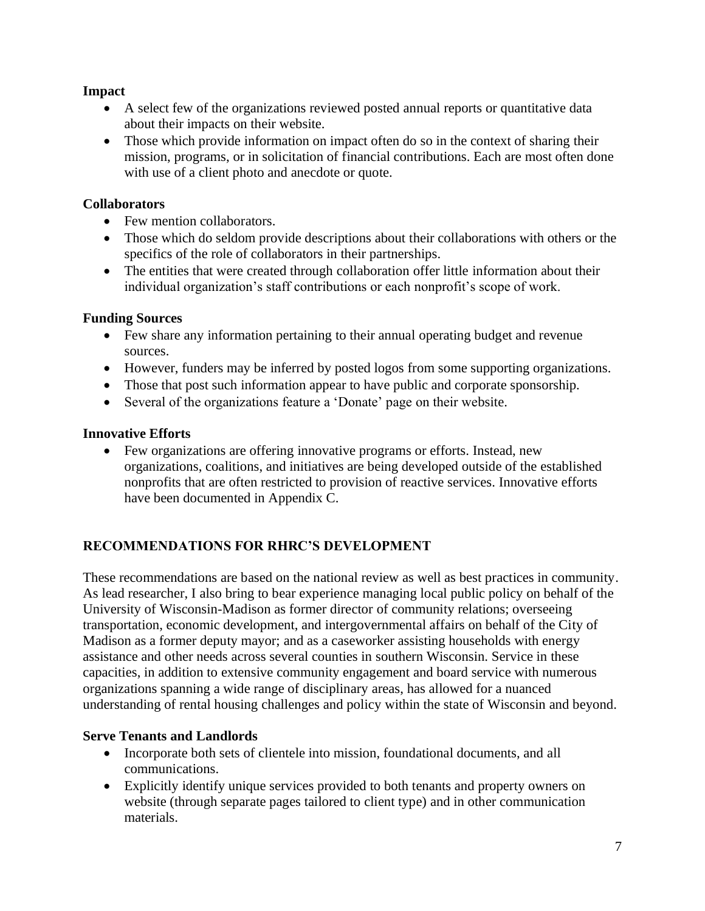## **Impact**

- A select few of the organizations reviewed posted annual reports or quantitative data about their impacts on their website.
- Those which provide information on impact often do so in the context of sharing their mission, programs, or in solicitation of financial contributions. Each are most often done with use of a client photo and anecdote or quote.

# **Collaborators**

- Few mention collaborators.
- Those which do seldom provide descriptions about their collaborations with others or the specifics of the role of collaborators in their partnerships.
- The entities that were created through collaboration offer little information about their individual organization's staff contributions or each nonprofit's scope of work.

# **Funding Sources**

- Few share any information pertaining to their annual operating budget and revenue sources.
- However, funders may be inferred by posted logos from some supporting organizations.
- Those that post such information appear to have public and corporate sponsorship.
- Several of the organizations feature a 'Donate' page on their website.

# **Innovative Efforts**

• Few organizations are offering innovative programs or efforts. Instead, new organizations, coalitions, and initiatives are being developed outside of the established nonprofits that are often restricted to provision of reactive services. Innovative efforts have been documented in Appendix C.

# **RECOMMENDATIONS FOR RHRC'S DEVELOPMENT**

These recommendations are based on the national review as well as best practices in community. As lead researcher, I also bring to bear experience managing local public policy on behalf of the University of Wisconsin-Madison as former director of community relations; overseeing transportation, economic development, and intergovernmental affairs on behalf of the City of Madison as a former deputy mayor; and as a caseworker assisting households with energy assistance and other needs across several counties in southern Wisconsin. Service in these capacities, in addition to extensive community engagement and board service with numerous organizations spanning a wide range of disciplinary areas, has allowed for a nuanced understanding of rental housing challenges and policy within the state of Wisconsin and beyond.

# **Serve Tenants and Landlords**

- Incorporate both sets of clientele into mission, foundational documents, and all communications.
- Explicitly identify unique services provided to both tenants and property owners on website (through separate pages tailored to client type) and in other communication materials.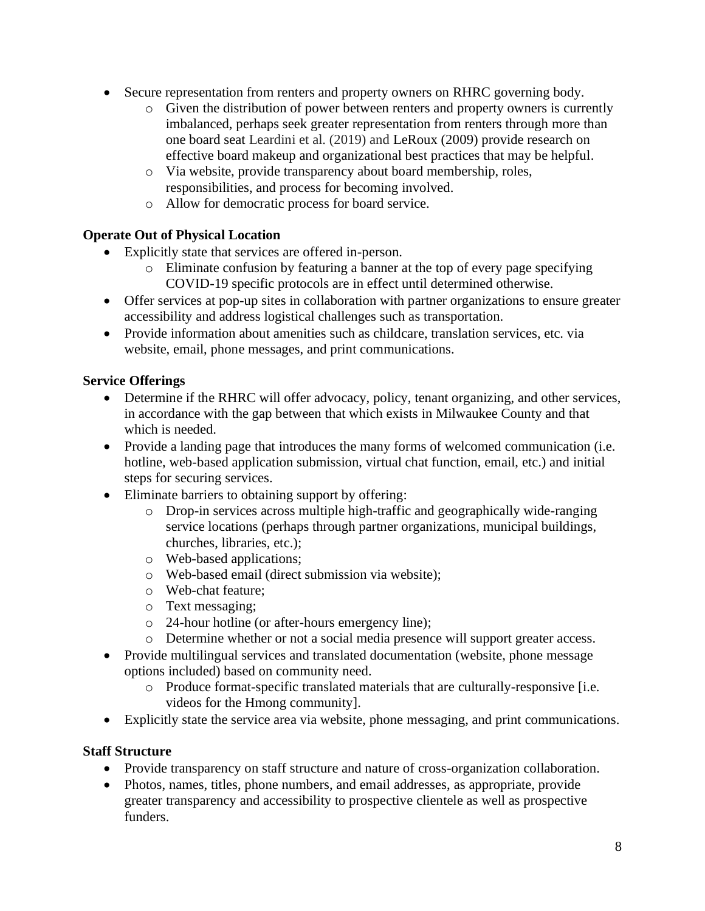- Secure representation from renters and property owners on RHRC governing body.
	- o Given the distribution of power between renters and property owners is currently imbalanced, perhaps seek greater representation from renters through more than one board seat Leardini et al. (2019) and LeRoux (2009) provide research on effective board makeup and organizational best practices that may be helpful.
	- o Via website, provide transparency about board membership, roles, responsibilities, and process for becoming involved.
	- o Allow for democratic process for board service.

# **Operate Out of Physical Location**

- Explicitly state that services are offered in-person.
	- o Eliminate confusion by featuring a banner at the top of every page specifying COVID-19 specific protocols are in effect until determined otherwise.
- Offer services at pop-up sites in collaboration with partner organizations to ensure greater accessibility and address logistical challenges such as transportation.
- Provide information about amenities such as childcare, translation services, etc. via website, email, phone messages, and print communications.

# **Service Offerings**

- Determine if the RHRC will offer advocacy, policy, tenant organizing, and other services, in accordance with the gap between that which exists in Milwaukee County and that which is needed.
- Provide a landing page that introduces the many forms of welcomed communication (i.e. hotline, web-based application submission, virtual chat function, email, etc.) and initial steps for securing services.
- Eliminate barriers to obtaining support by offering:
	- o Drop-in services across multiple high-traffic and geographically wide-ranging service locations (perhaps through partner organizations, municipal buildings, churches, libraries, etc.);
	- o Web-based applications;
	- o Web-based email (direct submission via website);
	- o Web-chat feature;
	- o Text messaging;
	- o 24-hour hotline (or after-hours emergency line);
	- o Determine whether or not a social media presence will support greater access.
- Provide multilingual services and translated documentation (website, phone message options included) based on community need.
	- o Produce format-specific translated materials that are culturally-responsive [i.e. videos for the Hmong community].
- Explicitly state the service area via website, phone messaging, and print communications.

# **Staff Structure**

- Provide transparency on staff structure and nature of cross-organization collaboration.
- Photos, names, titles, phone numbers, and email addresses, as appropriate, provide greater transparency and accessibility to prospective clientele as well as prospective funders.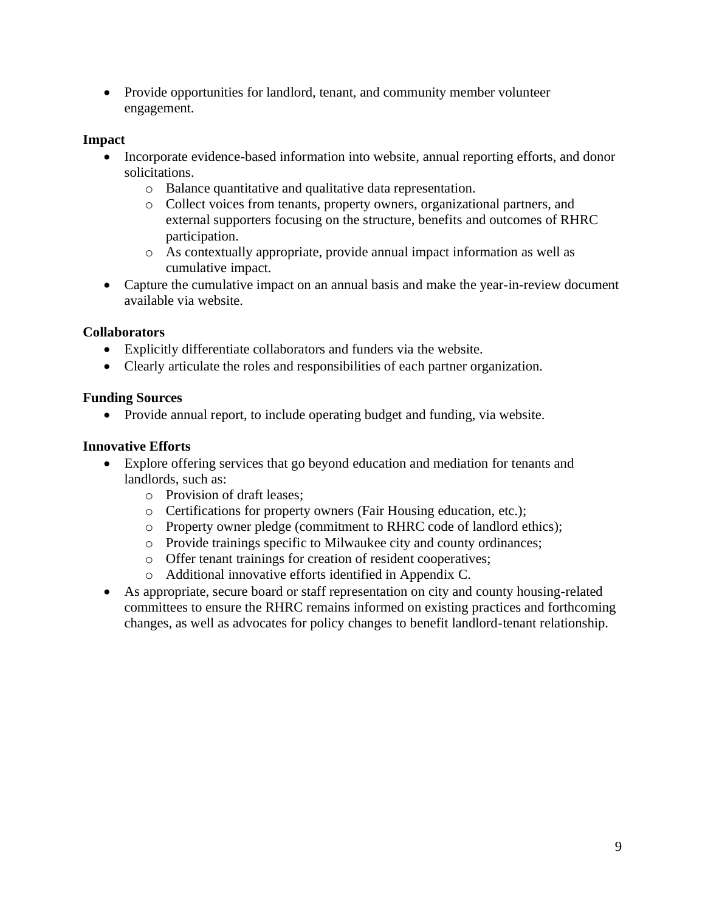• Provide opportunities for landlord, tenant, and community member volunteer engagement.

## **Impact**

- Incorporate evidence-based information into website, annual reporting efforts, and donor solicitations.
	- o Balance quantitative and qualitative data representation.
	- o Collect voices from tenants, property owners, organizational partners, and external supporters focusing on the structure, benefits and outcomes of RHRC participation.
	- o As contextually appropriate, provide annual impact information as well as cumulative impact.
- Capture the cumulative impact on an annual basis and make the year-in-review document available via website.

# **Collaborators**

- Explicitly differentiate collaborators and funders via the website.
- Clearly articulate the roles and responsibilities of each partner organization.

# **Funding Sources**

• Provide annual report, to include operating budget and funding, via website.

# **Innovative Efforts**

- Explore offering services that go beyond education and mediation for tenants and landlords, such as:
	- o Provision of draft leases;
	- o Certifications for property owners (Fair Housing education, etc.);
	- o Property owner pledge (commitment to RHRC code of landlord ethics);
	- o Provide trainings specific to Milwaukee city and county ordinances;
	- o Offer tenant trainings for creation of resident cooperatives;
	- o Additional innovative efforts identified in Appendix C.
- As appropriate, secure board or staff representation on city and county housing-related committees to ensure the RHRC remains informed on existing practices and forthcoming changes, as well as advocates for policy changes to benefit landlord-tenant relationship.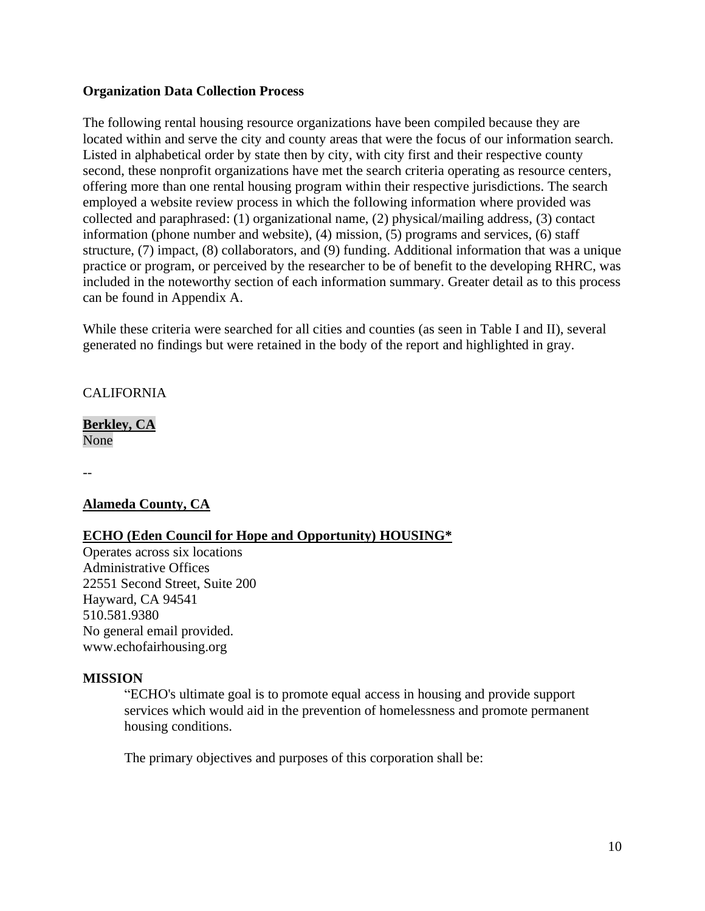#### **Organization Data Collection Process**

The following rental housing resource organizations have been compiled because they are located within and serve the city and county areas that were the focus of our information search. Listed in alphabetical order by state then by city, with city first and their respective county second, these nonprofit organizations have met the search criteria operating as resource centers, offering more than one rental housing program within their respective jurisdictions. The search employed a website review process in which the following information where provided was collected and paraphrased: (1) organizational name, (2) physical/mailing address, (3) contact information (phone number and website), (4) mission, (5) programs and services, (6) staff structure, (7) impact, (8) collaborators, and (9) funding. Additional information that was a unique practice or program, or perceived by the researcher to be of benefit to the developing RHRC, was included in the noteworthy section of each information summary. Greater detail as to this process can be found in Appendix A.

While these criteria were searched for all cities and counties (as seen in Table I and II), several generated no findings but were retained in the body of the report and highlighted in gray.

#### **CALIFORNIA**

**Berkley, CA** None

--

## **Alameda County, CA**

## **ECHO (Eden Council for Hope and Opportunity) HOUSING\***

Operates across six locations Administrative Offices 22551 Second Street, Suite 200 Hayward, CA 94541 510.581.9380 No general email provided. www.echofairhousing.org

#### **MISSION**

"ECHO's ultimate goal is to promote equal access in housing and provide support services which would aid in the prevention of homelessness and promote permanent housing conditions.

The primary objectives and purposes of this corporation shall be: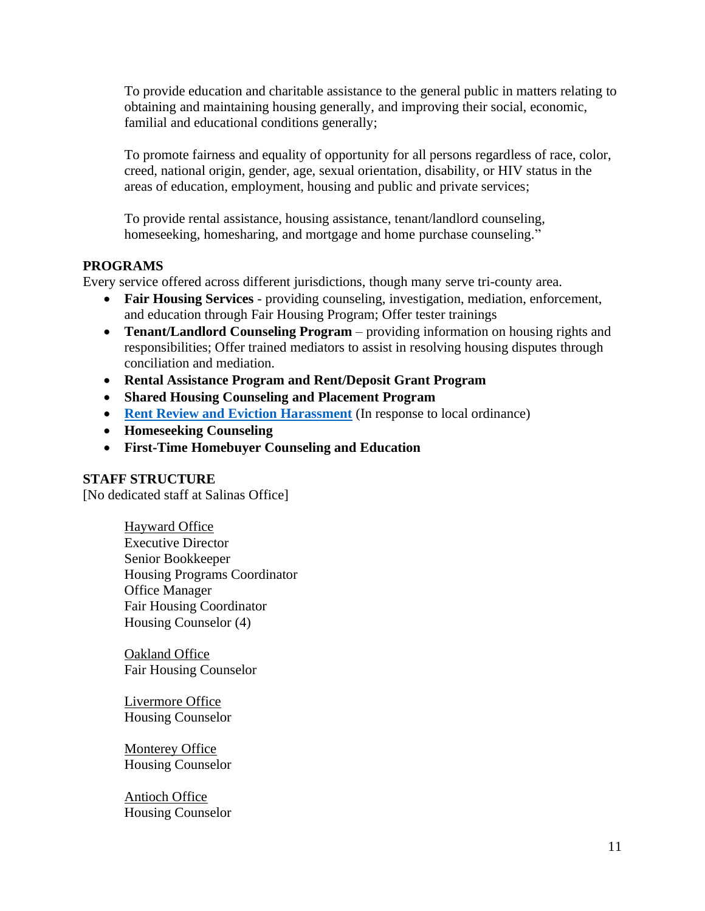To provide education and charitable assistance to the general public in matters relating to obtaining and maintaining housing generally, and improving their social, economic, familial and educational conditions generally;

To promote fairness and equality of opportunity for all persons regardless of race, color, creed, national origin, gender, age, sexual orientation, disability, or HIV status in the areas of education, employment, housing and public and private services;

To provide rental assistance, housing assistance, tenant/landlord counseling, homeseeking, homesharing, and mortgage and home purchase counseling."

## **PROGRAMS**

Every service offered across different jurisdictions, though many serve tri-county area.

- **Fair Housing Services**  providing counseling, investigation, mediation, enforcement, and education through Fair Housing Program; Offer tester trainings
- **Tenant/Landlord Counseling Program** providing information on housing rights and responsibilities; Offer trained mediators to assist in resolving housing disputes through conciliation and mediation.
- **Rental Assistance Program and Rent/Deposit Grant Program**
- **Shared Housing Counseling and Placement Program**
- **[Rent Review and Eviction Harassment](https://www.echofairhousing.org/rent-review--eviction-programs.html)** (In response to local ordinance)
- **Homeseeking Counseling**
- **First-Time Homebuyer Counseling and Education**

#### **STAFF STRUCTURE**

[No dedicated staff at Salinas Office]

Hayward Office Executive Director Senior Bookkeeper Housing Programs Coordinator Office Manager Fair Housing Coordinator Housing Counselor (4)

**Oakland Office** Fair Housing Counselor

Livermore Office Housing Counselor

Monterey Office Housing Counselor

Antioch Office Housing Counselor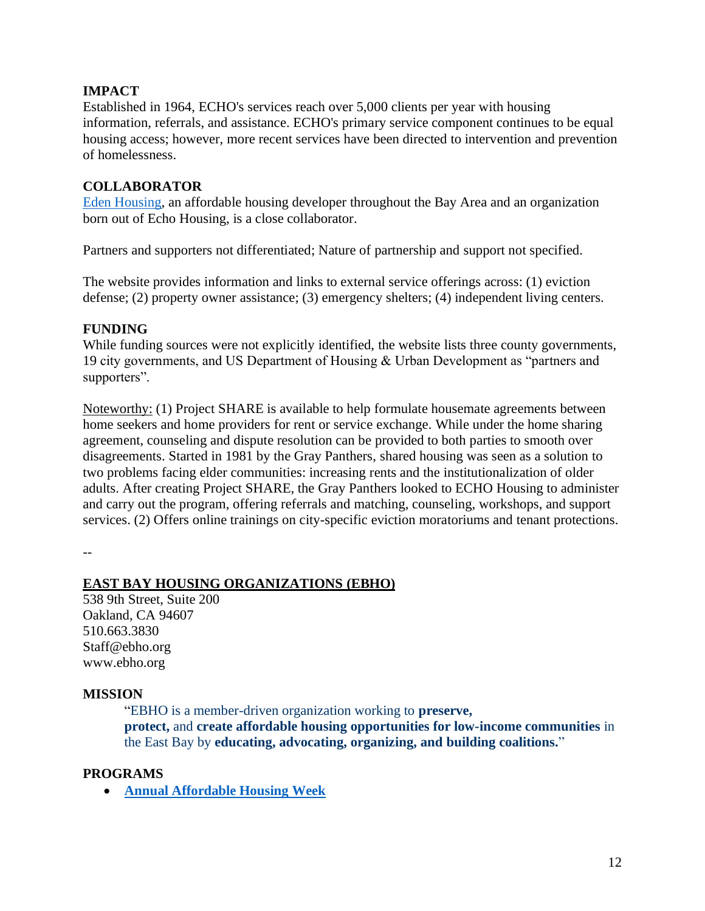## **IMPACT**

Established in 1964, ECHO's services reach over 5,000 clients per year with housing information, referrals, and assistance. ECHO's primary service component continues to be equal housing access; however, more recent services have been directed to intervention and prevention of homelessness.

## **COLLABORATOR**

[Eden Housing,](https://edenhousing.org/) an affordable housing developer throughout the Bay Area and an organization born out of Echo Housing, is a close collaborator.

Partners and supporters not differentiated; Nature of partnership and support not specified.

The website provides information and links to external service offerings across: (1) eviction defense; (2) property owner assistance; (3) emergency shelters; (4) independent living centers.

## **FUNDING**

While funding sources were not explicitly identified, the website lists three county governments, 19 city governments, and US Department of Housing & Urban Development as "partners and supporters".

Noteworthy: (1) Project SHARE is available to help formulate housemate agreements between home seekers and home providers for rent or service exchange. While under the home sharing agreement, counseling and dispute resolution can be provided to both parties to smooth over disagreements. Started in 1981 by the Gray Panthers, shared housing was seen as a solution to two problems facing elder communities: increasing rents and the institutionalization of older adults. After creating Project SHARE, the Gray Panthers looked to ECHO Housing to administer and carry out the program, offering referrals and matching, counseling, workshops, and support services. (2) Offers online trainings on city-specific eviction moratoriums and tenant protections.

--

## **EAST BAY HOUSING ORGANIZATIONS (EBHO)**

538 9th Street, Suite 200 Oakland, CA 94607 510.663.3830 Staff@ebho.org www.ebho.org

## **MISSION**

"EBHO is a member-driven organization working to **preserve, protect,** and **create affordable housing opportunities for low-income communities** in the East Bay by **educating, advocating, organizing, and building coalitions.**"

## **PROGRAMS**

• **[Annual Affordable Housing Week](http://ebho.org/our-work/affordable-housing-week/)**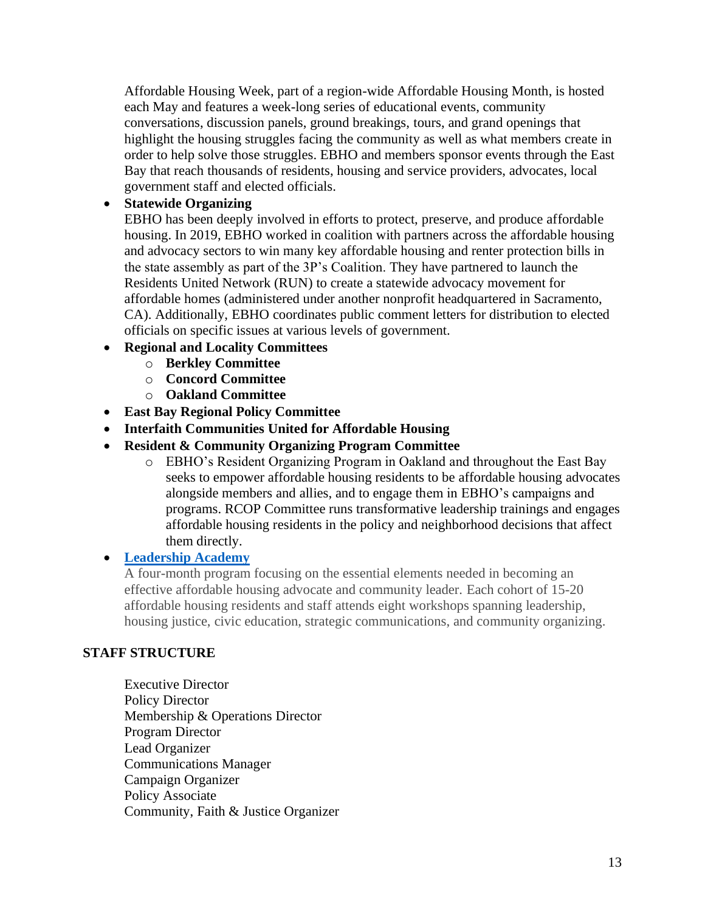Affordable Housing Week, part of a region-wide Affordable Housing Month, is hosted each May and features a week-long series of educational events, community conversations, discussion panels, ground breakings, tours, and grand openings that highlight the housing struggles facing the community as well as what members create in order to help solve those struggles. EBHO and members sponsor events through the East Bay that reach thousands of residents, housing and service providers, advocates, local government staff and elected officials.

# • **Statewide Organizing**

EBHO has been deeply involved in efforts to protect, preserve, and produce affordable housing. In 2019, EBHO worked in coalition with partners across the affordable housing and advocacy sectors to win many key affordable housing and renter protection bills in the state assembly as part of the 3P's Coalition. They have partnered to launch the Residents United Network (RUN) to create a statewide advocacy movement for affordable homes (administered under another nonprofit headquartered in Sacramento, CA). Additionally, EBHO coordinates public comment letters for distribution to elected officials on specific issues at various levels of government.

## • **Regional and Locality Committees**

- o **Berkley Committee**
- o **Concord Committee**
- o **Oakland Committee**
- **East Bay Regional Policy Committee**
- **Interfaith Communities United for Affordable Housing**
- **Resident & Community Organizing Program Committee** 
	- o EBHO's Resident Organizing Program in Oakland and throughout the East Bay seeks to empower affordable housing residents to be affordable housing advocates alongside members and allies, and to engage them in EBHO's campaigns and programs. RCOP Committee runs transformative leadership trainings and engages affordable housing residents in the policy and neighborhood decisions that affect them directly.

## • **[Leadership Academy](http://ebho.org/apply-leadership-academy/)**

A four-month program focusing on the essential elements needed in becoming an effective affordable housing advocate and community leader. Each cohort of 15-20 affordable housing residents and staff attends eight workshops spanning leadership, housing justice, civic education, strategic communications, and community organizing.

## **STAFF STRUCTURE**

Executive Director Policy Director Membership & Operations Director Program Director Lead Organizer Communications Manager Campaign Organizer Policy Associate Community, Faith & Justice Organizer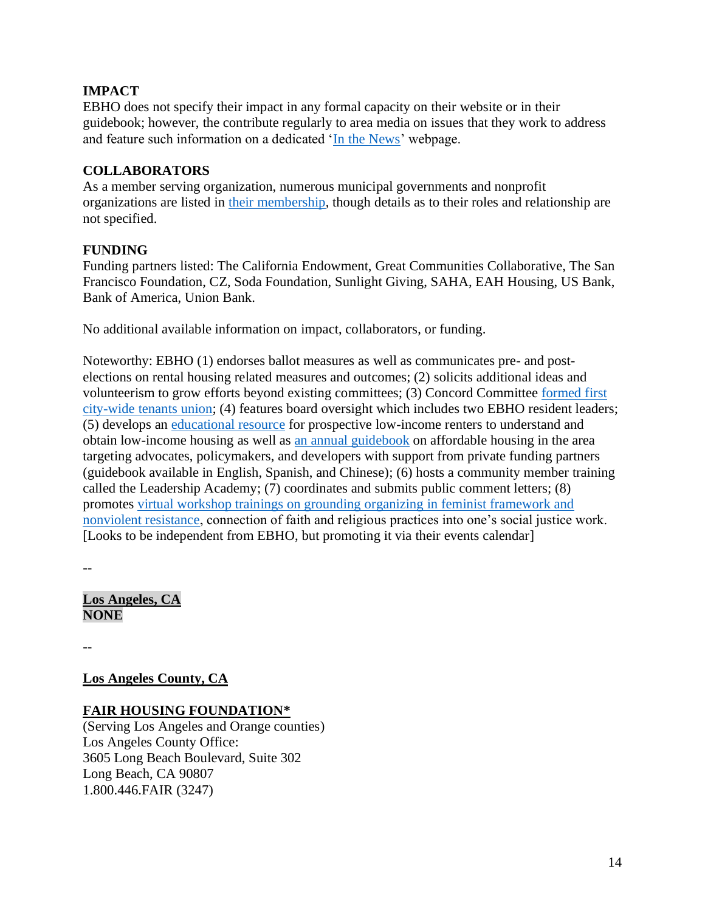# **IMPACT**

EBHO does not specify their impact in any formal capacity on their website or in their guidebook; however, the contribute regularly to area media on issues that they work to address and feature such information on a dedicated ['In the News'](http://ebho.org/our-work/ebho-in-the-news/) webpage.

## **COLLABORATORS**

As a member serving organization, numerous municipal governments and nonprofit organizations are listed in [their membership,](http://ebho.org/our-members/) though details as to their roles and relationship are not specified.

# **FUNDING**

Funding partners listed: The California Endowment, Great Communities Collaborative, The San Francisco Foundation, CZ, Soda Foundation, Sunlight Giving, SAHA, EAH Housing, US Bank, Bank of America, Union Bank.

No additional available information on impact, collaborators, or funding.

Noteworthy: EBHO (1) endorses ballot measures as well as communicates pre- and postelections on rental housing related measures and outcomes; (2) solicits additional ideas and volunteerism to grow efforts beyond existing committees; (3) Concord Committee [formed first](https://www.eastbaytimes.com/2019/09/18/there-is-strength-in-numbers-concord-renters-form-contra-costas-first-city-wide-tenants-union/)  [city-wide tenants union;](https://www.eastbaytimes.com/2019/09/18/there-is-strength-in-numbers-concord-renters-form-contra-costas-first-city-wide-tenants-union/) (4) features board oversight which includes two EBHO resident leaders; (5) develops an [educational resource](http://ebho.org/resources/looking-for-housing/#steps-to-find) for prospective low-income renters to understand and obtain low-income housing as well as [an annual guidebook](http://ebho.org/resources/guidebook/) on affordable housing in the area targeting advocates, policymakers, and developers with support from private funding partners (guidebook available in English, Spanish, and Chinese); (6) hosts a community member training called the Leadership Academy; (7) coordinates and submits public comment letters; (8) promotes [virtual workshop trainings on grounding organizing in feminist framework and](http://ebho.org/event/faith-rooted-organizing-training-day-1/)  [nonviolent resistance,](http://ebho.org/event/faith-rooted-organizing-training-day-1/) connection of faith and religious practices into one's social justice work. [Looks to be independent from EBHO, but promoting it via their events calendar]

--

**Los Angeles, CA NONE**

--

**Los Angeles County, CA**

## **FAIR HOUSING FOUNDATION\***

(Serving Los Angeles and Orange counties) Los Angeles County Office: 3605 Long Beach Boulevard, Suite 302 Long Beach, CA 90807 1.800.446.FAIR (3247)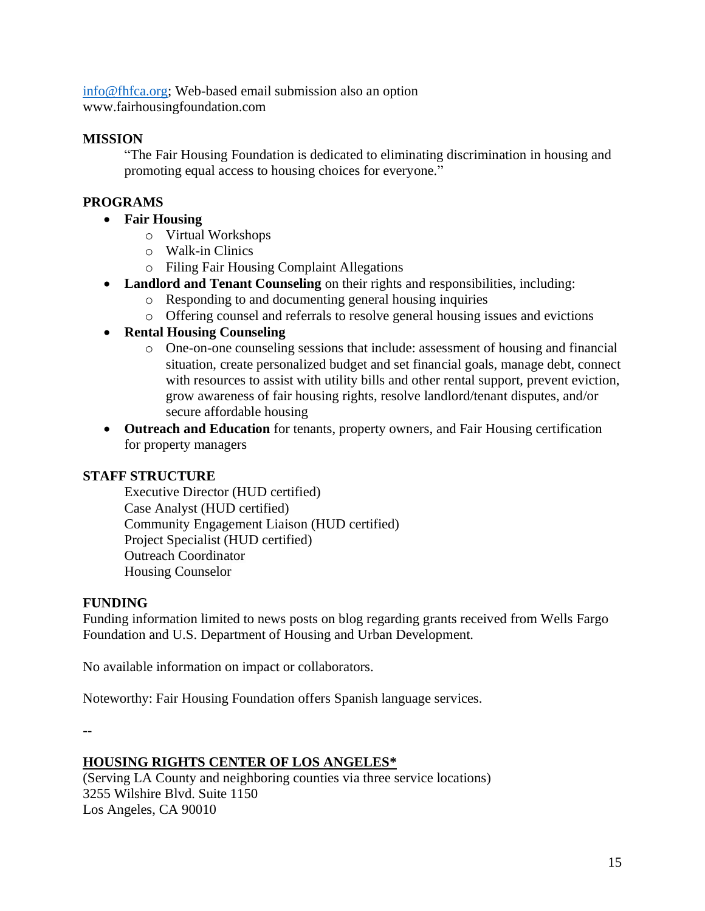[info@fhfca.org;](mailto:info@fhfca.org) Web-based email submission also an option www.fairhousingfoundation.com

### **MISSION**

"The Fair Housing Foundation is dedicated to eliminating discrimination in housing and promoting equal access to housing choices for everyone."

## **PROGRAMS**

- **Fair Housing** 
	- o Virtual Workshops
	- o Walk-in Clinics
	- o Filing Fair Housing Complaint Allegations
- **Landlord and Tenant Counseling** on their rights and responsibilities, including:
	- o Responding to and documenting general housing inquiries
	- o Offering counsel and referrals to resolve general housing issues and evictions

## • **Rental Housing Counseling**

- o One-on-one counseling sessions that include: assessment of housing and financial situation, create personalized budget and set financial goals, manage debt, connect with resources to assist with utility bills and other rental support, prevent eviction, grow awareness of fair housing rights, resolve landlord/tenant disputes, and/or secure affordable housing
- **Outreach and Education** for tenants, property owners, and Fair Housing certification for property managers

#### **STAFF STRUCTURE**

Executive Director (HUD certified) Case Analyst (HUD certified) Community Engagement Liaison (HUD certified) Project Specialist (HUD certified) Outreach Coordinator Housing Counselor

#### **FUNDING**

Funding information limited to news posts on blog regarding grants received from Wells Fargo Foundation and U.S. Department of Housing and Urban Development.

No available information on impact or collaborators.

Noteworthy: Fair Housing Foundation offers Spanish language services.

--

## **HOUSING RIGHTS CENTER OF LOS ANGELES\***

(Serving LA County and neighboring counties via three service locations) 3255 Wilshire Blvd. Suite 1150 Los Angeles, CA 90010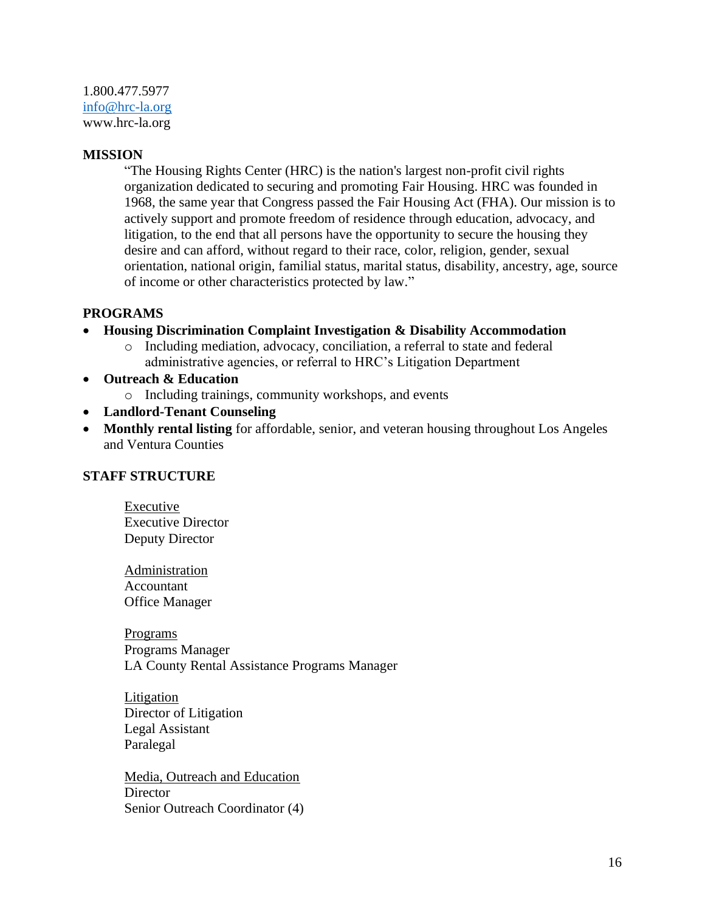1.800.477.5977 [info@hrc-la.org](mailto:info@hrc-la.org) www.hrc-la.org

#### **MISSION**

"The Housing Rights Center (HRC) is the nation's largest non-profit civil rights organization dedicated to securing and promoting Fair Housing. HRC was founded in 1968, the same year that Congress passed the Fair Housing Act (FHA). Our mission is to actively support and promote freedom of residence through education, advocacy, and litigation, to the end that all persons have the opportunity to secure the housing they desire and can afford, without regard to their race, color, religion, gender, sexual orientation, national origin, familial status, marital status, disability, ancestry, age, source of income or other characteristics protected by law."

#### **PROGRAMS**

- **Housing Discrimination Complaint Investigation & Disability Accommodation**
	- o Including mediation, advocacy, conciliation, a referral to state and federal administrative agencies, or referral to HRC's Litigation Department
- **Outreach & Education**
	- o Including trainings, community workshops, and events
- **Landlord-Tenant Counseling**
- **Monthly rental listing** for affordable, senior, and veteran housing throughout Los Angeles and Ventura Counties

#### **STAFF STRUCTURE**

Executive Executive Director Deputy Director

Administration Accountant Office Manager

Programs Programs Manager LA County Rental Assistance Programs Manager

Litigation Director of Litigation Legal Assistant Paralegal

Media, Outreach and Education **Director** Senior Outreach Coordinator (4)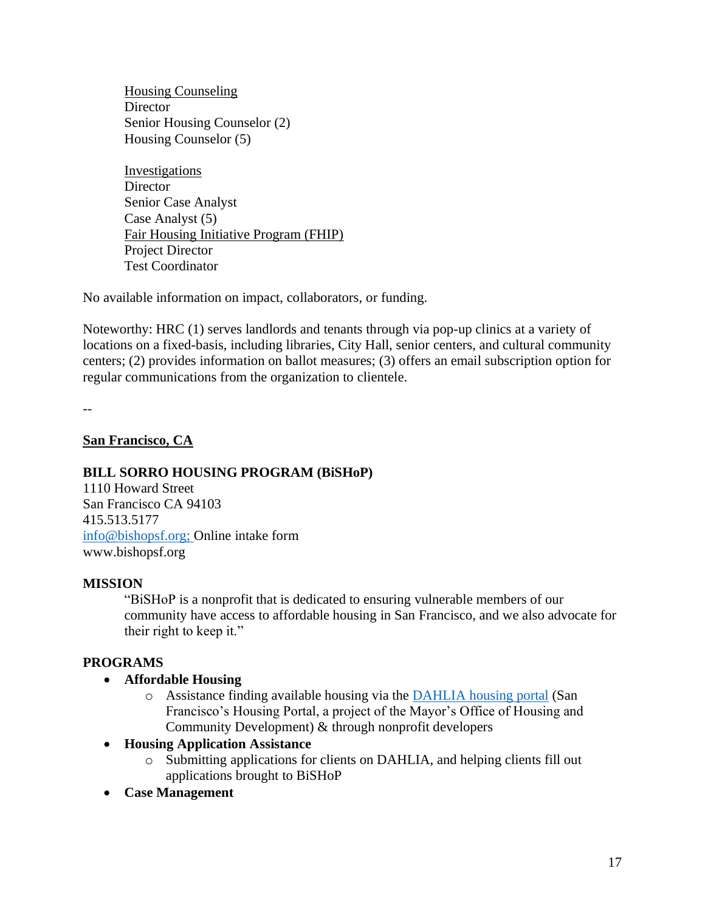Housing Counseling **Director** Senior Housing Counselor (2) Housing Counselor (5)

**Investigations Director** Senior Case Analyst Case Analyst (5) Fair Housing Initiative Program (FHIP) Project Director Test Coordinator

No available information on impact, collaborators, or funding.

Noteworthy: HRC (1) serves landlords and tenants through via pop-up clinics at a variety of locations on a fixed-basis, including libraries, City Hall, senior centers, and cultural community centers; (2) provides information on ballot measures; (3) offers an email subscription option for regular communications from the organization to clientele.

 $\overline{a}$ 

#### **San Francisco, CA**

#### **BILL SORRO HOUSING PROGRAM (BiSHoP)**

1110 Howard Street San Francisco CA 94103 415.513.5177 [info@bishopsf.org;](mailto:info@bishopsf.org) Online intake form www.bishopsf.org

#### **MISSION**

"BiSHoP is a nonprofit that is dedicated to ensuring vulnerable members of our community have access to affordable housing in San Francisco, and we also advocate for their right to keep it."

#### **PROGRAMS**

- **Affordable Housing** 
	- o Assistance finding available housing via the [DAHLIA housing portal](https://housing.sfgov.org/) (San Francisco's Housing Portal, a project of the Mayor's Office of Housing and Community Development) & through nonprofit developers
- **Housing Application Assistance**
	- o Submitting applications for clients on DAHLIA, and helping clients fill out applications brought to BiSHoP
- **Case Management**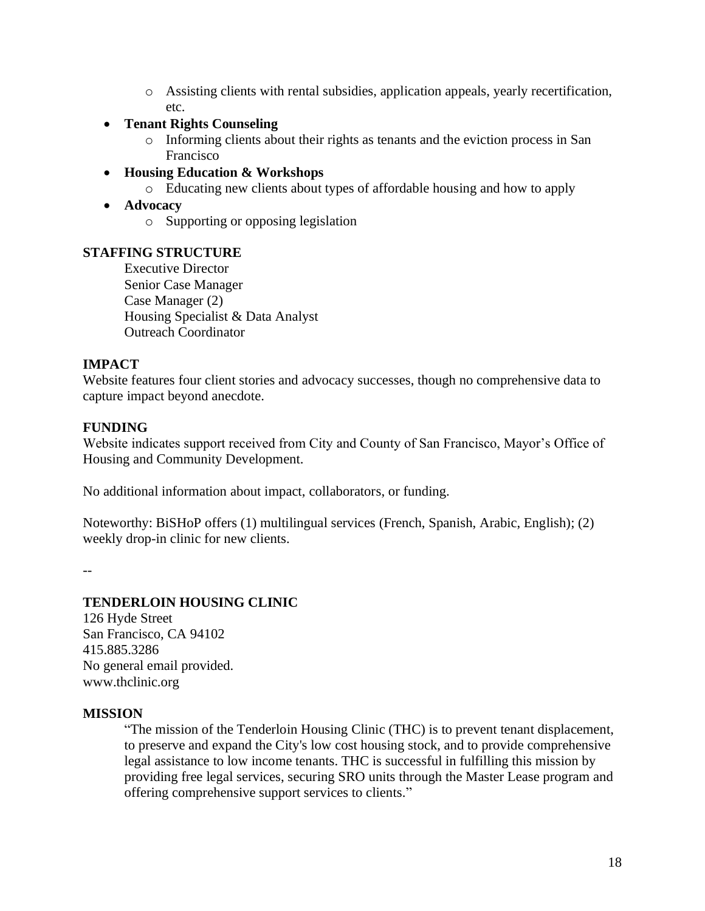- o Assisting clients with rental subsidies, application appeals, yearly recertification, etc.
- **Tenant Rights Counseling** 
	- o Informing clients about their rights as tenants and the eviction process in San Francisco
- **Housing Education & Workshops**
	- o Educating new clients about types of affordable housing and how to apply
- **Advocacy** 
	- o Supporting or opposing legislation

#### **STAFFING STRUCTURE**

Executive Director Senior Case Manager Case Manager (2) Housing Specialist & Data Analyst Outreach Coordinator

## **IMPACT**

Website features four client stories and advocacy successes, though no comprehensive data to capture impact beyond anecdote.

#### **FUNDING**

Website indicates support received from City and County of San Francisco, Mayor's Office of Housing and Community Development.

No additional information about impact, collaborators, or funding.

Noteworthy: BiSHoP offers (1) multilingual services (French, Spanish, Arabic, English); (2) weekly drop-in clinic for new clients.

--

## **TENDERLOIN HOUSING CLINIC**

126 Hyde Street San Francisco, CA 94102 415.885.3286 No general email provided. www.thclinic.org

#### **MISSION**

"The mission of the Tenderloin Housing Clinic (THC) is to prevent tenant displacement, to preserve and expand the City's low cost housing stock, and to provide comprehensive legal assistance to low income tenants. THC is successful in fulfilling this mission by providing free legal services, securing SRO units through the Master Lease program and offering comprehensive support services to clients."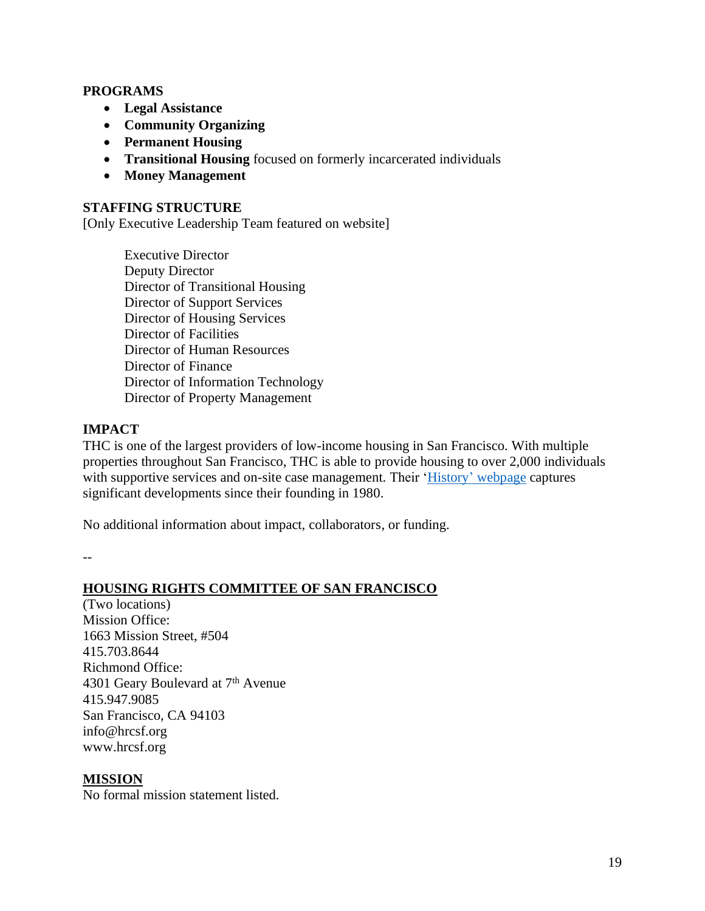#### **PROGRAMS**

- **Legal Assistance**
- **Community Organizing**
- **Permanent Housing**
- **Transitional Housing** focused on formerly incarcerated individuals
- **Money Management**

#### **STAFFING STRUCTURE**

[Only Executive Leadership Team featured on website]

Executive Director Deputy Director Director of Transitional Housing Director of Support Services Director of Housing Services Director of Facilities Director of Human Resources Director of Finance Director of Information Technology Director of Property Management

## **IMPACT**

THC is one of the largest providers of low-income housing in San Francisco. With multiple properties throughout San Francisco, THC is able to provide housing to over 2,000 individuals with supportive services and on-site case management. Their 'History' [webpage](https://www.thclinic.org/about/history.php) captures significant developments since their founding in 1980.

No additional information about impact, collaborators, or funding.

--

## **HOUSING RIGHTS COMMITTEE OF SAN FRANCISCO**

(Two locations) Mission Office: 1663 Mission Street, #504 415.703.8644 Richmond Office: 4301 Geary Boulevard at 7<sup>th</sup> Avenue 415.947.9085 San Francisco, CA 94103 info@hrcsf.org www.hrcsf.org

## **MISSION**

No formal mission statement listed.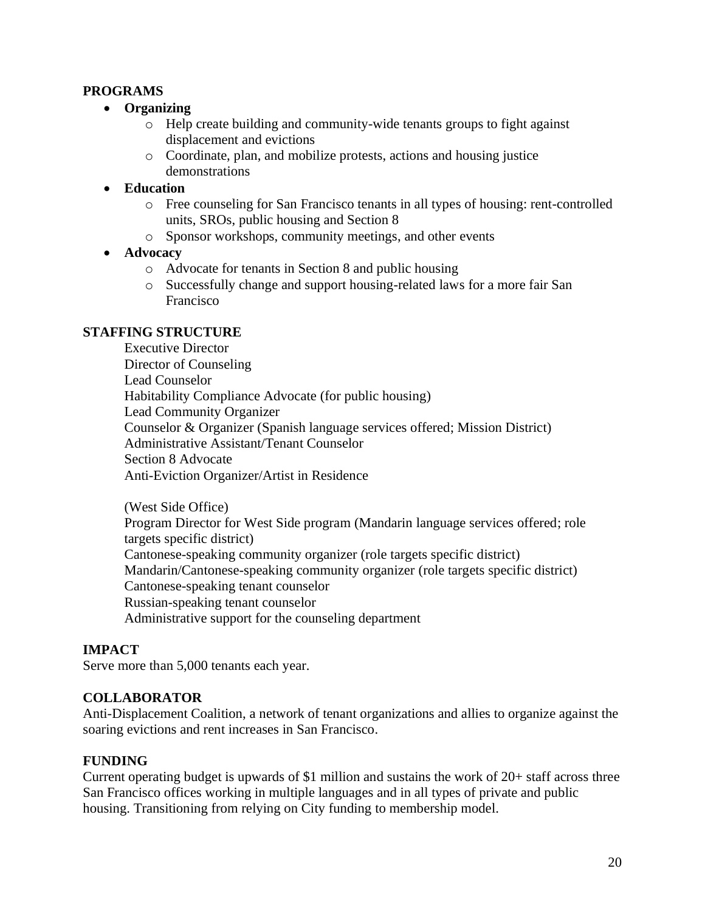#### **PROGRAMS**

- **Organizing**
	- o Help create building and community-wide tenants groups to fight against displacement and evictions
	- o Coordinate, plan, and mobilize protests, actions and housing justice demonstrations

#### • **Education**

- o Free counseling for San Francisco tenants in all types of housing: rent-controlled units, SROs, public housing and Section 8
- o Sponsor workshops, community meetings, and other events
- **Advocacy**
	- o Advocate for tenants in Section 8 and public housing
	- o Successfully change and support housing-related laws for a more fair San Francisco

#### **STAFFING STRUCTURE**

Executive Director Director of Counseling Lead Counselor Habitability Compliance Advocate (for public housing) Lead Community Organizer Counselor & Organizer (Spanish language services offered; Mission District) Administrative Assistant/Tenant Counselor Section 8 Advocate Anti-Eviction Organizer/Artist in Residence

(West Side Office)

Program Director for West Side program (Mandarin language services offered; role targets specific district) Cantonese-speaking community organizer (role targets specific district) Mandarin/Cantonese-speaking community organizer (role targets specific district) Cantonese-speaking tenant counselor Russian-speaking tenant counselor Administrative support for the counseling department

## **IMPACT**

Serve more than 5,000 tenants each year.

#### **COLLABORATOR**

Anti-Displacement Coalition, a network of tenant organizations and allies to organize against the soaring evictions and rent increases in San Francisco.

#### **FUNDING**

Current operating budget is upwards of \$1 million and sustains the work of 20+ staff across three San Francisco offices working in multiple languages and in all types of private and public housing. Transitioning from relying on City funding to membership model.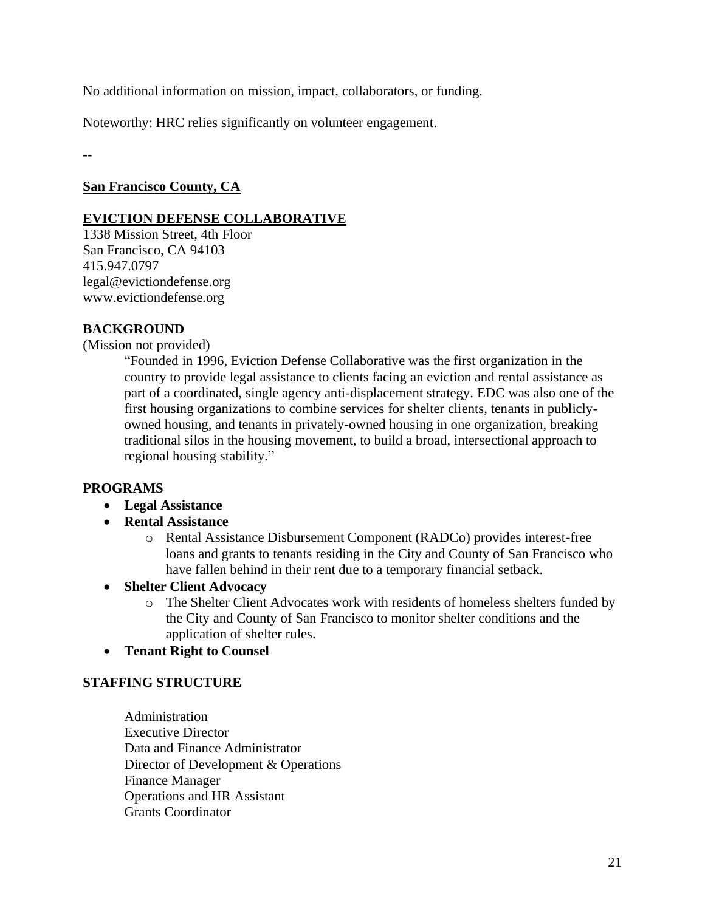No additional information on mission, impact, collaborators, or funding.

Noteworthy: HRC relies significantly on volunteer engagement.

--

# **San Francisco County, CA**

## **EVICTION DEFENSE COLLABORATIVE**

1338 Mission Street, 4th Floor San Francisco, CA 94103 415.947.0797 legal@evictiondefense.org www.evictiondefense.org

# **BACKGROUND**

(Mission not provided)

"Founded in 1996, Eviction Defense Collaborative was the first organization in the country to provide legal assistance to clients facing an eviction and rental assistance as part of a coordinated, single agency anti-displacement strategy. EDC was also one of the first housing organizations to combine services for shelter clients, tenants in publiclyowned housing, and tenants in privately-owned housing in one organization, breaking traditional silos in the housing movement, to build a broad, intersectional approach to regional housing stability."

## **PROGRAMS**

- **Legal Assistance**
- **Rental Assistance** 
	- o Rental Assistance Disbursement Component (RADCo) provides interest-free loans and grants to tenants residing in the City and County of San Francisco who have fallen behind in their rent due to a temporary financial setback.
- **Shelter Client Advocacy** 
	- o The Shelter Client Advocates work with residents of homeless shelters funded by the City and County of San Francisco to monitor shelter conditions and the application of shelter rules.
- **Tenant Right to Counsel**

## **STAFFING STRUCTURE**

Administration Executive Director Data and Finance Administrator Director of Development & Operations Finance Manager Operations and HR Assistant Grants Coordinator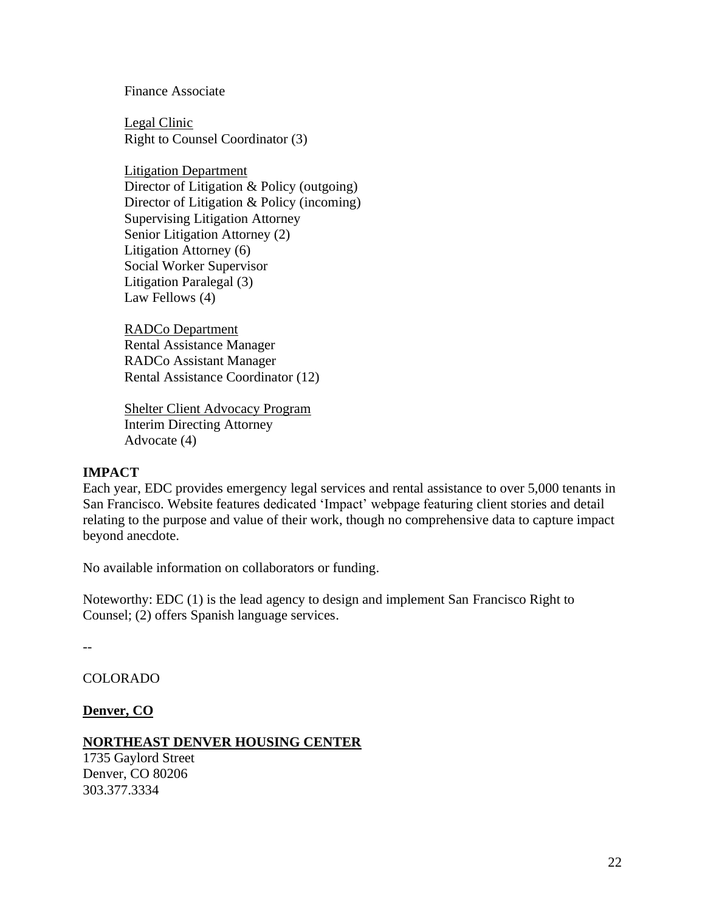Finance Associate

Legal Clinic Right to Counsel Coordinator (3)

Litigation Department Director of Litigation & Policy (outgoing) Director of Litigation & Policy (incoming) Supervising Litigation Attorney Senior Litigation Attorney (2) Litigation Attorney (6) Social Worker Supervisor Litigation Paralegal (3) Law Fellows (4)

RADCo Department Rental Assistance Manager RADCo Assistant Manager Rental Assistance Coordinator (12)

Shelter Client Advocacy Program Interim Directing Attorney Advocate (4)

#### **IMPACT**

Each year, EDC provides emergency legal services and rental assistance to over 5,000 tenants in San Francisco. Website features dedicated 'Impact' webpage featuring client stories and detail relating to the purpose and value of their work, though no comprehensive data to capture impact beyond anecdote.

No available information on collaborators or funding.

Noteworthy: EDC (1) is the lead agency to design and implement San Francisco Right to Counsel; (2) offers Spanish language services.

--

COLORADO

**Denver, CO** 

#### **NORTHEAST DENVER HOUSING CENTER**

1735 Gaylord Street Denver, CO 80206 303.377.3334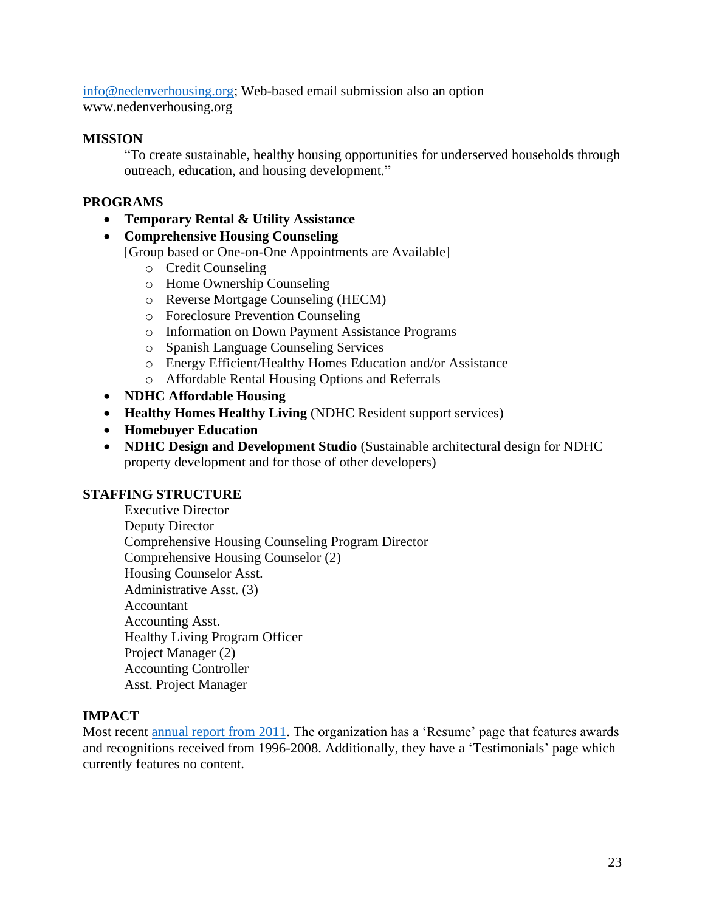[info@nedenverhousing.org;](mailto:info@nedenverhousing.org) Web-based email submission also an option www.nedenverhousing.org

#### **MISSION**

"To create sustainable, healthy housing opportunities for underserved households through outreach, education, and housing development."

### **PROGRAMS**

• **Temporary Rental & Utility Assistance** 

#### • **Comprehensive Housing Counseling**

[Group based or One-on-One Appointments are Available]

- o Credit Counseling
- o Home Ownership Counseling
- o Reverse Mortgage Counseling (HECM)
- o Foreclosure Prevention Counseling
- o Information on Down Payment Assistance Programs
- o Spanish Language Counseling Services
- o Energy Efficient/Healthy Homes Education and/or Assistance
- o Affordable Rental Housing Options and Referrals
- **NDHC Affordable Housing**
- **Healthy Homes Healthy Living** (NDHC Resident support services)
- **Homebuyer Education**
- **NDHC Design and Development Studio** (Sustainable architectural design for NDHC property development and for those of other developers)

#### **STAFFING STRUCTURE**

Executive Director Deputy Director Comprehensive Housing Counseling Program Director Comprehensive Housing Counselor (2) Housing Counselor Asst. Administrative Asst. (3) Accountant Accounting Asst. Healthy Living Program Officer Project Manager (2) Accounting Controller Asst. Project Manager

#### **IMPACT**

Most recent [annual report from 2011.](https://www.nedenverhousing.org/wp-content/uploads/2018/03/2011_Annual_Report_NDHC.pdf) The organization has a 'Resume' page that features awards and recognitions received from 1996-2008. Additionally, they have a 'Testimonials' page which currently features no content.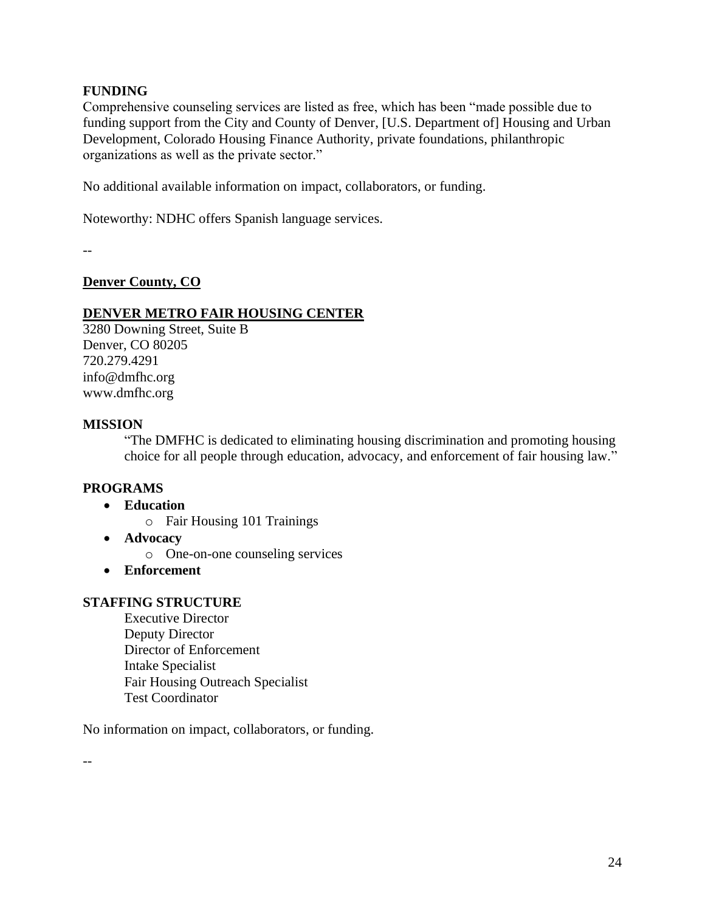## **FUNDING**

Comprehensive counseling services are listed as free, which has been "made possible due to funding support from the City and County of Denver, [U.S. Department of] Housing and Urban Development, Colorado Housing Finance Authority, private foundations, philanthropic organizations as well as the private sector."

No additional available information on impact, collaborators, or funding.

Noteworthy: NDHC offers Spanish language services.

--

## **Denver County, CO**

#### **DENVER METRO FAIR HOUSING CENTER**

3280 Downing Street, Suite B Denver, CO 80205 720.279.4291 info@dmfhc.org www.dmfhc.org

#### **MISSION**

"The DMFHC is dedicated to eliminating housing discrimination and promoting housing choice for all people through education, advocacy, and enforcement of fair housing law."

## **PROGRAMS**

- **Education**
	- o Fair Housing 101 Trainings
- **Advocacy**
	- o One-on-one counseling services
- **Enforcement**

#### **STAFFING STRUCTURE**

Executive Director Deputy Director Director of Enforcement Intake Specialist Fair Housing Outreach Specialist Test Coordinator

No information on impact, collaborators, or funding.

--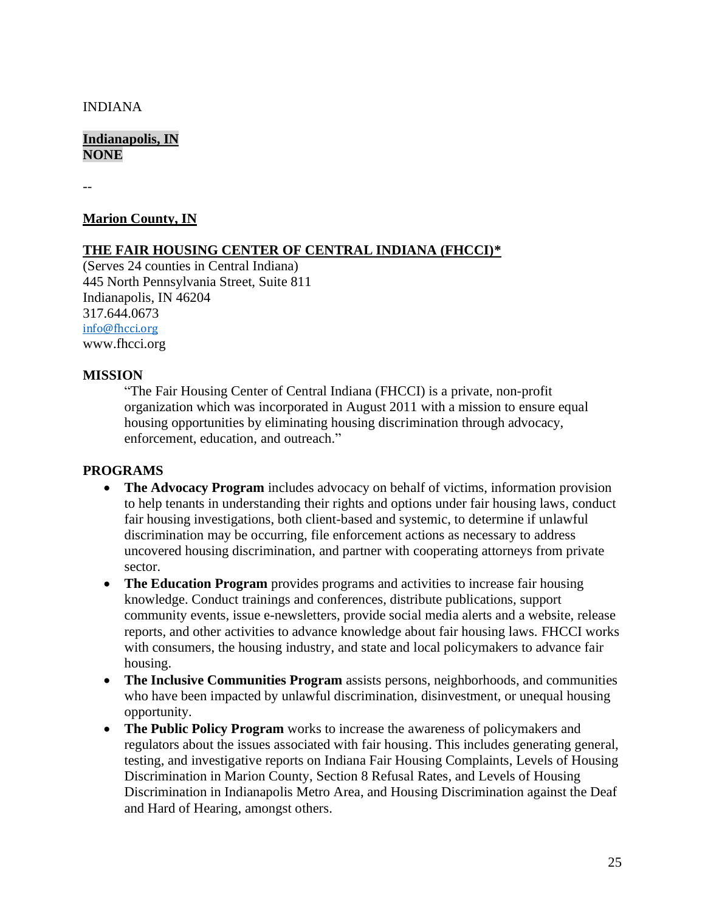#### INDIANA

#### **Indianapolis, IN NONE**

--

#### **Marion County, IN**

#### **THE FAIR HOUSING CENTER OF CENTRAL INDIANA (FHCCI)\***

(Serves 24 counties in Central Indiana) 445 North Pennsylvania Street, Suite 811 Indianapolis, IN 46204 317.644.0673 [info@fhcci.org](mailto:info@fhcci.org) www.fhcci.org

#### **MISSION**

"The Fair Housing Center of Central Indiana (FHCCI) is a private, non-profit organization which was incorporated in August 2011 with a mission to ensure equal housing opportunities by eliminating housing discrimination through advocacy, enforcement, education, and outreach."

#### **PROGRAMS**

- **The Advocacy Program** includes advocacy on behalf of victims, information provision to help tenants in understanding their rights and options under fair housing laws, conduct fair housing investigations, both client-based and systemic, to determine if unlawful discrimination may be occurring, file enforcement actions as necessary to address uncovered housing discrimination, and partner with cooperating attorneys from private sector.
- **The Education Program** provides programs and activities to increase fair housing knowledge. Conduct trainings and conferences, distribute publications, support community events, issue e-newsletters, provide social media alerts and a website, release reports, and other activities to advance knowledge about fair housing laws. FHCCI works with consumers, the housing industry, and state and local policymakers to advance fair housing.
- **The Inclusive Communities Program** assists persons, neighborhoods, and communities who have been impacted by unlawful discrimination, disinvestment, or unequal housing opportunity.
- **The Public Policy Program** works to increase the awareness of policymakers and regulators about the issues associated with fair housing. This includes generating general, testing, and investigative reports on Indiana Fair Housing Complaints, Levels of Housing Discrimination in Marion County, Section 8 Refusal Rates, and Levels of Housing Discrimination in Indianapolis Metro Area, and Housing Discrimination against the Deaf and Hard of Hearing, amongst others.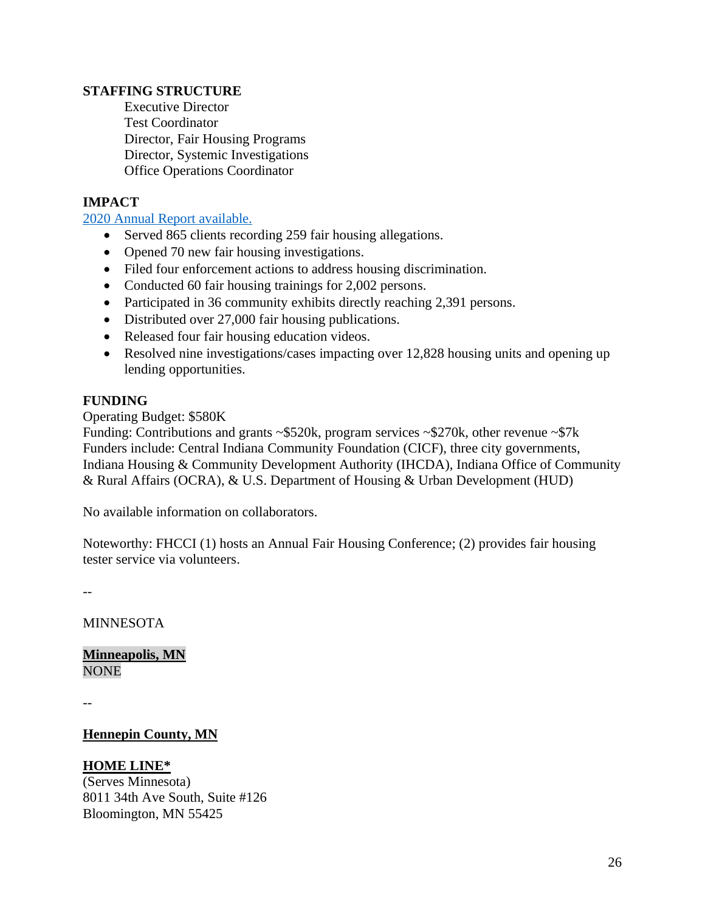### **STAFFING STRUCTURE**

Executive Director Test Coordinator Director, Fair Housing Programs Director, Systemic Investigations Office Operations Coordinator

# **IMPACT**

[2020 Annual Report](https://www.fhcci.org/wp-content/uploads/2020/04/2019-FHCCI-Annual-Report.pdf) available.

- Served 865 clients recording 259 fair housing allegations.
- Opened 70 new fair housing investigations.
- Filed four enforcement actions to address housing discrimination.
- Conducted 60 fair housing trainings for 2,002 persons.
- Participated in 36 community exhibits directly reaching 2,391 persons.
- Distributed over 27,000 fair housing publications.
- Released four fair housing education videos.
- Resolved nine investigations/cases impacting over 12,828 housing units and opening up lending opportunities.

#### **FUNDING**

#### Operating Budget: \$580K

Funding: Contributions and grants  $\sim$ \$520k, program services  $\sim$ \$270k, other revenue  $\sim$ \$7k Funders include: Central Indiana Community Foundation (CICF), three city governments, Indiana Housing & Community Development Authority (IHCDA), Indiana Office of Community & Rural Affairs (OCRA), & U.S. Department of Housing & Urban Development (HUD)

No available information on collaborators.

Noteworthy: FHCCI (1) hosts an Annual Fair Housing Conference; (2) provides fair housing tester service via volunteers.

--

MINNESOTA

**Minneapolis, MN NONE** 

--

#### **Hennepin County, MN**

## **HOME LINE\***

(Serves Minnesota) 8011 34th Ave South, Suite #126 Bloomington, MN 55425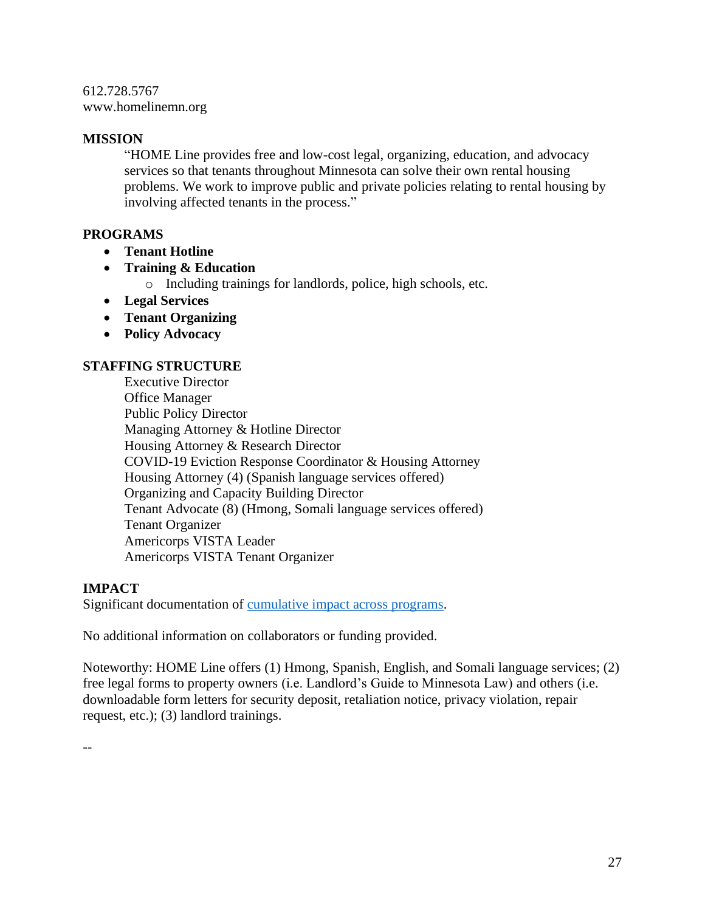612.728.5767 www.homelinemn.org

#### **MISSION**

"HOME Line provides free and low-cost legal, organizing, education, and advocacy services so that tenants throughout Minnesota can solve their own rental housing problems. We work to improve public and private policies relating to rental housing by involving affected tenants in the process."

## **PROGRAMS**

- **Tenant Hotline**
- **Training & Education**
	- o Including trainings for landlords, police, high schools, etc.
- **Legal Services**
- **Tenant Organizing**
- **Policy Advocacy**

#### **STAFFING STRUCTURE**

Executive Director Office Manager Public Policy Director Managing Attorney & Hotline Director Housing Attorney & Research Director COVID-19 Eviction Response Coordinator & Housing Attorney Housing Attorney (4) (Spanish language services offered) Organizing and Capacity Building Director Tenant Advocate (8) (Hmong, Somali language services offered) Tenant Organizer Americorps VISTA Leader Americorps VISTA Tenant Organizer

## **IMPACT**

Significant documentation of [cumulative impact across programs.](https://homelinemn.org/mission-history/)

No additional information on collaborators or funding provided.

Noteworthy: HOME Line offers (1) Hmong, Spanish, English, and Somali language services; (2) free legal forms to property owners (i.e. Landlord's Guide to Minnesota Law) and others (i.e. downloadable form letters for security deposit, retaliation notice, privacy violation, repair request, etc.); (3) landlord trainings.

--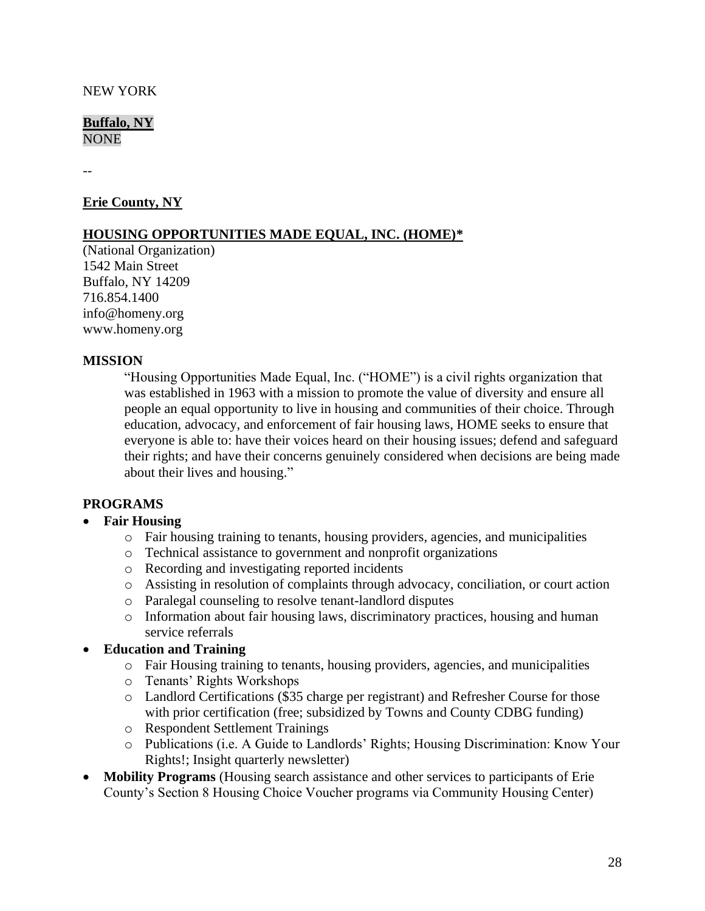#### NEW YORK

**Buffalo, NY NONE** 

--

#### **Erie County, NY**

#### **HOUSING OPPORTUNITIES MADE EQUAL, INC. (HOME)\***

(National Organization) 1542 Main Street Buffalo, NY 14209 716.854.1400 info@homeny.org www.homeny.org

#### **MISSION**

"Housing Opportunities Made Equal, Inc. ("HOME") is a civil rights organization that was established in 1963 with a mission to promote the value of diversity and ensure all people an equal opportunity to live in housing and communities of their choice. Through education, advocacy, and enforcement of fair housing laws, HOME seeks to ensure that everyone is able to: have their voices heard on their housing issues; defend and safeguard their rights; and have their concerns genuinely considered when decisions are being made about their lives and housing."

#### **PROGRAMS**

#### • **Fair Housing**

- o Fair housing training to tenants, housing providers, agencies, and municipalities
- o Technical assistance to government and nonprofit organizations
- o Recording and investigating reported incidents
- o Assisting in resolution of complaints through advocacy, conciliation, or court action
- o Paralegal counseling to resolve tenant-landlord disputes
- o Information about fair housing laws, discriminatory practices, housing and human service referrals

## • **Education and Training**

- o Fair Housing training to tenants, housing providers, agencies, and municipalities
- o Tenants' Rights Workshops
- o Landlord Certifications (\$35 charge per registrant) and Refresher Course for those with prior certification (free; subsidized by Towns and County CDBG funding)
- o Respondent Settlement Trainings
- o Publications (i.e. A Guide to Landlords' Rights; Housing Discrimination: Know Your Rights!; Insight quarterly newsletter)
- **Mobility Programs** (Housing search assistance and other services to participants of Erie County's Section 8 Housing Choice Voucher programs via Community Housing Center)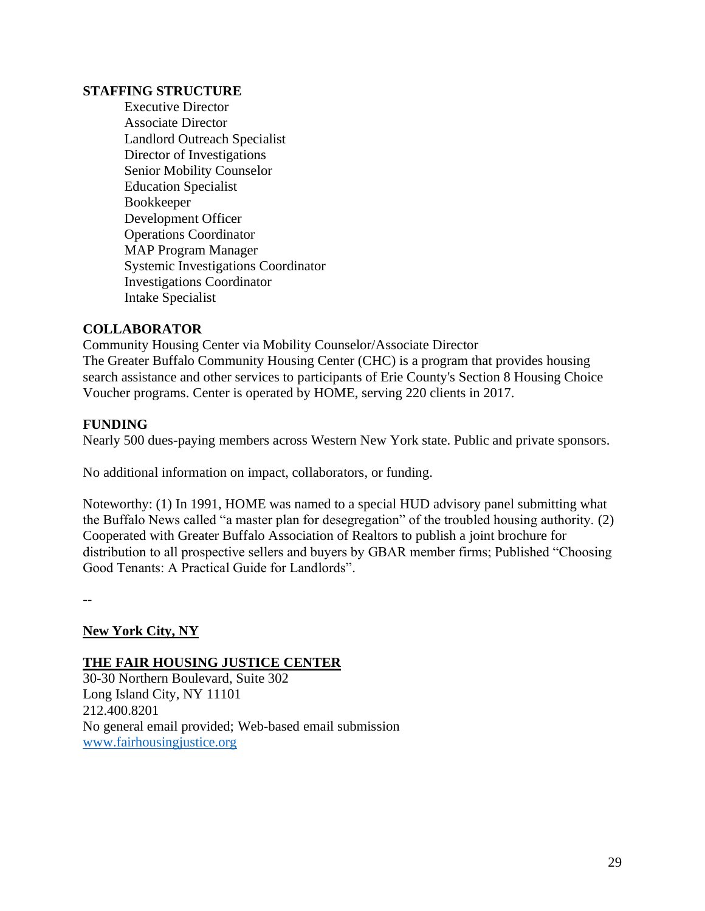#### **STAFFING STRUCTURE**

Executive Director Associate Director Landlord Outreach Specialist Director of Investigations Senior Mobility Counselor Education Specialist Bookkeeper Development Officer Operations Coordinator MAP Program Manager Systemic Investigations Coordinator Investigations Coordinator Intake Specialist

#### **COLLABORATOR**

Community Housing Center via Mobility Counselor/Associate Director The Greater Buffalo Community Housing Center (CHC) is a program that provides housing search assistance and other services to participants of Erie County's Section 8 Housing Choice Voucher programs. Center is operated by HOME, serving 220 clients in 2017.

#### **FUNDING**

Nearly 500 dues-paying members across Western New York state. Public and private sponsors.

No additional information on impact, collaborators, or funding.

Noteworthy: (1) In 1991, HOME was named to a special HUD advisory panel submitting what the Buffalo News called "a master plan for desegregation" of the troubled housing authority. (2) Cooperated with Greater Buffalo Association of Realtors to publish a joint brochure for distribution to all prospective sellers and buyers by GBAR member firms; Published "Choosing Good Tenants: A Practical Guide for Landlords".

--

## **New York City, NY**

#### **THE FAIR HOUSING JUSTICE CENTER**

30-30 Northern Boulevard, Suite 302 Long Island City, NY 11101 212.400.8201 No general email provided; Web-based email submission [www.fairhousingjustice.org](http://www.fairhousingjustice.org/)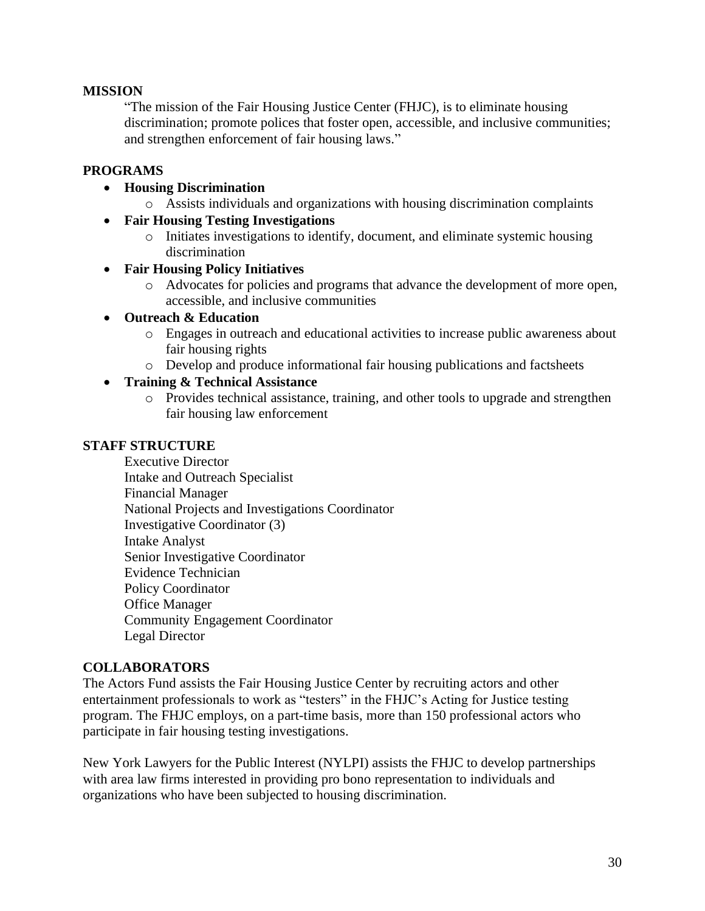## **MISSION**

"The mission of the Fair Housing Justice Center (FHJC), is to eliminate housing discrimination; promote polices that foster open, accessible, and inclusive communities; and strengthen enforcement of fair housing laws."

# **PROGRAMS**

- **Housing Discrimination**
	- o Assists individuals and organizations with housing discrimination complaints
- **Fair Housing Testing Investigations**
	- o Initiates investigations to identify, document, and eliminate systemic housing discrimination
- **Fair Housing Policy Initiatives**
	- o Advocates for policies and programs that advance the development of more open, accessible, and inclusive communities

#### • **Outreach & Education**

- o Engages in outreach and educational activities to increase public awareness about fair housing rights
- o Develop and produce informational fair housing publications and factsheets

#### • **Training & Technical Assistance**

o Provides technical assistance, training, and other tools to upgrade and strengthen fair housing law enforcement

#### **STAFF STRUCTURE**

Executive Director Intake and Outreach Specialist Financial Manager National Projects and Investigations Coordinator Investigative Coordinator (3) Intake Analyst Senior Investigative Coordinator Evidence Technician Policy Coordinator Office Manager Community Engagement Coordinator Legal Director

## **COLLABORATORS**

The Actors Fund assists the Fair Housing Justice Center by recruiting actors and other entertainment professionals to work as "testers" in the FHJC's Acting for Justice testing program. The FHJC employs, on a part-time basis, more than 150 professional actors who participate in fair housing testing investigations.

New York Lawyers for the Public Interest (NYLPI) assists the FHJC to develop partnerships with area law firms interested in providing pro bono representation to individuals and organizations who have been subjected to housing discrimination.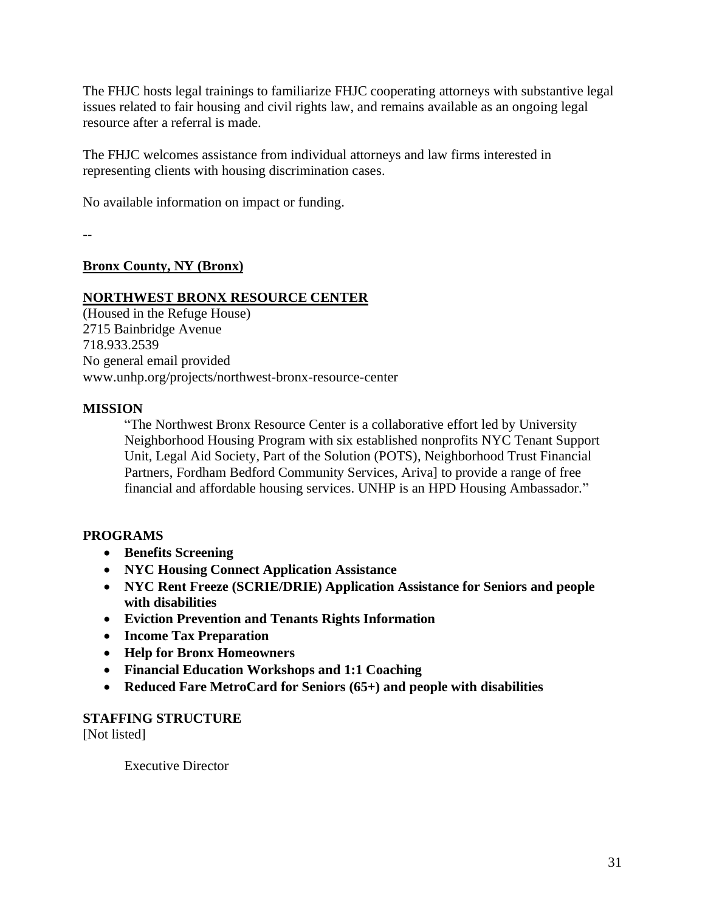The FHJC hosts legal trainings to familiarize FHJC cooperating attorneys with substantive legal issues related to fair housing and civil rights law, and remains available as an ongoing legal resource after a referral is made.

The FHJC welcomes assistance from individual attorneys and law firms interested in representing clients with housing discrimination cases.

No available information on impact or funding.

--

## **Bronx County, NY (Bronx)**

## **NORTHWEST BRONX RESOURCE CENTER**

(Housed in the Refuge House) 2715 Bainbridge Avenue 718.933.2539 No general email provided www.unhp.org/projects/northwest-bronx-resource-center

## **MISSION**

"The Northwest Bronx Resource Center is a collaborative effort led by University Neighborhood Housing Program with six established nonprofits NYC Tenant Support Unit, Legal Aid Society, Part of the Solution (POTS), Neighborhood Trust Financial Partners, Fordham Bedford Community Services, Ariva] to provide a range of free financial and affordable housing services. UNHP is an HPD Housing Ambassador."

## **PROGRAMS**

- **Benefits Screening**
- **NYC Housing Connect Application Assistance**
- **NYC Rent Freeze (SCRIE/DRIE) Application Assistance for Seniors and people with disabilities**
- **Eviction Prevention and Tenants Rights Information**
- **Income Tax Preparation**
- **Help for Bronx Homeowners**
- **Financial Education Workshops and 1:1 Coaching**
- **Reduced Fare MetroCard for Seniors (65+) and people with disabilities**

#### **STAFFING STRUCTURE**

[Not listed]

Executive Director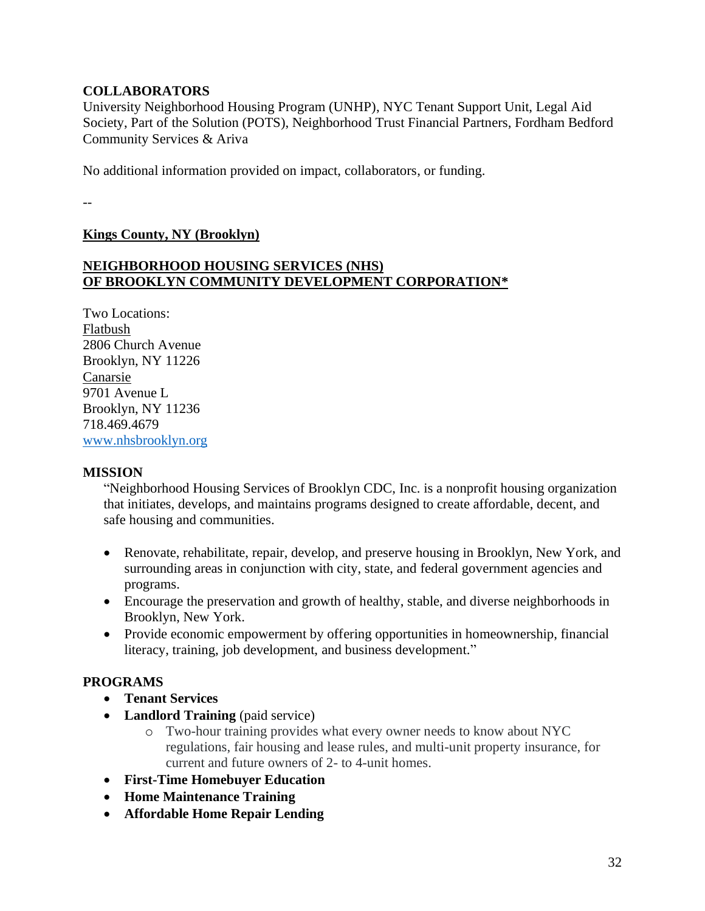## **COLLABORATORS**

University Neighborhood Housing Program (UNHP), NYC Tenant Support Unit, Legal Aid Society, Part of the Solution (POTS), Neighborhood Trust Financial Partners, Fordham Bedford Community Services & Ariva

No additional information provided on impact, collaborators, or funding.

--

**Kings County, NY (Brooklyn)** 

## **NEIGHBORHOOD HOUSING SERVICES (NHS) OF BROOKLYN COMMUNITY DEVELOPMENT CORPORATION\***

Two Locations: Flatbush 2806 Church Avenue Brooklyn, NY 11226 Canarsie 9701 Avenue L Brooklyn, NY 11236 718.469.4679 [www.nhsbrooklyn.org](http://www.nhsbrooklyn.org/)

#### **MISSION**

"Neighborhood Housing Services of Brooklyn CDC, Inc. is a nonprofit housing organization that initiates, develops, and maintains programs designed to create affordable, decent, and safe housing and communities.

- Renovate, rehabilitate, repair, develop, and preserve housing in Brooklyn, New York, and surrounding areas in conjunction with city, state, and federal government agencies and programs.
- Encourage the preservation and growth of healthy, stable, and diverse neighborhoods in Brooklyn, New York.
- Provide economic empowerment by offering opportunities in homeownership, financial literacy, training, job development, and business development."

## **PROGRAMS**

- **Tenant Services**
- **Landlord Training** (paid service)
	- o Two-hour training provides what every owner needs to know about NYC regulations, fair housing and lease rules, and multi-unit property insurance, for current and future owners of 2- to 4-unit homes.
- **First-Time Homebuyer Education**
- **Home Maintenance Training**
- **Affordable Home Repair Lending**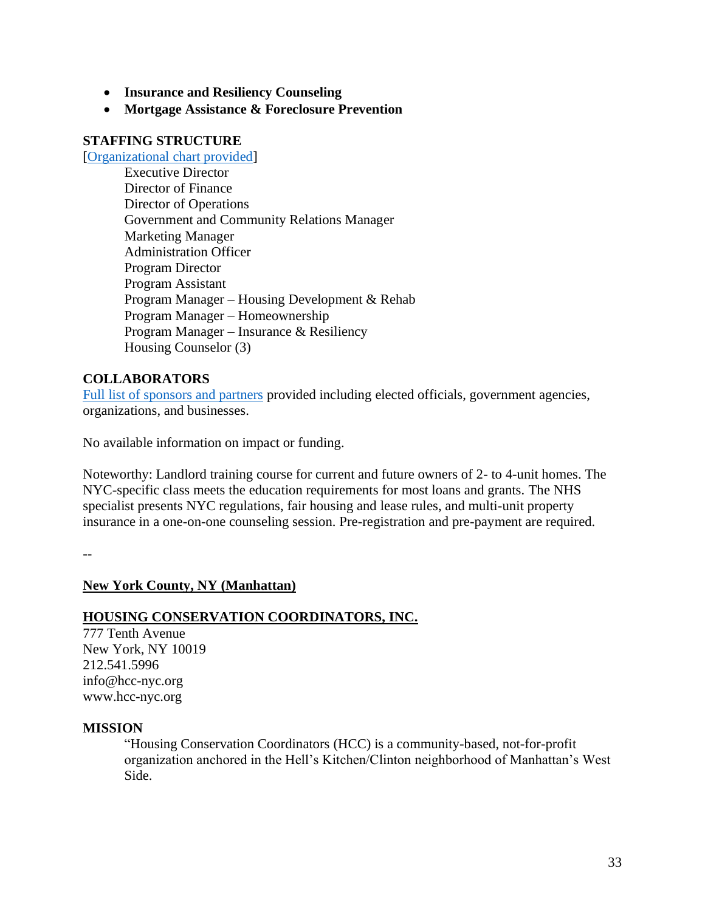- **Insurance and Resiliency Counseling**
- **Mortgage Assistance & Foreclosure Prevention**

#### **STAFFING STRUCTURE**

[\[Organizational chart provided\]](https://www.nhsbrooklyn.org/organizational-chart)

Executive Director Director of Finance Director of Operations Government and Community Relations Manager Marketing Manager Administration Officer Program Director Program Assistant Program Manager – Housing Development & Rehab Program Manager – Homeownership Program Manager – Insurance & Resiliency Housing Counselor (3)

#### **COLLABORATORS**

Full list [of sponsors and partners](https://www.nhsbrooklyn.org/sponsors-partners) provided including elected officials, government agencies, organizations, and businesses.

No available information on impact or funding.

Noteworthy: Landlord training course for current and future owners of 2- to 4-unit homes. The NYC-specific class meets the education requirements for most loans and grants. The NHS specialist presents NYC regulations, fair housing and lease rules, and multi-unit property insurance in a one-on-one counseling session. Pre-registration and pre-payment are required.

--

#### **New York County, NY (Manhattan)**

#### **HOUSING CONSERVATION COORDINATORS, INC.**

777 Tenth Avenue New York, NY 10019 212.541.5996 info@hcc-nyc.org www.hcc-nyc.org

#### **MISSION**

"Housing Conservation Coordinators (HCC) is a community-based, not-for-profit organization anchored in the Hell's Kitchen/Clinton neighborhood of Manhattan's West Side.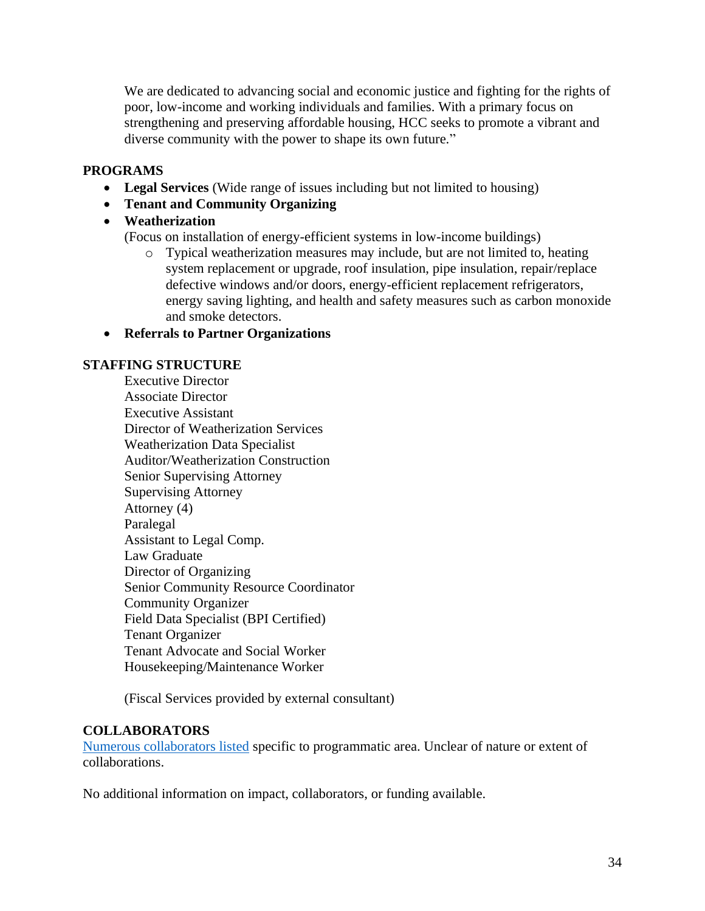We are dedicated to advancing social and economic justice and fighting for the rights of poor, low-income and working individuals and families. With a primary focus on strengthening and preserving affordable housing, HCC seeks to promote a vibrant and diverse community with the power to shape its own future."

## **PROGRAMS**

- **Legal Services** (Wide range of issues including but not limited to housing)
- **Tenant and Community Organizing**
- **Weatherization**

(Focus on installation of energy-efficient systems in low-income buildings)

- o Typical weatherization measures may include, but are not limited to, heating system replacement or upgrade, roof insulation, pipe insulation, repair/replace defective windows and/or doors, energy-efficient replacement refrigerators, energy saving lighting, and health and safety measures such as carbon monoxide and smoke detectors.
- **Referrals to Partner Organizations**

## **STAFFING STRUCTURE**

Executive Director Associate Director Executive Assistant Director of Weatherization Services Weatherization Data Specialist Auditor/Weatherization Construction Senior Supervising Attorney Supervising Attorney Attorney (4) Paralegal Assistant to Legal Comp. Law Graduate Director of Organizing Senior Community Resource Coordinator Community Organizer Field Data Specialist (BPI Certified) Tenant Organizer Tenant Advocate and Social Worker Housekeeping/Maintenance Worker

(Fiscal Services provided by external consultant)

## **COLLABORATORS**

[Numerous collaborators listed](http://www.hcc-nyc.org/tenorg/partners.htm) specific to programmatic area. Unclear of nature or extent of collaborations.

No additional information on impact, collaborators, or funding available.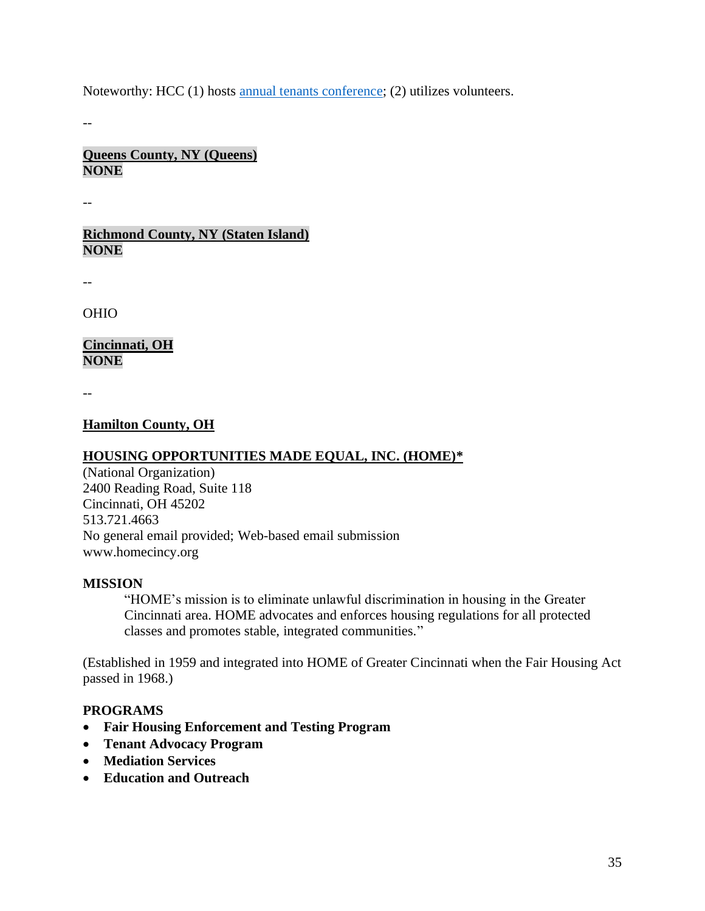Noteworthy: HCC (1) hosts [annual tenants conference;](http://www.hcc-nyc.org/tenorg/conference.htm) (2) utilizes volunteers.

--

**Queens County, NY (Queens) NONE**

--

**Richmond County, NY (Staten Island) NONE**

--

OHIO

**Cincinnati, OH NONE**

--

#### **Hamilton County, OH**

## **HOUSING OPPORTUNITIES MADE EQUAL, INC. (HOME)\***

(National Organization) 2400 Reading Road, Suite 118 Cincinnati, OH 45202 513.721.4663 No general email provided; Web-based email submission www.homecincy.org

#### **MISSION**

"HOME's mission is to eliminate unlawful discrimination in housing in the Greater Cincinnati area. HOME advocates and enforces housing regulations for all protected classes and promotes stable, integrated communities."

(Established in 1959 and integrated into HOME of Greater Cincinnati when the Fair Housing Act passed in 1968.)

#### **PROGRAMS**

- **Fair Housing Enforcement and Testing Program**
- **Tenant Advocacy Program**
- **Mediation Services**
- **Education and Outreach**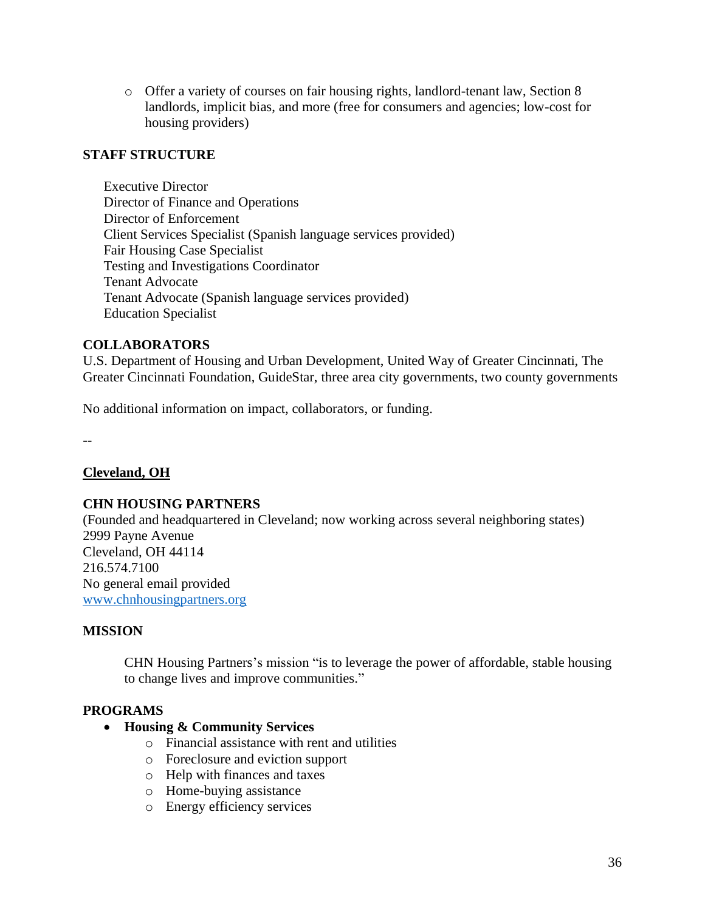o Offer a variety of courses on fair housing rights, landlord-tenant law, Section 8 landlords, implicit bias, and more (free for consumers and agencies; low-cost for housing providers)

## **STAFF STRUCTURE**

Executive Director Director of Finance and Operations Director of Enforcement Client Services Specialist (Spanish language services provided) Fair Housing Case Specialist Testing and Investigations Coordinator Tenant Advocate Tenant Advocate (Spanish language services provided) Education Specialist

## **COLLABORATORS**

U.S. Department of Housing and Urban Development, United Way of Greater Cincinnati, The Greater Cincinnati Foundation, GuideStar, three area city governments, two county governments

No additional information on impact, collaborators, or funding.

--

## **Cleveland, OH**

#### **CHN HOUSING PARTNERS**

(Founded and headquartered in Cleveland; now working across several neighboring states) 2999 Payne Avenue Cleveland, OH 44114 216.574.7100 No general email provided [www.chnhousingpartners.org](http://www.chnhousingpartners.org/)

#### **MISSION**

CHN Housing Partners's mission "is to leverage the power of affordable, stable housing to change lives and improve communities."

#### **PROGRAMS**

#### • **Housing & Community Services**

- o Financial assistance with rent and utilities
- o Foreclosure and eviction support
- o Help with finances and taxes
- o Home-buying assistance
- o Energy efficiency services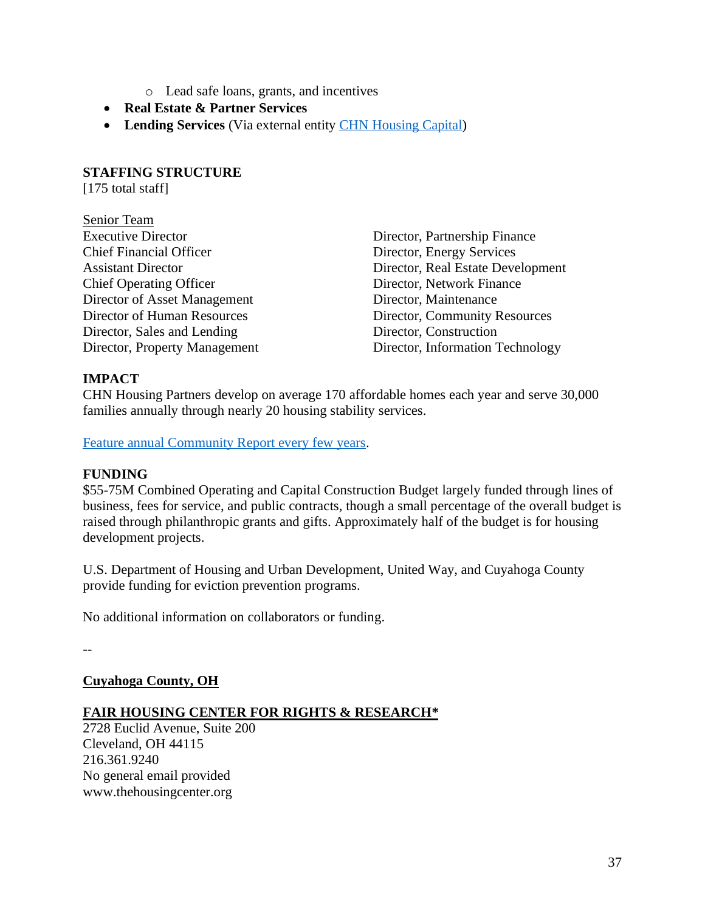- o Lead safe loans, grants, and incentives
- **Real Estate & Partner Services**
- **Lending Services** (Via external entity [CHN Housing Capital\)](https://chnhousingcapital.org/)

#### **STAFFING STRUCTURE**

[175 total staff]

| Director, Partnership Finance     |
|-----------------------------------|
| Director, Energy Services         |
| Director, Real Estate Development |
| Director, Network Finance         |
| Director, Maintenance             |
| Director, Community Resources     |
| Director, Construction            |
| Director, Information Technology  |
|                                   |

# **IMPACT**

CHN Housing Partners develop on average 170 affordable homes each year and serve 30,000 families annually through nearly 20 housing stability services.

[Feature annual Community Report every few years.](https://chnhousingpartners.org/annual-reports/)

## **FUNDING**

\$55-75M Combined Operating and Capital Construction Budget largely funded through lines of business, fees for service, and public contracts, though a small percentage of the overall budget is raised through philanthropic grants and gifts. Approximately half of the budget is for housing development projects.

U.S. Department of Housing and Urban Development, United Way, and Cuyahoga County provide funding for eviction prevention programs.

No additional information on collaborators or funding.

--

**Cuyahoga County, OH**

## **FAIR HOUSING CENTER FOR RIGHTS & RESEARCH\***

2728 Euclid Avenue, Suite 200 Cleveland, OH 44115 216.361.9240 No general email provided www.thehousingcenter.org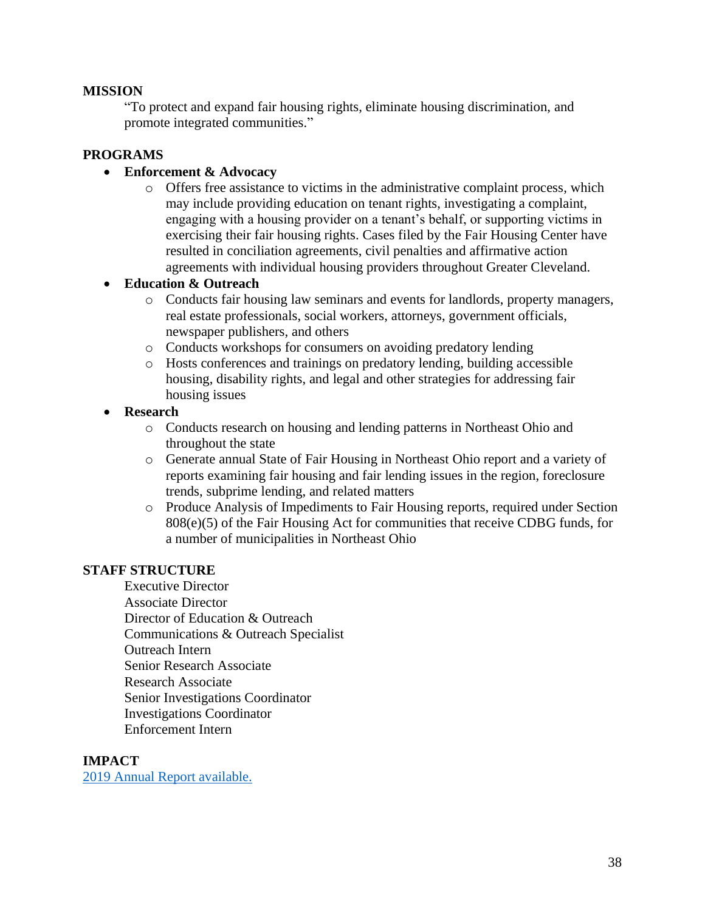#### **MISSION**

"To protect and expand fair housing rights, eliminate housing discrimination, and promote integrated communities."

### **PROGRAMS**

#### • **Enforcement & Advocacy**

o Offers free assistance to victims in the administrative complaint process, which may include providing education on tenant rights, investigating a complaint, engaging with a housing provider on a tenant's behalf, or supporting victims in exercising their fair housing rights. Cases filed by the Fair Housing Center have resulted in conciliation agreements, civil penalties and affirmative action agreements with individual housing providers throughout Greater Cleveland.

#### • **Education & Outreach**

- o Conducts fair housing law seminars and events for landlords, property managers, real estate professionals, social workers, attorneys, government officials, newspaper publishers, and others
- o Conducts workshops for consumers on avoiding predatory lending
- o Hosts conferences and trainings on predatory lending, building accessible housing, disability rights, and legal and other strategies for addressing fair housing issues

#### • **Research**

- o [Conducts](https://www.thehousingcenter.org/publications/research-and-reports/) research on housing and lending patterns in Northeast Ohio and throughout the state
- o Generate annual State of Fair Housing in Northeast Ohio report and a variety of reports examining fair housing and fair lending issues in the region, foreclosure trends, subprime lending, and related matters
- o Produce Analysis of Impediments to Fair Housing reports, required under Section 808(e)(5) of the Fair Housing Act for communities that receive CDBG funds, for a number of municipalities in Northeast Ohio

#### **STAFF STRUCTURE**

Executive Director Associate Director Director of Education & Outreach Communications & Outreach Specialist Outreach Intern Senior Research Associate Research Associate Senior Investigations Coordinator Investigations Coordinator Enforcement Intern

#### **IMPACT**

[2019 Annual Report available.](https://www.thehousingcenter.org/publications/annual-reports/)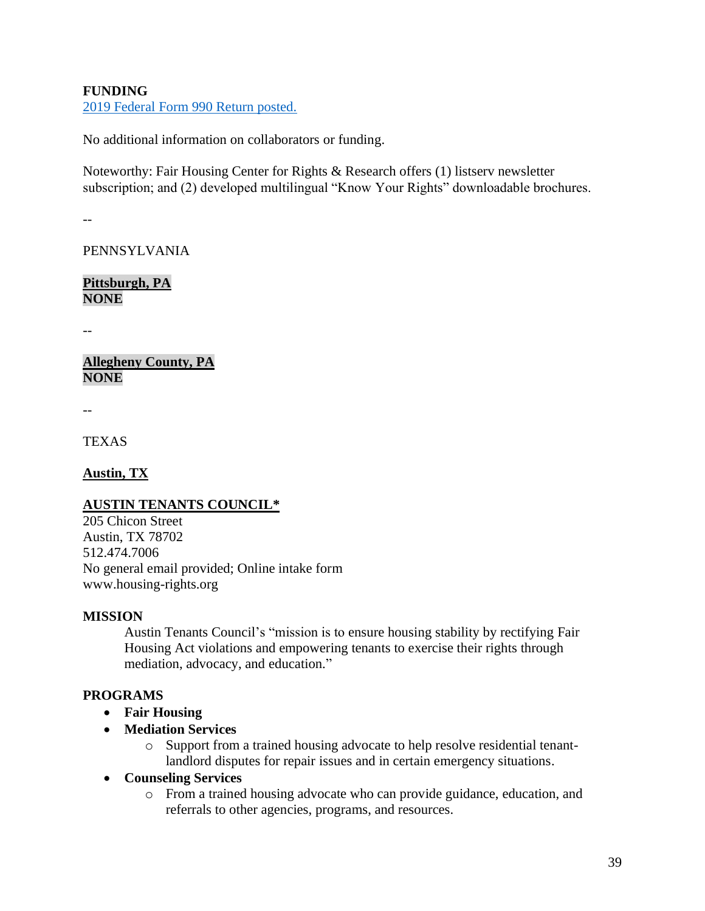## **FUNDING**

[2019 Federal Form 990 Return posted.](https://www.thehousingcenter.org/wp-content/uploads/2021/01/CAP_signed_990_2019_HRAC.pdf)

No additional information on collaborators or funding.

Noteworthy: Fair Housing Center for Rights & Research offers (1) listserv newsletter subscription; and (2) developed multilingual "Know Your Rights" downloadable brochures.

--

PENNSYLVANIA

**Pittsburgh, PA NONE**

--

**Allegheny County, PA NONE**

--

**TEXAS** 

**Austin, TX** 

## **AUSTIN TENANTS COUNCIL\***

205 Chicon Street Austin, TX 78702 512.474.7006 No general email provided; Online intake form www.housing-rights.org

## **MISSION**

Austin Tenants Council's "mission is to ensure housing stability by rectifying Fair Housing Act violations and empowering tenants to exercise their rights through mediation, advocacy, and education."

## **PROGRAMS**

- **Fair Housing**
- **Mediation Services**
	- o Support from a trained housing advocate to help resolve residential tenantlandlord disputes for repair issues and in certain emergency situations.
- **Counseling Services** 
	- o From a trained housing advocate who can provide guidance, education, and referrals to other agencies, programs, and resources.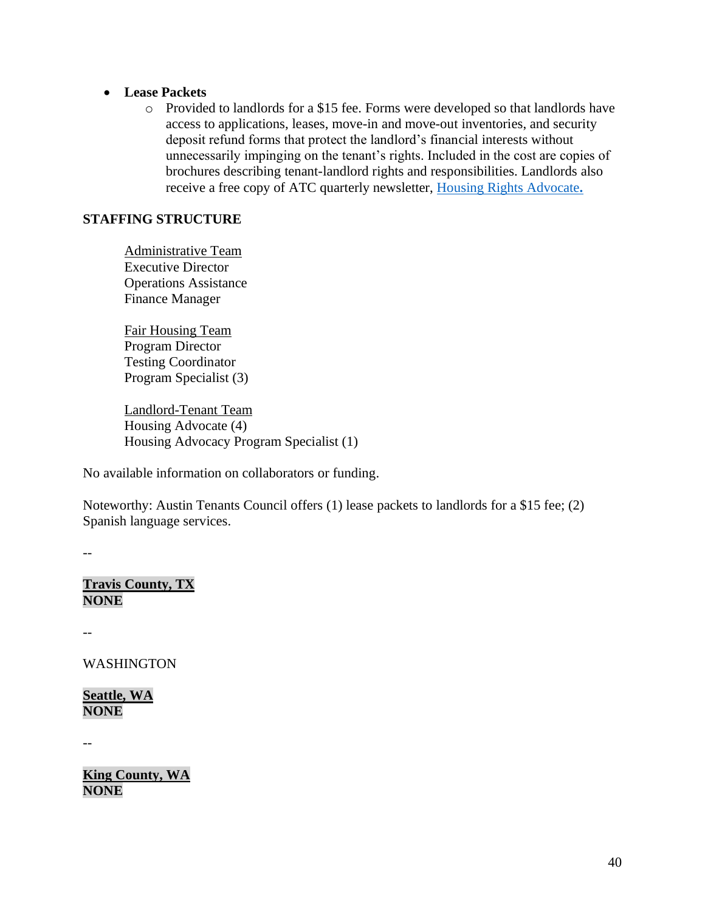#### • **Lease Packets**

o Provided to landlords for a \$15 fee. Forms were developed so that landlords have access to applications, leases, move-in and move-out inventories, and security deposit refund forms that protect the landlord's financial interests without unnecessarily impinging on the tenant's rights. Included in the cost are copies of brochures describing tenant-landlord rights and responsibilities. Landlords also receive a free copy of ATC quarterly newsletter, [Housing Rights Advocate](https://www.housing-rights.org/newsletter-archive)**.**

#### **STAFFING STRUCTURE**

Administrative Team Executive Director Operations Assistance Finance Manager

Fair Housing Team Program Director Testing Coordinator Program Specialist (3)

Landlord-Tenant Team Housing Advocate (4) Housing Advocacy Program Specialist (1)

No available information on collaborators or funding.

Noteworthy: Austin Tenants Council offers (1) lease packets to landlords for a \$15 fee; (2) Spanish language services.

--

**Travis County, TX NONE**

--

WASHINGTON

**Seattle, WA NONE**

--

**King County, WA NONE**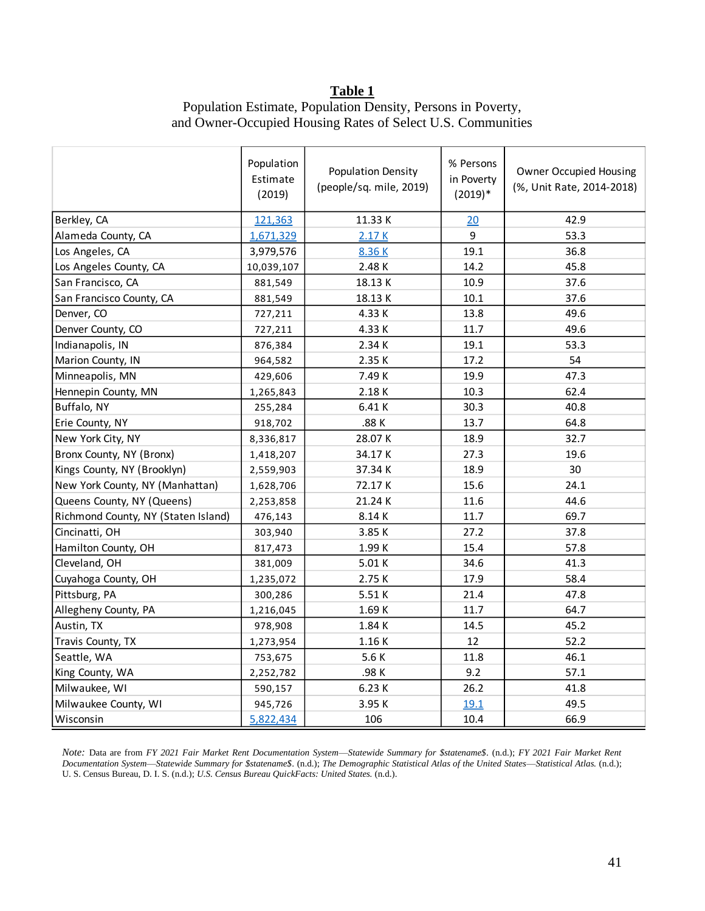#### **Table 1**

# Population Estimate, Population Density, Persons in Poverty, and Owner-Occupied Housing Rates of Select U.S. Communities

|                                     | Population<br>Estimate<br>(2019) | % Persons<br><b>Population Density</b><br>in Poverty<br>(people/sq. mile, 2019)<br>$(2019)*$ |      | <b>Owner Occupied Housing</b><br>(%, Unit Rate, 2014-2018) |  |
|-------------------------------------|----------------------------------|----------------------------------------------------------------------------------------------|------|------------------------------------------------------------|--|
| Berkley, CA                         | 121,363                          | 11.33K                                                                                       | 20   | 42.9                                                       |  |
| Alameda County, CA                  | 1,671,329                        | 2.17K                                                                                        | 9    | 53.3                                                       |  |
| Los Angeles, CA                     | 3,979,576                        | 8.36 K                                                                                       | 19.1 | 36.8                                                       |  |
| Los Angeles County, CA              | 10,039,107                       | 2.48 K                                                                                       | 14.2 | 45.8                                                       |  |
| San Francisco, CA                   | 881,549                          | 18.13K                                                                                       | 10.9 | 37.6                                                       |  |
| San Francisco County, CA            | 881,549                          | 18.13K                                                                                       | 10.1 | 37.6                                                       |  |
| Denver, CO                          | 727,211                          | 4.33 K                                                                                       | 13.8 | 49.6                                                       |  |
| Denver County, CO                   | 727,211                          | 4.33 K                                                                                       | 11.7 | 49.6                                                       |  |
| Indianapolis, IN                    | 876,384                          | 2.34 K                                                                                       | 19.1 | 53.3                                                       |  |
| Marion County, IN                   | 964,582                          | 2.35 K                                                                                       | 17.2 | 54                                                         |  |
| Minneapolis, MN                     | 429,606                          | 7.49 K                                                                                       | 19.9 | 47.3                                                       |  |
| Hennepin County, MN                 | 1,265,843                        | 2.18K                                                                                        | 10.3 | 62.4                                                       |  |
| Buffalo, NY                         | 255,284                          | 6.41 K                                                                                       | 30.3 | 40.8                                                       |  |
| Erie County, NY                     | 918,702                          | .88K                                                                                         | 13.7 | 64.8                                                       |  |
| New York City, NY                   | 8,336,817                        | 28.07 K                                                                                      | 18.9 | 32.7                                                       |  |
| Bronx County, NY (Bronx)            | 1,418,207                        | 34.17K                                                                                       | 27.3 | 19.6                                                       |  |
| Kings County, NY (Brooklyn)         | 2,559,903                        | 37.34K                                                                                       | 18.9 | 30                                                         |  |
| New York County, NY (Manhattan)     | 1,628,706                        | 72.17K                                                                                       | 15.6 | 24.1                                                       |  |
| Queens County, NY (Queens)          | 2,253,858                        | 21.24 K                                                                                      | 11.6 | 44.6                                                       |  |
| Richmond County, NY (Staten Island) | 476,143                          | 8.14 K                                                                                       | 11.7 | 69.7                                                       |  |
| Cincinatti, OH                      | 303,940                          | 3.85 K                                                                                       | 27.2 | 37.8                                                       |  |
| Hamilton County, OH                 | 817,473                          | 1.99 K                                                                                       | 15.4 | 57.8                                                       |  |
| Cleveland, OH                       | 381,009                          | 5.01K                                                                                        | 34.6 | 41.3                                                       |  |
| Cuyahoga County, OH                 | 1,235,072                        | 2.75 K                                                                                       | 17.9 | 58.4                                                       |  |
| Pittsburg, PA                       | 300,286                          | 5.51 K                                                                                       | 21.4 | 47.8                                                       |  |
| Allegheny County, PA                | 1,216,045                        | 1.69 K                                                                                       | 11.7 | 64.7                                                       |  |
| Austin, TX                          | 978,908                          | 1.84 K                                                                                       | 14.5 | 45.2                                                       |  |
| Travis County, TX                   | 1,273,954                        | 1.16K                                                                                        | 12   | 52.2                                                       |  |
| Seattle, WA                         | 753,675                          | 5.6K                                                                                         | 11.8 | 46.1                                                       |  |
| King County, WA                     | 2,252,782                        | .98K                                                                                         | 9.2  | 57.1                                                       |  |
| Milwaukee, WI                       | 590,157                          | 6.23 K                                                                                       | 26.2 | 41.8                                                       |  |
| Milwaukee County, WI                | 945,726                          | 3.95 K                                                                                       | 19.1 | 49.5                                                       |  |
| Wisconsin                           | 5,822,434                        | 106                                                                                          | 10.4 | 66.9                                                       |  |

*Note:* Data are from *FY 2021 Fair Market Rent Documentation System*—*Statewide Summary for \$statename\$*. (n.d.); *FY 2021 Fair Market Rent Documentation System*—*Statewide Summary for \$statename\$*. (n.d.); *The Demographic Statistical Atlas of the United States*—*Statistical Atlas.* (n.d.); U. S. Census Bureau, D. I. S. (n.d.); *U.S. Census Bureau QuickFacts: United States.* (n.d.).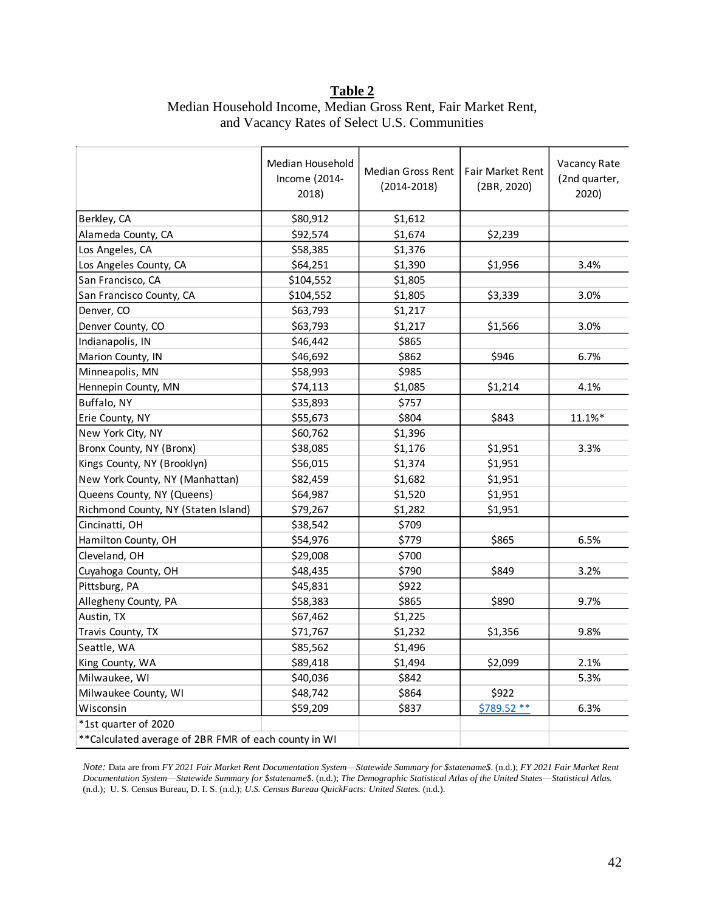## **Table 2** Median Household Income, Median Gross Rent, Fair Market Rent, and Vacancy Rates of Select U.S. Communities

|                                                       | Median Household<br>Income (2014-<br>2018) | Median Gross Rent<br>$(2014 - 2018)$ | Fair Market Rent<br>(2BR, 2020) | Vacancy Rate<br>(2nd quarter,<br>2020) |
|-------------------------------------------------------|--------------------------------------------|--------------------------------------|---------------------------------|----------------------------------------|
| Berkley, CA                                           | \$80,912                                   | \$1,612                              |                                 |                                        |
| Alameda County, CA                                    | \$92,574                                   | \$1,674                              | \$2,239                         |                                        |
| Los Angeles, CA                                       | \$58,385                                   | \$1,376                              |                                 |                                        |
| Los Angeles County, CA                                | \$64,251                                   | \$1,390                              | \$1,956                         | 3.4%                                   |
| San Francisco, CA                                     | \$104,552                                  | \$1,805                              |                                 |                                        |
| San Francisco County, CA                              | \$104,552                                  | \$1,805                              | \$3,339                         | 3.0%                                   |
| Denver, CO                                            | \$63,793                                   | \$1,217                              |                                 |                                        |
| Denver County, CO                                     | \$63,793                                   | \$1,217                              | \$1,566                         | 3.0%                                   |
| Indianapolis, IN                                      | \$46,442                                   | \$865                                |                                 |                                        |
| Marion County, IN                                     | \$46,692                                   | \$862                                | \$946                           | 6.7%                                   |
| Minneapolis, MN                                       | \$58,993                                   | \$985                                |                                 |                                        |
| Hennepin County, MN                                   | \$74,113                                   | \$1,085                              | \$1,214                         | 4.1%                                   |
| Buffalo, NY                                           | \$35,893                                   | \$757                                |                                 |                                        |
| Erie County, NY                                       | \$55,673                                   | \$804                                | \$843                           | 11.1%*                                 |
| New York City, NY                                     | \$60,762                                   | \$1,396                              |                                 |                                        |
| Bronx County, NY (Bronx)                              | \$38,085                                   | \$1,176                              | \$1,951                         | 3.3%                                   |
| Kings County, NY (Brooklyn)                           | \$56,015                                   | \$1,374                              | \$1,951                         |                                        |
| New York County, NY (Manhattan)                       | \$82,459                                   | \$1,682                              | \$1,951                         |                                        |
| Queens County, NY (Queens)                            | \$64,987                                   | \$1,520                              | \$1,951                         |                                        |
| Richmond County, NY (Staten Island)                   | \$79,267                                   | \$1,282                              | \$1,951                         |                                        |
| Cincinatti, OH                                        | \$38,542                                   | \$709                                |                                 |                                        |
| Hamilton County, OH                                   | \$54,976                                   | \$779                                | \$865                           | 6.5%                                   |
| Cleveland, OH                                         | \$29,008                                   | \$700                                |                                 |                                        |
| Cuyahoga County, OH                                   | \$48,435                                   | \$790                                | \$849                           | 3.2%                                   |
| Pittsburg, PA                                         | \$45,831                                   | \$922                                |                                 |                                        |
| Allegheny County, PA                                  | \$58,383                                   | \$865                                | \$890                           | 9.7%                                   |
| Austin, TX                                            | \$67,462                                   | \$1,225                              |                                 |                                        |
| Travis County, TX                                     | \$71,767                                   | \$1,232                              | \$1,356                         | 9.8%                                   |
| Seattle, WA                                           | \$85,562                                   | \$1,496                              |                                 |                                        |
| King County, WA                                       | \$89,418                                   | \$1,494                              | \$2,099                         | 2.1%                                   |
| Milwaukee, WI                                         | \$40,036                                   | \$842                                |                                 | 5.3%                                   |
| Milwaukee County, WI                                  | \$48,742                                   | \$864                                | \$922                           |                                        |
| Wisconsin                                             | \$59,209                                   | \$837                                | $$789.52**$                     | 6.3%                                   |
| *1st quarter of 2020                                  |                                            |                                      |                                 |                                        |
| ** Calculated average of 2BR FMR of each county in WI |                                            |                                      |                                 |                                        |

*Note:* Data are from *FY 2021 Fair Market Rent Documentation System*—*Statewide Summary for \$statename\$*. (n.d.); *FY 2021 Fair Market Rent Documentation System*—*Statewide Summary for \$statename\$*. (n.d.); *The Demographic Statistical Atlas of the United States*—*Statistical Atlas.* (n.d.); U. S. Census Bureau, D. I. S. (n.d.); *U.S. Census Bureau QuickFacts: United States.* (n.d.).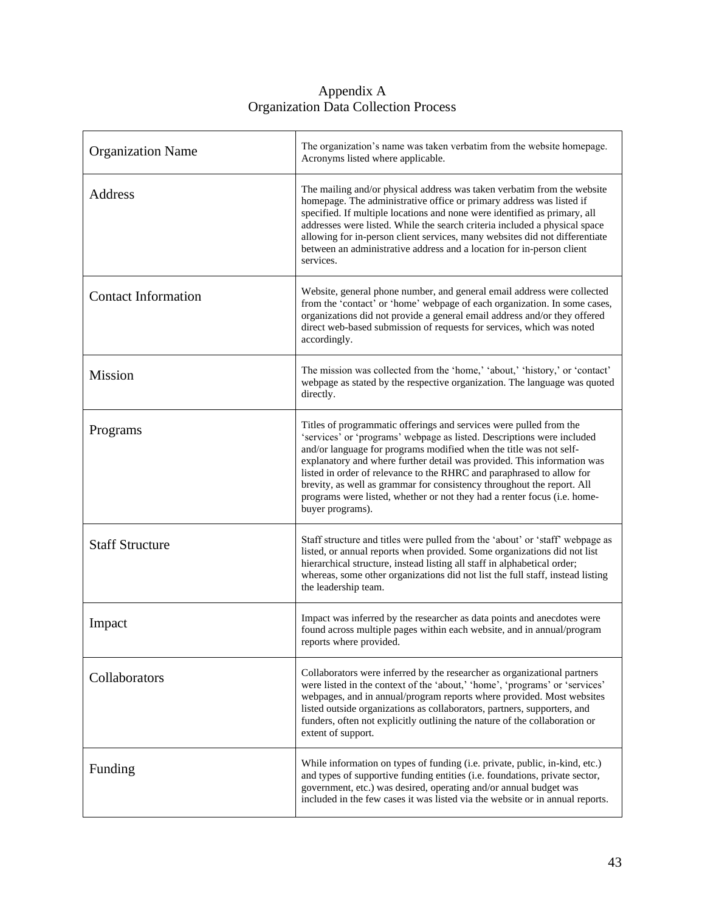| <b>Organization Name</b>   | The organization's name was taken verbatim from the website homepage.<br>Acronyms listed where applicable.                                                                                                                                                                                                                                                                                                                                                                                                                                       |
|----------------------------|--------------------------------------------------------------------------------------------------------------------------------------------------------------------------------------------------------------------------------------------------------------------------------------------------------------------------------------------------------------------------------------------------------------------------------------------------------------------------------------------------------------------------------------------------|
| <b>Address</b>             | The mailing and/or physical address was taken verbatim from the website<br>homepage. The administrative office or primary address was listed if<br>specified. If multiple locations and none were identified as primary, all<br>addresses were listed. While the search criteria included a physical space<br>allowing for in-person client services, many websites did not differentiate<br>between an administrative address and a location for in-person client<br>services.                                                                  |
| <b>Contact Information</b> | Website, general phone number, and general email address were collected<br>from the 'contact' or 'home' webpage of each organization. In some cases,<br>organizations did not provide a general email address and/or they offered<br>direct web-based submission of requests for services, which was noted<br>accordingly.                                                                                                                                                                                                                       |
| <b>Mission</b>             | The mission was collected from the 'home,' 'about,' 'history,' or 'contact'<br>webpage as stated by the respective organization. The language was quoted<br>directly.                                                                                                                                                                                                                                                                                                                                                                            |
| Programs                   | Titles of programmatic offerings and services were pulled from the<br>'services' or 'programs' webpage as listed. Descriptions were included<br>and/or language for programs modified when the title was not self-<br>explanatory and where further detail was provided. This information was<br>listed in order of relevance to the RHRC and paraphrased to allow for<br>brevity, as well as grammar for consistency throughout the report. All<br>programs were listed, whether or not they had a renter focus (i.e. home-<br>buyer programs). |
| <b>Staff Structure</b>     | Staff structure and titles were pulled from the 'about' or 'staff' webpage as<br>listed, or annual reports when provided. Some organizations did not list<br>hierarchical structure, instead listing all staff in alphabetical order;<br>whereas, some other organizations did not list the full staff, instead listing<br>the leadership team.                                                                                                                                                                                                  |
| Impact                     | Impact was inferred by the researcher as data points and anecdotes were<br>found across multiple pages within each website, and in annual/program<br>reports where provided.                                                                                                                                                                                                                                                                                                                                                                     |
| Collaborators              | Collaborators were inferred by the researcher as organizational partners<br>were listed in the context of the 'about,' 'home', 'programs' or 'services'<br>webpages, and in annual/program reports where provided. Most websites<br>listed outside organizations as collaborators, partners, supporters, and<br>funders, often not explicitly outlining the nature of the collaboration or<br>extent of support.                                                                                                                                 |
| Funding                    | While information on types of funding (i.e. private, public, in-kind, etc.)<br>and types of supportive funding entities (i.e. foundations, private sector,<br>government, etc.) was desired, operating and/or annual budget was<br>included in the few cases it was listed via the website or in annual reports.                                                                                                                                                                                                                                 |

#### Appendix A Organization Data Collection Process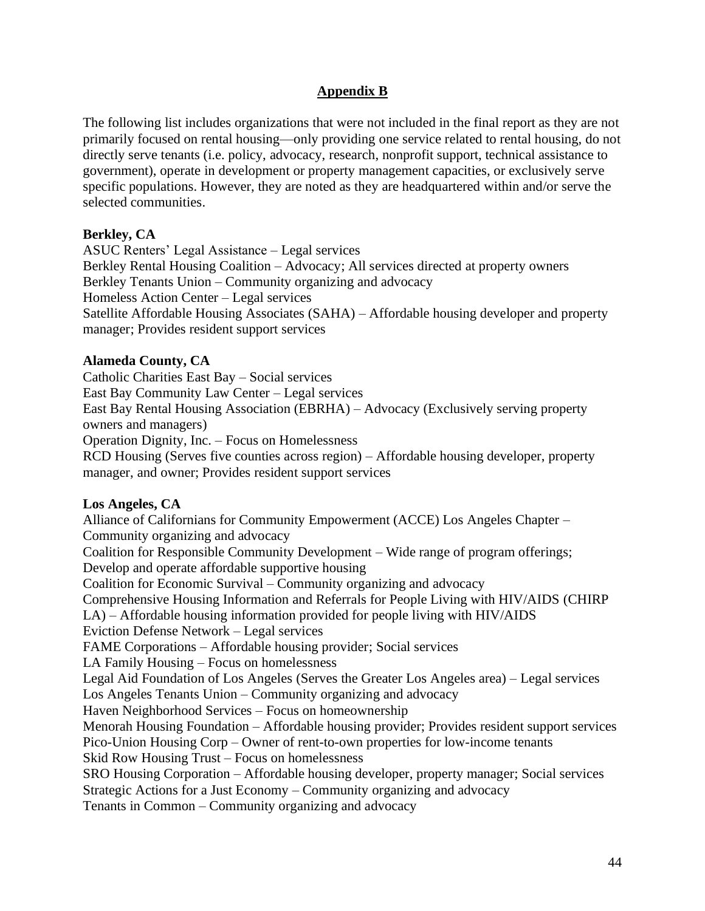## **Appendix B**

The following list includes organizations that were not included in the final report as they are not primarily focused on rental housing—only providing one service related to rental housing, do not directly serve tenants (i.e. policy, advocacy, research, nonprofit support, technical assistance to government), operate in development or property management capacities, or exclusively serve specific populations. However, they are noted as they are headquartered within and/or serve the selected communities.

#### **Berkley, CA**

ASUC Renters' Legal Assistance – Legal services Berkley Rental Housing Coalition – Advocacy; All services directed at property owners Berkley Tenants Union – Community organizing and advocacy Homeless Action Center – Legal services Satellite Affordable Housing Associates (SAHA) – Affordable housing developer and property manager; Provides resident support services

#### **Alameda County, CA**

Catholic Charities East Bay – Social services East Bay Community Law Center – Legal services East Bay Rental Housing Association (EBRHA) – Advocacy (Exclusively serving property owners and managers) Operation Dignity, Inc. – Focus on Homelessness RCD Housing (Serves five counties across region) – Affordable housing developer, property manager, and owner; Provides resident support services

#### **Los Angeles, CA**

Alliance of Californians for Community Empowerment (ACCE) Los Angeles Chapter – Community organizing and advocacy Coalition for Responsible Community Development – Wide range of program offerings; Develop and operate affordable supportive housing Coalition for Economic Survival – Community organizing and advocacy Comprehensive Housing Information and Referrals for People Living with HIV/AIDS (CHIRP LA) – Affordable housing information provided for people living with HIV/AIDS Eviction Defense Network – Legal services FAME Corporations – Affordable housing provider; Social services LA Family Housing – Focus on homelessness Legal Aid Foundation of Los Angeles (Serves the Greater Los Angeles area) – Legal services Los Angeles Tenants Union – Community organizing and advocacy Haven Neighborhood Services – Focus on homeownership Menorah Housing Foundation – Affordable housing provider; Provides resident support services Pico-Union Housing Corp – Owner of rent-to-own properties for low-income tenants Skid Row Housing Trust – Focus on homelessness SRO Housing Corporation – Affordable housing developer, property manager; Social services Strategic Actions for a Just Economy – Community organizing and advocacy Tenants in Common – Community organizing and advocacy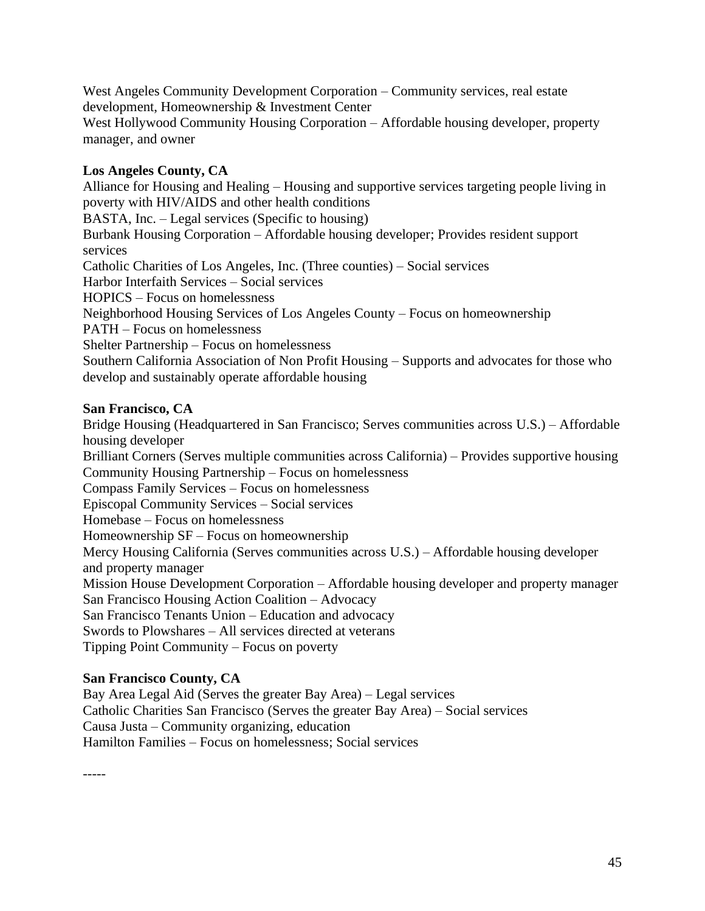West Angeles Community Development Corporation – Community services, real estate development, Homeownership & Investment Center West Hollywood Community Housing Corporation – Affordable housing developer, property manager, and owner

### **Los Angeles County, CA**

Alliance for Housing and Healing – Housing and supportive services targeting people living in poverty with HIV/AIDS and other health conditions BASTA, Inc. – Legal services (Specific to housing) Burbank Housing Corporation – Affordable housing developer; Provides resident support services Catholic Charities of Los Angeles, Inc. (Three counties) – Social services Harbor Interfaith Services – Social services HOPICS – Focus on homelessness Neighborhood Housing Services of Los Angeles County – Focus on homeownership PATH – Focus on homelessness Shelter Partnership – Focus on homelessness Southern California Association of Non Profit Housing – Supports and advocates for those who develop and sustainably operate affordable housing

#### **San Francisco, CA**

Bridge Housing (Headquartered in San Francisco; Serves communities across U.S.) – Affordable housing developer Brilliant Corners (Serves multiple communities across California) – Provides supportive housing Community Housing Partnership – Focus on homelessness Compass Family Services – Focus on homelessness Episcopal Community Services – Social services Homebase – Focus on homelessness Homeownership SF – Focus on homeownership Mercy Housing California (Serves communities across U.S.) – Affordable housing developer and property manager Mission House Development Corporation – Affordable housing developer and property manager San Francisco Housing Action Coalition – Advocacy San Francisco Tenants Union – Education and advocacy Swords to Plowshares – All services directed at veterans Tipping Point Community – Focus on poverty

## **San Francisco County, CA**

Bay Area Legal Aid (Serves the greater Bay Area) – Legal services Catholic Charities San Francisco (Serves the greater Bay Area) – Social services Causa Justa – Community organizing, education Hamilton Families – Focus on homelessness; Social services

-----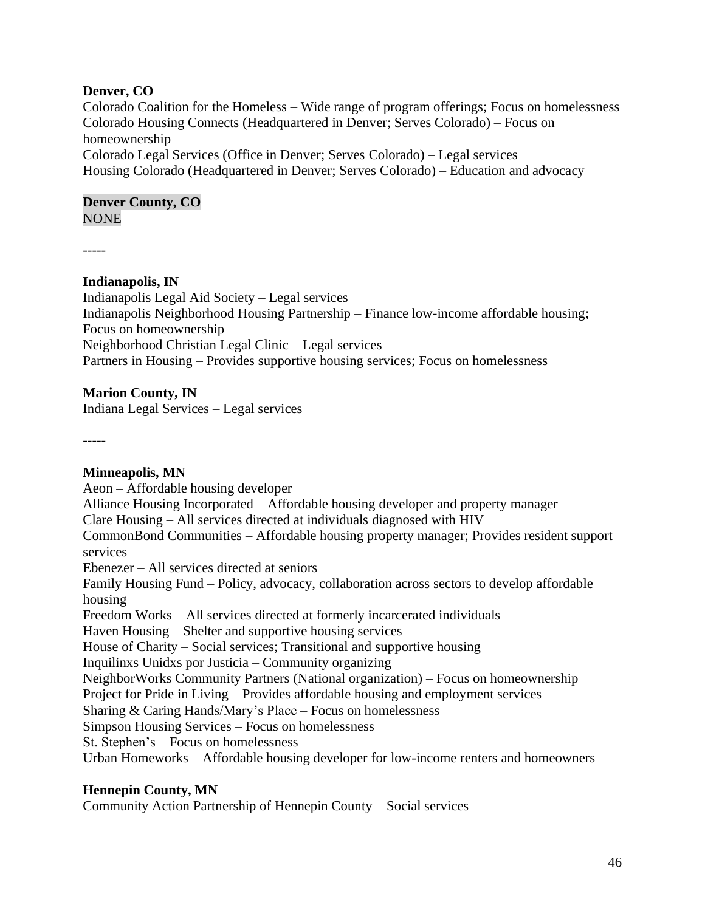#### **Denver, CO**

Colorado Coalition for the Homeless – Wide range of program offerings; Focus on homelessness Colorado Housing Connects (Headquartered in Denver; Serves Colorado) – Focus on homeownership Colorado Legal Services (Office in Denver; Serves Colorado) – Legal services Housing Colorado (Headquartered in Denver; Serves Colorado) – Education and advocacy

# **Denver County, CO**

**NONE** 

-----

## **Indianapolis, IN**

Indianapolis Legal Aid Society – Legal services Indianapolis Neighborhood Housing Partnership – Finance low-income affordable housing; Focus on homeownership Neighborhood Christian Legal Clinic – Legal services Partners in Housing – Provides supportive housing services; Focus on homelessness

#### **Marion County, IN**

Indiana Legal Services – Legal services

-----

**Minneapolis, MN**  Aeon – Affordable housing developer Alliance Housing Incorporated – Affordable housing developer and property manager Clare Housing – All services directed at individuals diagnosed with HIV CommonBond Communities – Affordable housing property manager; Provides resident support services Ebenezer – All services directed at seniors Family Housing Fund – Policy, advocacy, collaboration across sectors to develop affordable housing Freedom Works – All services directed at formerly incarcerated individuals Haven Housing – Shelter and supportive housing services House of Charity – Social services; Transitional and supportive housing Inquilinxs Unidxs por Justicia – Community organizing NeighborWorks Community Partners (National organization) – Focus on homeownership Project for Pride in Living – Provides affordable housing and employment services Sharing & Caring Hands/Mary's Place – Focus on homelessness Simpson Housing Services – Focus on homelessness St. Stephen's – Focus on homelessness Urban Homeworks – Affordable housing developer for low-income renters and homeowners

#### **Hennepin County, MN**

Community Action Partnership of Hennepin County – Social services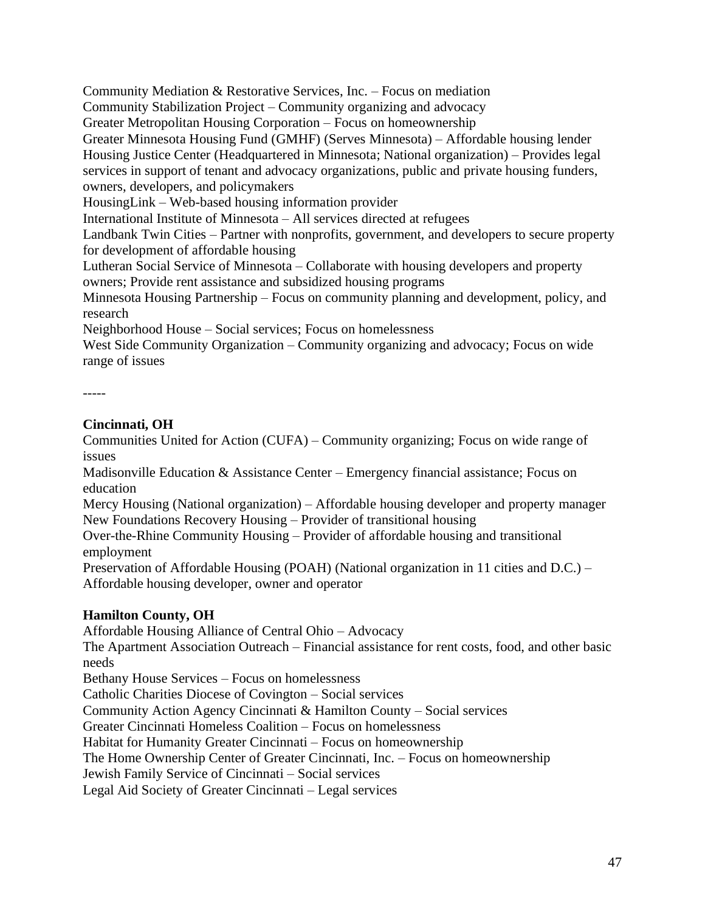Community Mediation & Restorative Services, Inc. – Focus on mediation

Community Stabilization Project – Community organizing and advocacy

Greater Metropolitan Housing Corporation – Focus on homeownership

Greater Minnesota Housing Fund (GMHF) (Serves Minnesota) – Affordable housing lender Housing Justice Center (Headquartered in Minnesota; National organization) – Provides legal services in support of tenant and advocacy organizations, public and private housing funders, owners, developers, and policymakers

HousingLink – Web-based housing information provider

International Institute of Minnesota – All services directed at refugees

Landbank Twin Cities – Partner with nonprofits, government, and developers to secure property for development of affordable housing

Lutheran Social Service of Minnesota – Collaborate with housing developers and property owners; Provide rent assistance and subsidized housing programs

Minnesota Housing Partnership – Focus on community planning and development, policy, and research

Neighborhood House – Social services; Focus on homelessness

West Side Community Organization – Community organizing and advocacy; Focus on wide range of issues

```
-----
```
# **Cincinnati, OH**

Communities United for Action (CUFA) – Community organizing; Focus on wide range of issues

Madisonville Education & Assistance Center – Emergency financial assistance; Focus on education

Mercy Housing (National organization) – Affordable housing developer and property manager New Foundations Recovery Housing – Provider of transitional housing

Over-the-Rhine Community Housing – Provider of affordable housing and transitional employment

Preservation of Affordable Housing (POAH) (National organization in 11 cities and D.C.) – Affordable housing developer, owner and operator

# **Hamilton County, OH**

Affordable Housing Alliance of Central Ohio – Advocacy

The Apartment Association Outreach – Financial assistance for rent costs, food, and other basic needs

Bethany House Services – Focus on homelessness

Catholic Charities Diocese of Covington – Social services

Community Action Agency Cincinnati & Hamilton County – Social services

Greater Cincinnati Homeless Coalition – Focus on homelessness

Habitat for Humanity Greater Cincinnati – Focus on homeownership

The Home Ownership Center of Greater Cincinnati, Inc. – Focus on homeownership

Jewish Family Service of Cincinnati – Social services

Legal Aid Society of Greater Cincinnati – Legal services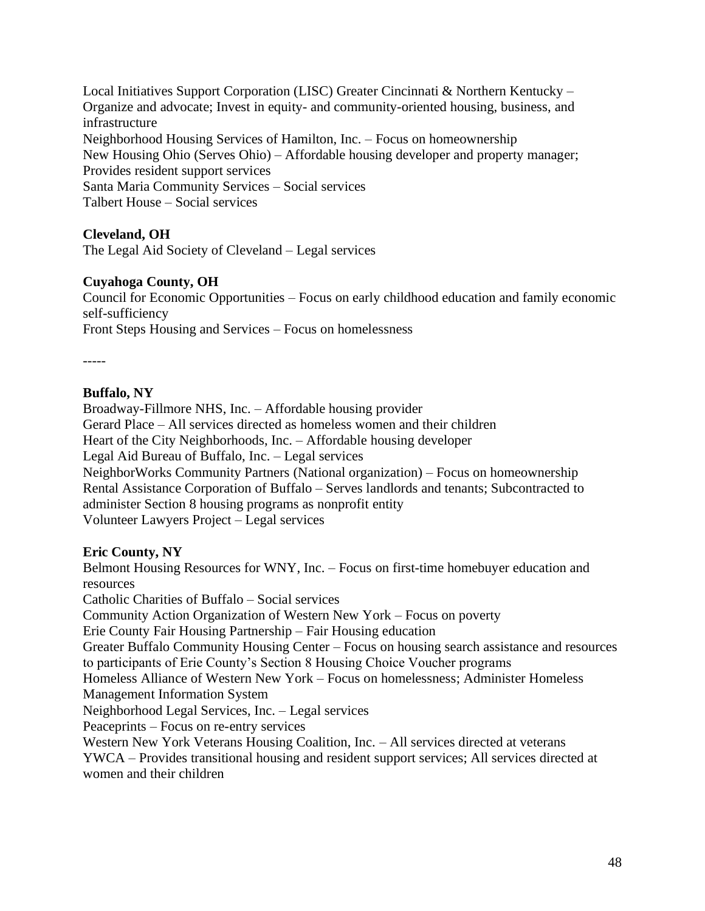Local Initiatives Support Corporation (LISC) Greater Cincinnati & Northern Kentucky – Organize and advocate; Invest in equity- and community-oriented housing, business, and infrastructure Neighborhood Housing Services of Hamilton, Inc. – Focus on homeownership New Housing Ohio (Serves Ohio) – Affordable housing developer and property manager; Provides resident support services Santa Maria Community Services – Social services Talbert House – Social services

#### **Cleveland, OH**

The Legal Aid Society of Cleveland – Legal services

#### **Cuyahoga County, OH**

Council for Economic Opportunities – Focus on early childhood education and family economic self-sufficiency

Front Steps Housing and Services – Focus on homelessness

-----

#### **Buffalo, NY**

Broadway-Fillmore NHS, Inc. – Affordable housing provider Gerard Place – All services directed as homeless women and their children Heart of the City Neighborhoods, Inc. – Affordable housing developer Legal Aid Bureau of Buffalo, Inc. – Legal services NeighborWorks Community Partners (National organization) – Focus on homeownership Rental Assistance Corporation of Buffalo – Serves landlords and tenants; Subcontracted to administer Section 8 housing programs as nonprofit entity Volunteer Lawyers Project – Legal services

#### **Eric County, NY**

Belmont Housing Resources for WNY, Inc. – Focus on first-time homebuyer education and resources Catholic Charities of Buffalo – Social services Community Action Organization of Western New York – Focus on poverty Erie County Fair Housing Partnership – Fair Housing education Greater Buffalo Community Housing Center – Focus on housing search assistance and resources to participants of Erie County's Section 8 Housing Choice Voucher programs Homeless Alliance of Western New York – Focus on homelessness; Administer Homeless Management Information System Neighborhood Legal Services, Inc. – Legal services Peaceprints – Focus on re-entry services Western New York Veterans Housing Coalition, Inc. – All services directed at veterans YWCA – Provides transitional housing and resident support services; All services directed at women and their children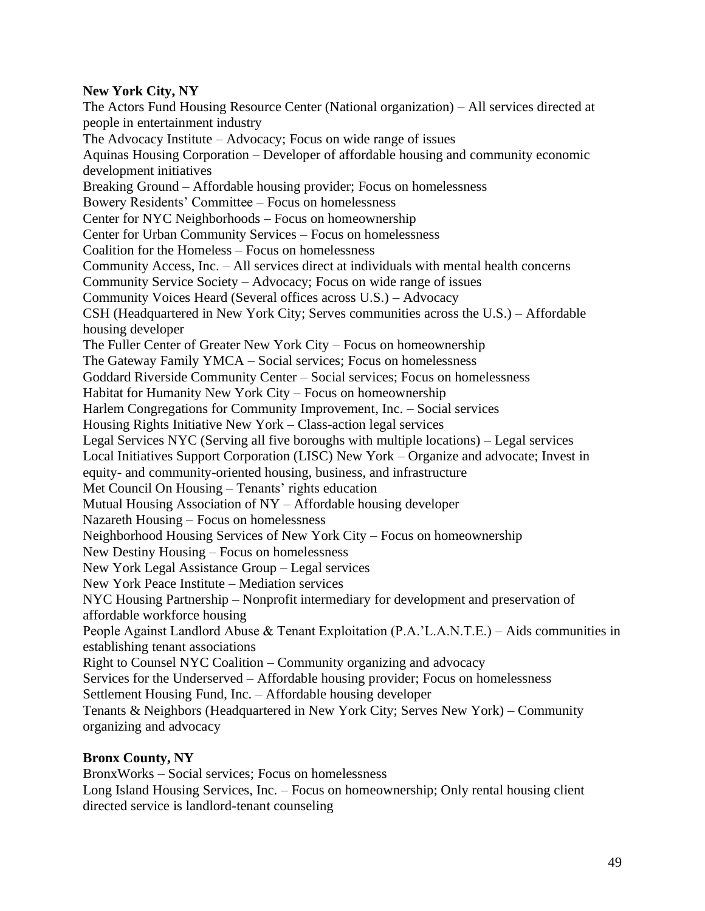## **New York City, NY**

The Actors Fund Housing Resource Center (National organization) – All services directed at people in entertainment industry The Advocacy Institute – Advocacy; Focus on wide range of issues Aquinas Housing Corporation – Developer of affordable housing and community economic development initiatives Breaking Ground – Affordable housing provider; Focus on homelessness Bowery Residents' Committee – Focus on homelessness Center for NYC Neighborhoods – Focus on homeownership Center for Urban Community Services – Focus on homelessness Coalition for the Homeless – Focus on homelessness Community Access, Inc. – All services direct at individuals with mental health concerns Community Service Society – Advocacy; Focus on wide range of issues Community Voices Heard (Several offices across U.S.) – Advocacy CSH (Headquartered in New York City; Serves communities across the U.S.) – Affordable housing developer The Fuller Center of Greater New York City – Focus on homeownership The Gateway Family YMCA – Social services; Focus on homelessness Goddard Riverside Community Center – Social services; Focus on homelessness Habitat for Humanity New York City – Focus on homeownership Harlem Congregations for Community Improvement, Inc. – Social services Housing Rights Initiative New York – Class-action legal services Legal Services NYC (Serving all five boroughs with multiple locations) – Legal services Local Initiatives Support Corporation (LISC) New York – Organize and advocate; Invest in equity- and community-oriented housing, business, and infrastructure Met Council On Housing – Tenants' rights education Mutual Housing Association of NY – Affordable housing developer Nazareth Housing – Focus on homelessness Neighborhood Housing Services of New York City – Focus on homeownership New Destiny Housing – Focus on homelessness New York Legal Assistance Group – Legal services New York Peace Institute – Mediation services NYC Housing Partnership – Nonprofit intermediary for development and preservation of affordable workforce housing People Against Landlord Abuse & Tenant Exploitation (P.A.'L.A.N.T.E.) – Aids communities in establishing tenant associations Right to Counsel NYC Coalition – Community organizing and advocacy Services for the Underserved – Affordable housing provider; Focus on homelessness Settlement Housing Fund, Inc. – Affordable housing developer Tenants & Neighbors (Headquartered in New York City; Serves New York) – Community organizing and advocacy

## **Bronx County, NY**

BronxWorks – Social services; Focus on homelessness Long Island Housing Services, Inc. – Focus on homeownership; Only rental housing client directed service is landlord-tenant counseling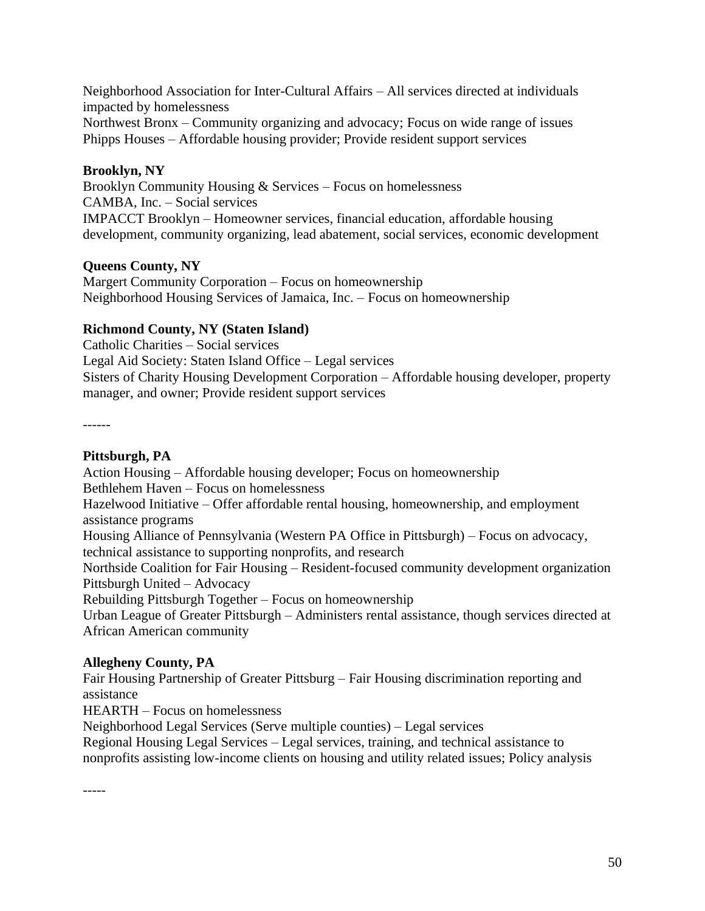Neighborhood Association for Inter-Cultural Affairs – All services directed at individuals impacted by homelessness Northwest Bronx – Community organizing and advocacy; Focus on wide range of issues Phipps Houses – Affordable housing provider; Provide resident support services

# **Brooklyn, NY**

Brooklyn Community Housing & Services – Focus on homelessness CAMBA, Inc. – Social services IMPACCT Brooklyn – Homeowner services, financial education, affordable housing development, community organizing, lead abatement, social services, economic development

# **Queens County, NY**

Margert Community Corporation – Focus on homeownership Neighborhood Housing Services of Jamaica, Inc. – Focus on homeownership

# **Richmond County, NY (Staten Island)**

Catholic Charities – Social services Legal Aid Society: Staten Island Office – Legal services Sisters of Charity Housing Development Corporation – Affordable housing developer, property manager, and owner; Provide resident support services

------

## **Pittsburgh, PA**

Action Housing – Affordable housing developer; Focus on homeownership Bethlehem Haven – Focus on homelessness Hazelwood Initiative – Offer affordable rental housing, homeownership, and employment assistance programs Housing Alliance of Pennsylvania (Western PA Office in Pittsburgh) – Focus on advocacy, technical assistance to supporting nonprofits, and research Northside Coalition for Fair Housing – Resident-focused community development organization Pittsburgh United – Advocacy

Rebuilding Pittsburgh Together – Focus on homeownership

Urban League of Greater Pittsburgh – Administers rental assistance, though services directed at African American community

# **Allegheny County, PA**

Fair Housing Partnership of Greater Pittsburg – Fair Housing discrimination reporting and assistance

HEARTH – Focus on homelessness

Neighborhood Legal Services (Serve multiple counties) – Legal services

Regional Housing Legal Services – Legal services, training, and technical assistance to nonprofits assisting low-income clients on housing and utility related issues; Policy analysis

-----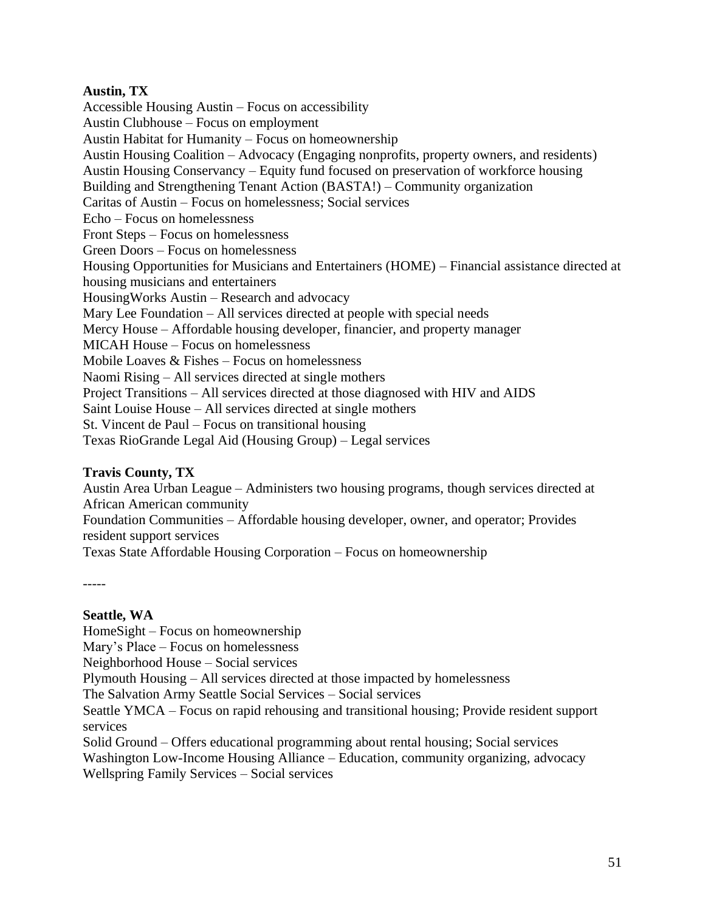#### **Austin, TX**

Accessible Housing Austin – Focus on accessibility Austin Clubhouse – Focus on employment Austin Habitat for Humanity – Focus on homeownership Austin Housing Coalition – Advocacy (Engaging nonprofits, property owners, and residents) Austin Housing Conservancy – Equity fund focused on preservation of workforce housing Building and Strengthening Tenant Action (BASTA!) – Community organization Caritas of Austin – Focus on homelessness; Social services Echo – Focus on homelessness Front Steps – Focus on homelessness Green Doors – Focus on homelessness Housing Opportunities for Musicians and Entertainers (HOME) – Financial assistance directed at housing musicians and entertainers HousingWorks Austin – Research and advocacy Mary Lee Foundation – All services directed at people with special needs Mercy House – Affordable housing developer, financier, and property manager MICAH House – Focus on homelessness Mobile Loaves & Fishes – Focus on homelessness Naomi Rising – All services directed at single mothers Project Transitions – All services directed at those diagnosed with HIV and AIDS Saint Louise House – All services directed at single mothers St. Vincent de Paul – Focus on transitional housing Texas RioGrande Legal Aid (Housing Group) – Legal services

## **Travis County, TX**

Austin Area Urban League – Administers two housing programs, though services directed at African American community

Foundation Communities – Affordable housing developer, owner, and operator; Provides resident support services

Texas State Affordable Housing Corporation – Focus on homeownership

-----

#### **Seattle, WA**

HomeSight – Focus on homeownership

Mary's Place – Focus on homelessness

Neighborhood House – Social services

Plymouth Housing – All services directed at those impacted by homelessness

The Salvation Army Seattle Social Services – Social services

Seattle YMCA – Focus on rapid rehousing and transitional housing; Provide resident support services

Solid Ground – Offers educational programming about rental housing; Social services Washington Low-Income Housing Alliance – Education, community organizing, advocacy Wellspring Family Services – Social services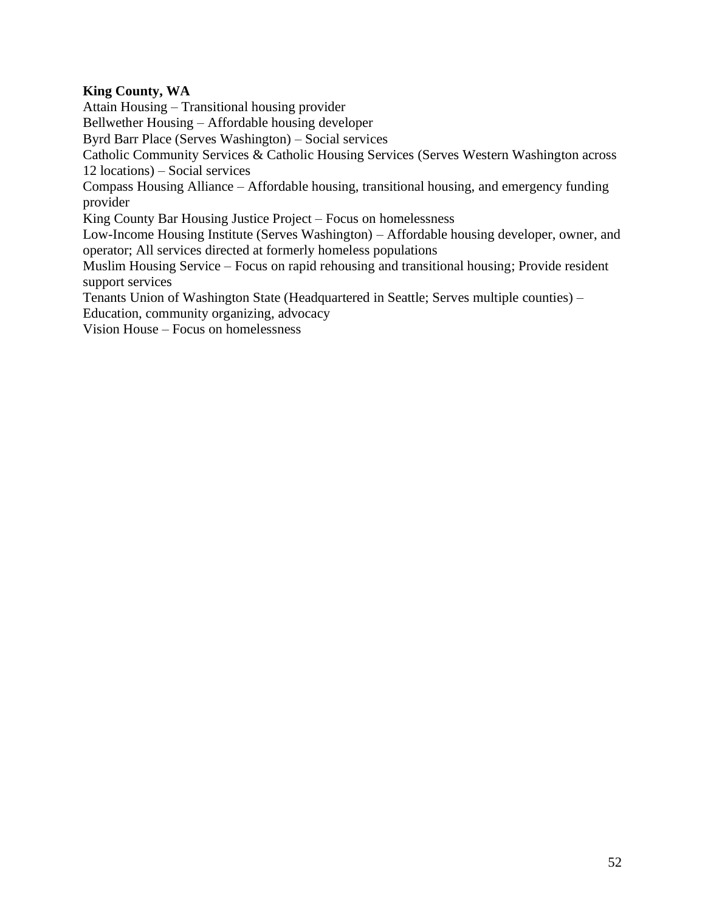## **King County, WA**

Attain Housing – Transitional housing provider

Bellwether Housing – Affordable housing developer

Byrd Barr Place (Serves Washington) – Social services

Catholic Community Services & Catholic Housing Services (Serves Western Washington across 12 locations) – Social services

Compass Housing Alliance – Affordable housing, transitional housing, and emergency funding provider

King County Bar Housing Justice Project – Focus on homelessness

Low-Income Housing Institute (Serves Washington) – Affordable housing developer, owner, and operator; All services directed at formerly homeless populations

Muslim Housing Service – Focus on rapid rehousing and transitional housing; Provide resident support services

Tenants Union of Washington State (Headquartered in Seattle; Serves multiple counties) –

Education, community organizing, advocacy

Vision House – Focus on homelessness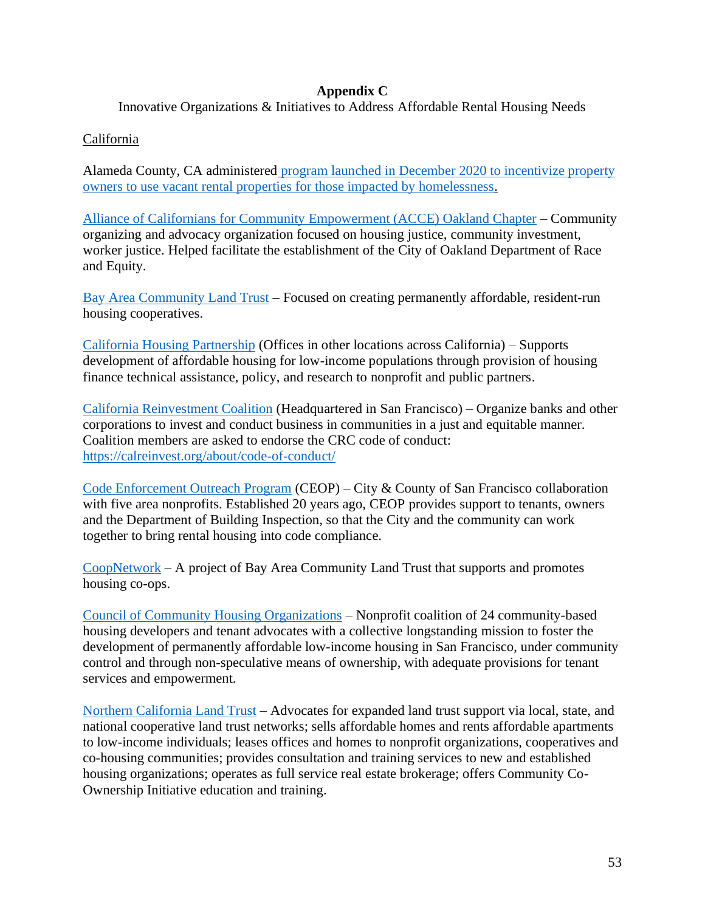#### **Appendix C**

Innovative Organizations & Initiatives to Address Affordable Rental Housing Needs

### California

Alameda County, CA administered program [launched in December 2020 to incentivize property](https://www.cityofberkeley.info/City_Manager/Press_Releases/2020/Overflow_(CHG0031168)/2020-12-17_Lease_Housing_Units_to_People_Transitioning_out_of_Homelessness.aspx)  owners to use [vacant rental properties for those impacted by homelessness.](https://www.cityofberkeley.info/City_Manager/Press_Releases/2020/Overflow_(CHG0031168)/2020-12-17_Lease_Housing_Units_to_People_Transitioning_out_of_Homelessness.aspx)

[Alliance of Californians for Community Empowerment \(ACCE\) Oakland Chapter](https://www.acceaction.org/oakland) – Community organizing and advocacy organization focused on housing justice, community investment, worker justice. Helped facilitate the establishment of the City of Oakland Department of Race and Equity.

[Bay Area Community Land Trust](https://www.bayareaclt.org/) – Focused on creating permanently affordable, resident-run housing cooperatives.

[California Housing Partnership](https://chpc.net/) (Offices in other locations across California) – Supports development of affordable housing for low-income populations through provision of housing finance technical assistance, policy, and research to nonprofit and public partners.

[California Reinvestment Coalition](https://calreinvest.org/) (Headquartered in San Francisco) – Organize banks and other corporations to invest and conduct business in communities in a just and equitable manner. Coalition members are asked to endorse the CRC code of conduct: <https://calreinvest.org/about/code-of-conduct/>

[Code Enforcement Outreach Program](https://sfdbi.org/ceop) (CEOP) – City & County of San Francisco collaboration with five area nonprofits. Established 20 years ago, CEOP provides support to tenants, owners and the Department of Building Inspection, so that the City and the community can work together to bring rental housing into code compliance.

[CoopNetwork](http://coopnetwork.net/home/index) – A project of Bay Area Community Land Trust that supports and promotes housing co-ops.

[Council of Community Housing Organizations](https://www.sfccho.org/) – Nonprofit coalition of 24 community-based housing developers and tenant advocates with a collective longstanding mission to foster the development of permanently affordable low-income housing in San Francisco, under community control and through non-speculative means of ownership, with adequate provisions for tenant services and empowerment.

[Northern California Land Trust](https://nclt.org/) – Advocates for expanded land trust support via local, state, and national cooperative land trust networks; sells affordable homes and rents affordable apartments to low-income individuals; leases offices and homes to nonprofit organizations, cooperatives and co-housing communities; provides consultation and training services to new and established housing organizations; operates as full service real estate brokerage; offers Community Co-Ownership Initiative education and training.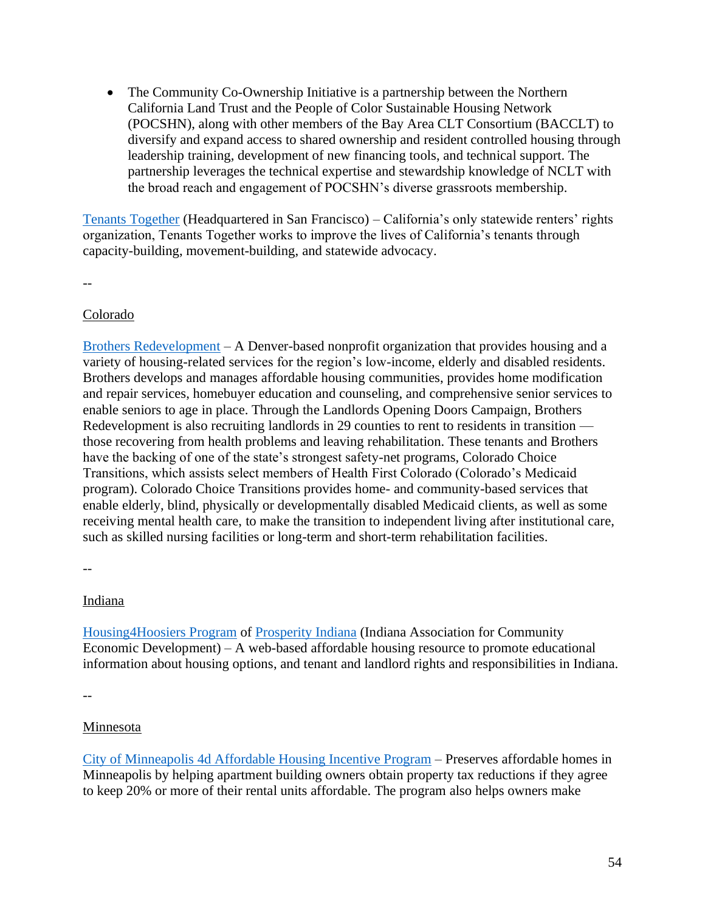• The Community Co-Ownership Initiative is a partnership between the Northern California Land Trust and the People of Color Sustainable Housing Network (POCSHN), along with other members of the Bay Area CLT Consortium (BACCLT) to diversify and expand access to shared ownership and resident controlled housing through leadership training, development of new financing tools, and technical support. The partnership leverages the technical expertise and stewardship knowledge of NCLT with the broad reach and engagement of POCSHN's diverse grassroots membership.

[Tenants Together](https://www.tenantstogether.org/mission-and-vision) (Headquartered in San Francisco) – California's only statewide renters' rights organization, Tenants Together works to improve the lives of California's tenants through capacity-building, movement-building, and statewide advocacy.

--

#### Colorado

[Brothers Redevelopment](https://brothersredevelopment.org/) – A Denver-based nonprofit organization that provides housing and a variety of housing-related services for the region's low-income, elderly and disabled residents. Brothers develops and manages affordable housing communities, provides home modification and repair services, homebuyer education and counseling, and comprehensive senior services to enable seniors to age in place. Through the Landlords Opening Doors Campaign, Brothers Redevelopment is also recruiting landlords in 29 counties to rent to residents in transition those recovering from health problems and leaving rehabilitation. These tenants and Brothers have the backing of one of the state's strongest safety-net programs, Colorado Choice Transitions, which assists select members of Health First Colorado (Colorado's Medicaid program). Colorado Choice Transitions provides home- and community-based services that enable elderly, blind, physically or developmentally disabled Medicaid clients, as well as some receiving mental health care, to make the transition to independent living after institutional care, such as skilled nursing facilities or long-term and short-term rehabilitation facilities.

--

#### Indiana

[Housing4Hoosiers Program](https://www.prosperityindiana.org/Housing4Hoosiers) of [Prosperity Indiana](https://www.prosperityindiana.org/REAP) (Indiana Association for Community Economic Development) – A web-based affordable housing resource to promote educational information about housing options, and tenant and landlord rights and responsibilities in Indiana.

--

## Minnesota

[City of Minneapolis 4d Affordable Housing Incentive Program](http://www2.minneapolismn.gov/www/groups/public/@cped/documents/webcontent/wcmsp-214368.pdf) – Preserves affordable homes in Minneapolis by helping apartment building owners obtain property tax reductions if they agree to keep 20% or more of their rental units affordable. The program also helps owners make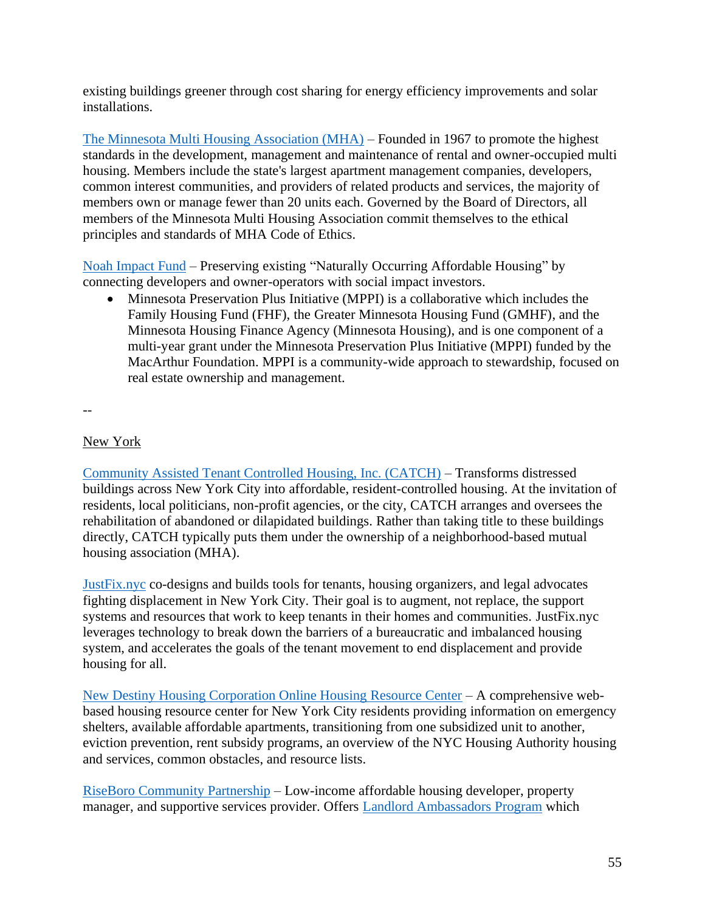existing buildings greener through cost sharing for energy efficiency improvements and solar installations.

[The Minnesota Multi Housing Association \(MHA\)](https://www.mmha.com/Advocacy/Affordable-Housing-Strategies) – Founded in 1967 to promote the highest standards in the development, management and maintenance of rental and owner-occupied multi housing. Members include the state's largest apartment management companies, developers, common interest communities, and providers of related products and services, the majority of members own or manage fewer than 20 units each. Governed by the Board of Directors, all members of the Minnesota Multi Housing Association commit themselves to the ethical principles and standards of MHA Code of Ethics.

[Noah Impact Fund](https://noahimpactfund.com/) – Preserving existing "Naturally Occurring Affordable Housing" by connecting developers and owner-operators with social impact investors.

• Minnesota Preservation Plus Initiative (MPPI) is a collaborative which includes the Family Housing Fund (FHF), the Greater Minnesota Housing Fund (GMHF), and the Minnesota Housing Finance Agency (Minnesota Housing), and is one component of a multi-year grant under the Minnesota Preservation Plus Initiative (MPPI) funded by the MacArthur Foundation. MPPI is a community-wide approach to stewardship, focused on real estate ownership and management.

--

## New York

[Community Assisted Tenant Controlled Housing, Inc. \(CATCH\)](https://www.parodneckfoundation.org/catch/) – Transforms distressed buildings across New York City into affordable, resident-controlled housing. At the invitation of residents, local politicians, non-profit agencies, or the city, CATCH arranges and oversees the rehabilitation of abandoned or dilapidated buildings. Rather than taking title to these buildings directly, CATCH typically puts them under the ownership of a neighborhood-based mutual housing association (MHA).

[JustFix.nyc](https://www.justfix.nyc/) co-designs and builds tools for tenants, housing organizers, and legal advocates fighting displacement in New York City. Their goal is to augment, not replace, the support systems and resources that work to keep tenants in their homes and communities. JustFix.nyc leverages technology to break down the barriers of a bureaucratic and imbalanced housing system, and accelerates the goals of the tenant movement to end displacement and provide housing for all.

[New Destiny Housing Corporation Online Housing Resource Center](https://newdestinyhousing.org/housing-help/) – A comprehensive webbased housing resource center for New York City residents providing information on emergency shelters, available affordable apartments, transitioning from one subsidized unit to another, eviction prevention, rent subsidy programs, an overview of the NYC Housing Authority housing and services, common obstacles, and resource lists.

[RiseBoro Community Partnership](https://www.riseboro.org/rb/?) – Low-income affordable housing developer, property manager, and supportive services provider. Offers [Landlord Ambassadors Program](https://www.riseboro.org/rb/housing/landlord_ambassadors_program/) which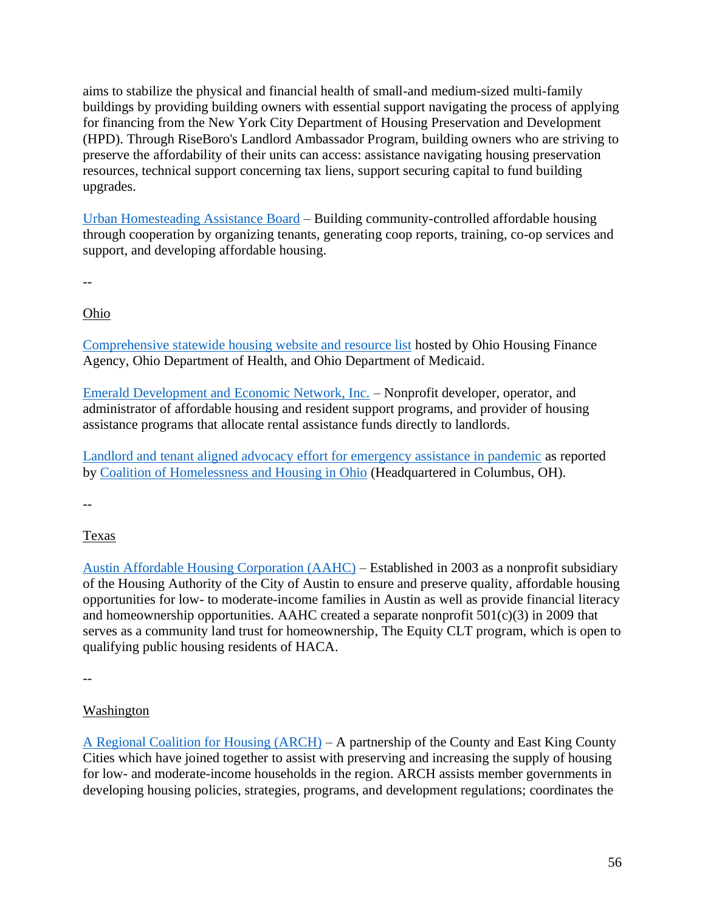aims to stabilize the physical and financial health of small-and medium-sized multi-family buildings by providing building owners with essential support navigating the process of applying for financing from the New York City Department of Housing Preservation and Development (HPD). Through RiseBoro's Landlord Ambassador Program, building owners who are striving to preserve the affordability of their units can access: assistance navigating housing preservation resources, technical support concerning tax liens, support securing capital to fund building upgrades.

[Urban Homesteading Assistance Board](https://uhab.org/) – Building community-controlled affordable housing through cooperation by organizing tenants, generating coop reports, training, co-op services and support, and developing affordable housing.

--

Ohio

Comprehensive statewide [housing website and resource list](https://www.housingcleveland.org/) hosted by Ohio Housing Finance Agency, Ohio Department of Health, and Ohio Department of Medicaid.

[Emerald Development and Economic Network, Inc.](https://www.edeninc.org/about/) – Nonprofit developer, operator, and administrator of affordable housing and resident support programs, and provider of housing assistance programs that allocate rental assistance funds directly to landlords.

Landlord and tenant aligned advocacy [effort for emergency assistance in pandemic](https://cohhio.org/ohio-tenants-and-landlords-unite-behind-emergency-rental-assistance-proposal/) as reported by [Coalition of Homelessness and Housing in Ohio](https://cohhio.org/) (Headquartered in Columbus, OH).

--

# **Texas**

[Austin Affordable Housing Corporation \(AAHC\)](https://www.aahcnet.org/) – Established in 2003 as a nonprofit subsidiary of the Housing Authority of the City of Austin to ensure and preserve quality, affordable housing opportunities for low- to moderate-income families in Austin as well as provide financial literacy and homeownership opportunities. AAHC created a separate nonprofit  $501(c)(3)$  in 2009 that serves as a community land trust for homeownership, The Equity CLT program, which is open to qualifying public housing residents of HACA.

--

# Washington

[A Regional Coalition for Housing \(ARCH\)](http://www.archhousing.org/about-arch/index.html) – A partnership of the County and East King County Cities which have joined together to assist with preserving and increasing the supply of housing for low- and moderate-income households in the region. ARCH assists member governments in developing housing policies, strategies, programs, and development regulations; coordinates the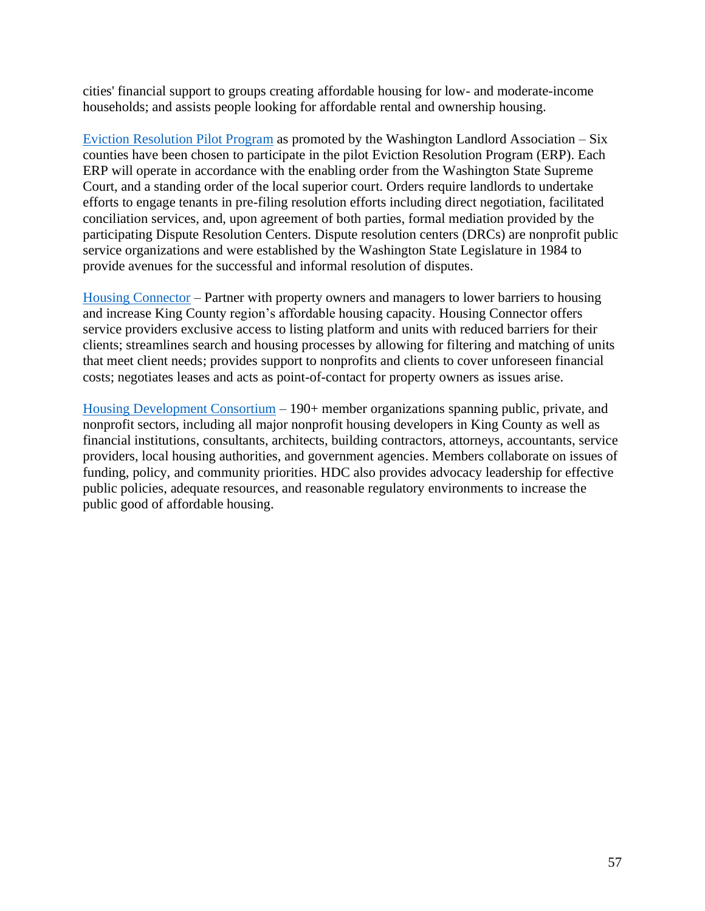cities' financial support to groups creating affordable housing for low- and moderate-income households; and assists people looking for affordable rental and ownership housing.

[Eviction Resolution Pilot Program](https://www.walandlord.org/covid-19-resources.html) as promoted by the Washington Landlord Association – Six counties have been chosen to participate in the pilot Eviction Resolution Program (ERP). Each ERP will operate in accordance with the enabling order from the Washington State Supreme Court, and a standing order of the local superior court. Orders require landlords to undertake efforts to engage tenants in pre-filing resolution efforts including direct negotiation, facilitated conciliation services, and, upon agreement of both parties, formal mediation provided by the participating Dispute Resolution Centers. Dispute resolution centers (DRCs) are nonprofit public service organizations and were established by the Washington State Legislature in 1984 to provide avenues for the successful and informal resolution of disputes.

[Housing Connector](https://www.housingconnector.com/about-us) – Partner with property owners and managers to lower barriers to housing and increase King County region's affordable housing capacity. Housing Connector offers service providers exclusive access to listing platform and units with reduced barriers for their clients; streamlines search and housing processes by allowing for filtering and matching of units that meet client needs; provides support to nonprofits and clients to cover unforeseen financial costs; negotiates leases and acts as point-of-contact for property owners as issues arise.

[Housing Development Consortium](https://www.housingconsortium.org/who-we-are/) – 190+ member organizations spanning public, private, and nonprofit sectors, including all major nonprofit housing developers in King County as well as financial institutions, consultants, architects, building contractors, attorneys, accountants, service providers, local housing authorities, and government agencies. Members collaborate on issues of funding, policy, and community priorities. HDC also provides advocacy leadership for effective public policies, adequate resources, and reasonable regulatory environments to increase the public good of affordable housing.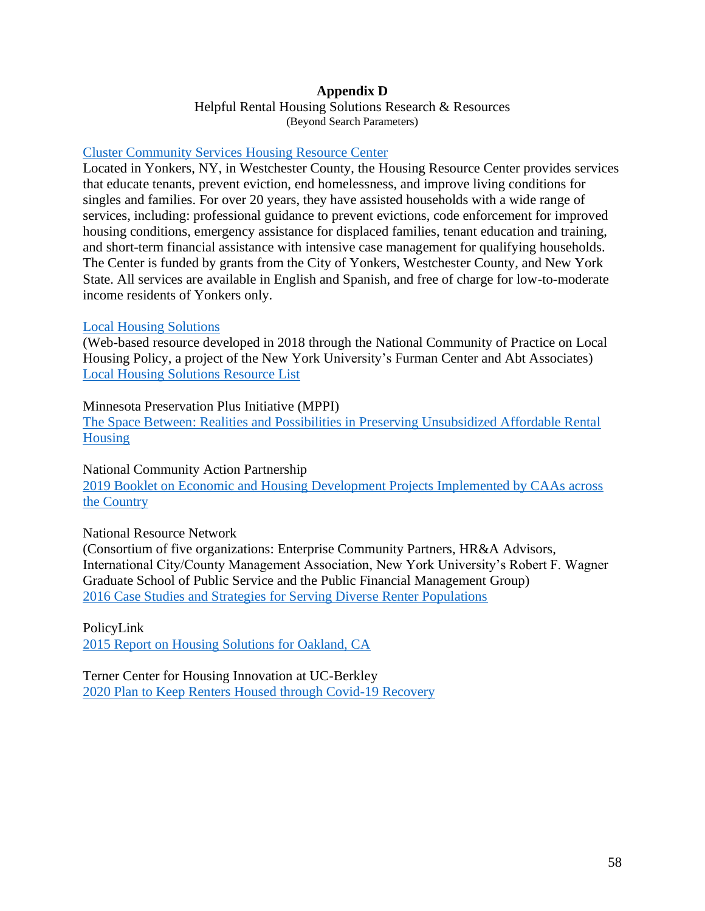#### **Appendix D**

Helpful Rental Housing Solutions Research & Resources (Beyond Search Parameters)

#### [Cluster Community Services Housing Resource Center](https://clusterinc.org/how-we-help/housing-resource-center/)

Located in Yonkers, NY, in Westchester County, the Housing Resource Center provides services that educate tenants, prevent eviction, end homelessness, and improve living conditions for singles and families. For over 20 years, they have assisted households with a wide range of services, including: professional guidance to prevent evictions, code enforcement for improved housing conditions, emergency assistance for displaced families, tenant education and training, and short-term financial assistance with intensive case management for qualifying households. The Center is funded by grants from the City of Yonkers, Westchester County, and New York State. All services are available in English and Spanish, and free of charge for low-to-moderate income residents of Yonkers only.

#### [Local Housing Solutions](https://www.localhousingsolutions.org/)

(Web-based resource developed in 2018 through the National Community of Practice on Local Housing Policy, a project of the New York University's Furman Center and Abt Associates) [Local Housing Solutions Resource List](https://www.localhousingsolutions.org/explore/)

#### Minnesota Preservation Plus Initiative (MPPI)

[The Space Between: Realities and Possibilities in Preserving Unsubsidized Affordable Rental](https://noahimpactfund.com/wp-content/uploads/2016/08/gmhf-space-between.pdf)  [Housing](https://noahimpactfund.com/wp-content/uploads/2016/08/gmhf-space-between.pdf)

#### National Community Action Partnership

[2019 Booklet on Economic and Housing Development Projects Implemented by CAAs across](https://communityactionpartnership.com/wp-content/uploads/2019/07/profile-booklet-revised.pdf)  [the Country](https://communityactionpartnership.com/wp-content/uploads/2019/07/profile-booklet-revised.pdf)

#### National Resource Network

(Consortium of five organizations: Enterprise Community Partners, HR&A Advisors, International City/County Management Association, New York University's Robert F. Wagner Graduate School of Public Service and the Public Financial Management Group) [2016 Case Studies and Strategies for Serving Diverse Renter Populations](https://nationalresourcenetwork.org/wp-content/uploads/2019/04/NRN-Case-Studies-and-Stategies-for-Serving-Diverse-Renter-Populations-FINAL.pdf)

#### PolicyLink

[2015 Report on Housing Solutions for Oakland, CA](https://www.policylink.org/sites/default/files/pl-report-oak-housing-070715.pdf)

Terner Center for Housing Innovation at UC-Berkley [2020 Plan to Keep Renters Housed through Covid-19 Recovery](https://ternercenter.berkeley.edu/research-and-policy/a-plan-to-keep-renters-housed-through-the-covid-19-recovery/)